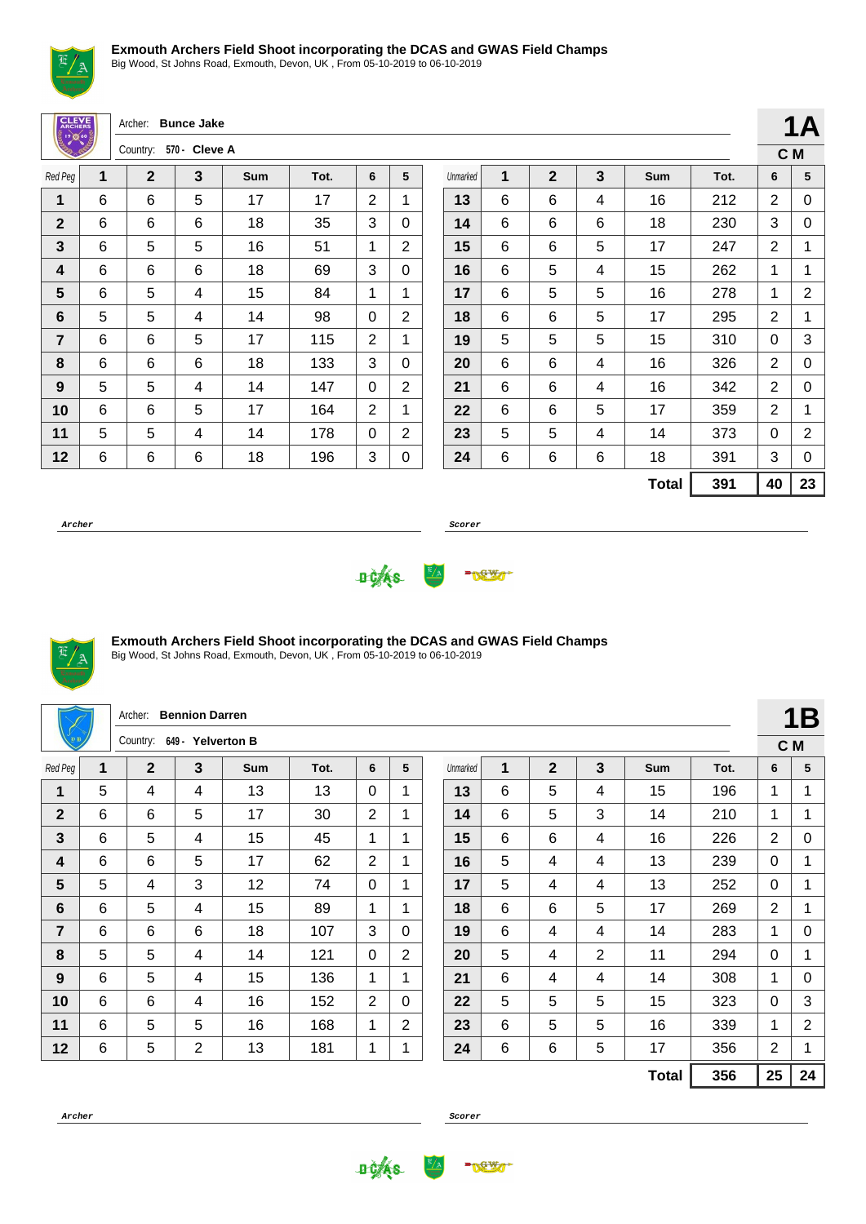

Big Wood, St Johns Road, Exmouth, Devon, UK , From 05-10-2019 to 06-10-2019

|         |  |  | Archer: Bunce Jake   |  |
|---------|--|--|----------------------|--|
|         |  |  | Country: 570 - Cleve |  |
| Red Peg |  |  |                      |  |

|                |   | Country:     | 570 - Cleve A |     |      |   |   |
|----------------|---|--------------|---------------|-----|------|---|---|
| Red Peg        | 1 | $\mathbf{2}$ | 3             | Sum | Tot. | 6 | 5 |
| 1              | 6 | 6            | 5             | 17  | 17   | 2 | 1 |
| $\mathbf{2}$   | 6 | 6            | 6             | 18  | 35   | 3 | 0 |
| 3              | 6 | 5            | 5             | 16  | 51   | 1 | 2 |
| 4              | 6 | 6            | 6             | 18  | 69   | 3 | 0 |
| 5              | 6 | 5            | 4             | 15  | 84   | 1 | 1 |
| 6              | 5 | 5            | 4             | 14  | 98   | 0 | 2 |
| $\overline{7}$ | 6 | 6            | 5             | 17  | 115  | 2 | 1 |
| 8              | 6 | 6            | 6             | 18  | 133  | 3 | 0 |
| 9              | 5 | 5            | 4             | 14  | 147  | 0 | 2 |
| 10             | 6 | 6            | 5             | 17  | 164  | 2 | 1 |
| 11             | 5 | 5            | 4             | 14  | 178  | 0 | 2 |
| 12             | 6 | 6            | 6             | 18  | 196  | 3 | 0 |

|          |   |              |   |              |      |    | .   |
|----------|---|--------------|---|--------------|------|----|-----|
|          |   |              |   |              |      |    | C M |
| Unmarked | 1 | $\mathbf{2}$ | 3 | Sum          | Tot. | 6  | 5   |
| 13       | 6 | 6            | 4 | 16           | 212  | 2  | 0   |
| 14       | 6 | 6            | 6 | 18           | 230  | 3  | 0   |
| 15       | 6 | 6            | 5 | 17           | 247  | 2  | 1   |
| 16       | 6 | 5            | 4 | 15           | 262  | 1  | 1   |
| 17       | 6 | 5            | 5 | 16           | 278  | 1  | 2   |
| 18       | 6 | 6            | 5 | 17           | 295  | 2  | 1   |
| 19       | 5 | 5            | 5 | 15           | 310  | 0  | 3   |
| 20       | 6 | 6            | 4 | 16           | 326  | 2  | 0   |
| 21       | 6 | 6            | 4 | 16           | 342  | 2  | 0   |
| 22       | 6 | 6            | 5 | 17           | 359  | 2  | 1   |
| 23       | 5 | 5            | 4 | 14           | 373  | 0  | 2   |
| 24       | 6 | 6            | 6 | 18           | 391  | 3  | 0   |
|          |   |              |   | <b>Total</b> | 391  | 40 | 23  |

**1A**

**Archer Scorer**





## **Exmouth Archers Field Shoot incorporating the DCAS and GWAS Field Champs**

Big Wood, St Johns Road, Exmouth, Devon, UK , From 05-10-2019 to 06-10-2019

|                 |   | Archer:                    | <b>Bennion Darren</b> |     |      |                |                |          |   |                |                |              |      |                | 1B             |
|-----------------|---|----------------------------|-----------------------|-----|------|----------------|----------------|----------|---|----------------|----------------|--------------|------|----------------|----------------|
|                 |   | Country: 649 - Yelverton B |                       |     |      |                |                |          |   |                |                |              |      |                | C M            |
| Red Peg         | 1 | $\overline{2}$             | 3                     | Sum | Tot. | 6              | 5              | Unmarked | 1 | $\overline{2}$ | 3              | Sum          | Tot. | 6              | 5              |
| $\overline{1}$  | 5 | 4                          | 4                     | 13  | 13   | $\Omega$       | 1              | 13       | 6 | 5              | 4              | 15           | 196  | 1              | 1              |
| $\mathbf{2}$    | 6 | 6                          | 5                     | 17  | 30   | 2              | 1              | 14       | 6 | 5              | 3              | 14           | 210  | 1              | 1              |
| $\mathbf{3}$    | 6 | 5                          | 4                     | 15  | 45   | 1              | 1              | 15       | 6 | 6              | 4              | 16           | 226  | $\overline{2}$ | 0              |
| 4               | 6 | 6                          | 5                     | 17  | 62   | $\overline{2}$ | 1              | 16       | 5 | 4              | 4              | 13           | 239  | $\mathbf{0}$   |                |
| 5               | 5 | 4                          | 3                     | 12  | 74   | $\Omega$       | 1              | 17       | 5 | 4              | 4              | 13           | 252  | $\Omega$       | 1              |
| $6\phantom{1}6$ | 6 | 5                          | 4                     | 15  | 89   | 1              | $\mathbf 1$    | 18       | 6 | 6              | 5              | 17           | 269  | 2              | 1              |
| $\overline{7}$  | 6 | 6                          | 6                     | 18  | 107  | 3              | $\Omega$       | 19       | 6 | 4              | 4              | 14           | 283  | 1              | 0              |
| 8               | 5 | 5                          | 4                     | 14  | 121  | $\Omega$       | $\overline{2}$ | 20       | 5 | 4              | $\overline{2}$ | 11           | 294  | $\mathbf{0}$   | 1              |
| 9               | 6 | 5                          | 4                     | 15  | 136  | 1              | $\mathbf{1}$   | 21       | 6 | 4              | 4              | 14           | 308  | 1              | 0              |
| 10              | 6 | 6                          | 4                     | 16  | 152  | $\overline{2}$ | $\Omega$       | 22       | 5 | 5              | 5              | 15           | 323  | $\Omega$       | 3              |
| 11              | 6 | 5                          | 5                     | 16  | 168  | 1              | $\overline{2}$ | 23       | 6 | 5              | 5              | 16           | 339  | 1              | $\overline{2}$ |
| 12              | 6 | 5                          | $\overline{2}$        | 13  | 181  | 1              |                | 24       | 6 | 6              | 5              | 17           | 356  | $\overline{2}$ | 1              |
|                 |   |                            |                       |     |      |                |                |          |   |                |                | <b>Total</b> | 356  | 25             | 24             |



**DCAS** 

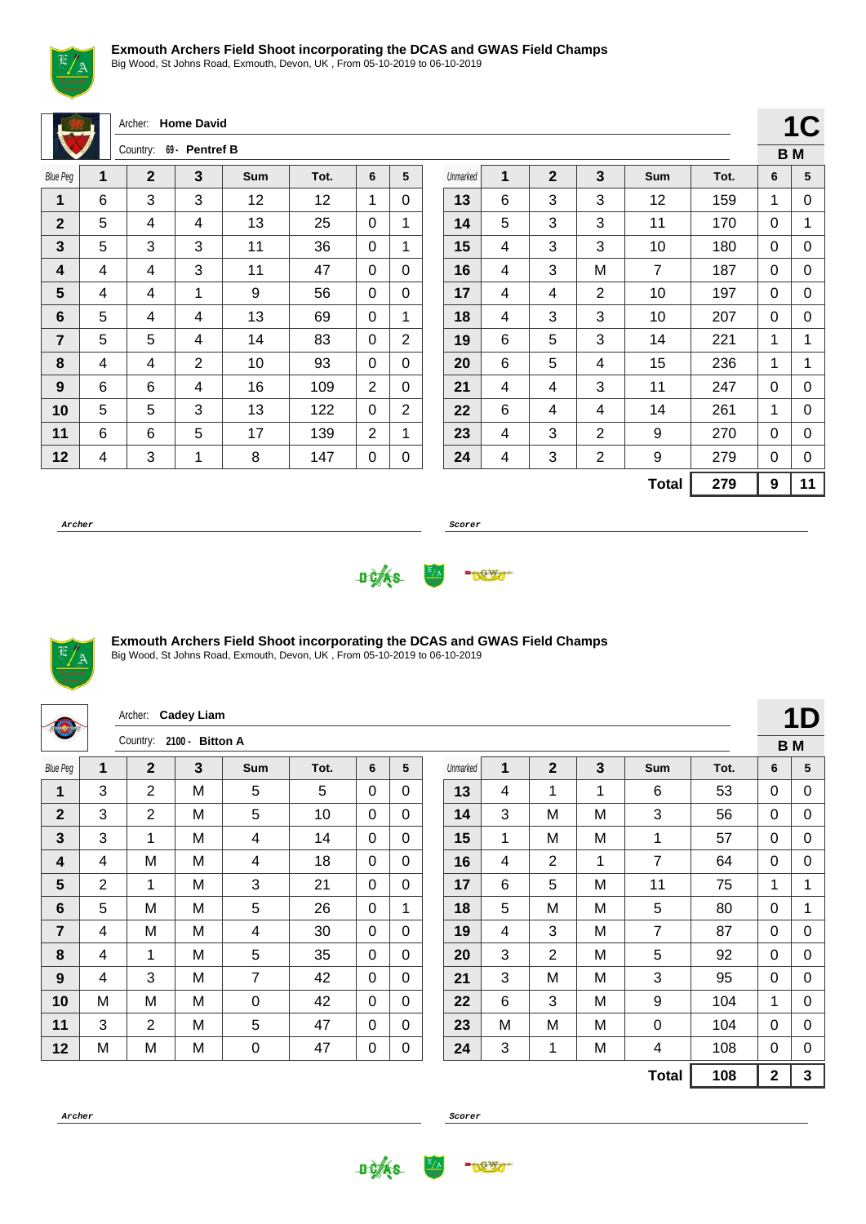

Big Wood, St Johns Road, Exmouth, Devon, UK , From 05-10-2019 to 06-10-2019

Archer: **Home David**

|                 |   | Country:    | 69 - Pentref B |     |      |   |   |
|-----------------|---|-------------|----------------|-----|------|---|---|
| <b>Blue Peg</b> | 1 | $\mathbf 2$ | 3              | Sum | Tot. | 6 | 5 |
| 1               | 6 | 3           | 3              | 12  | 12   | 1 | 0 |
| $\mathbf{2}$    | 5 | 4           | 4              | 13  | 25   | 0 | 1 |
| 3               | 5 | 3           | 3              | 11  | 36   | 0 | 1 |
| 4               | 4 | 4           | 3              | 11  | 47   | 0 | 0 |
| 5               | 4 | 4           | 1              | 9   | 56   | 0 | 0 |
| 6               | 5 | 4           | 4              | 13  | 69   | 0 | 1 |
| $\overline{7}$  | 5 | 5           | 4              | 14  | 83   | 0 | 2 |
| 8               | 4 | 4           | $\overline{2}$ | 10  | 93   | 0 | 0 |
| 9               | 6 | 6           | 4              | 16  | 109  | 2 | 0 |
| 10              | 5 | 5           | 3              | 13  | 122  | 0 | 2 |
| 11              | 6 | 6           | 5              | 17  | 139  | 2 | 1 |
| 12              | 4 | 3           | 1              | 8   | 147  | 0 | 0 |

|          |   |              |                |                |      |   | IV  |
|----------|---|--------------|----------------|----------------|------|---|-----|
|          |   |              |                |                |      |   | B M |
| Unmarked | 1 | $\mathbf{2}$ | 3              | <b>Sum</b>     | Tot. | 6 | 5   |
| 13       | 6 | 3            | 3              | 12             | 159  | 1 | 0   |
| 14       | 5 | 3            | 3              | 11             | 170  | 0 | 1   |
| 15       | 4 | 3            | 3              | 10             | 180  | 0 | 0   |
| 16       | 4 | 3            | M              | $\overline{7}$ | 187  | 0 | 0   |
| 17       | 4 | 4            | 2              | 10             | 197  | 0 | 0   |
| 18       | 4 | 3            | 3              | 10             | 207  | 0 | 0   |
| 19       | 6 | 5            | 3              | 14             | 221  | 1 | 1   |
| 20       | 6 | 5            | 4              | 15             | 236  | 1 | 1   |
| 21       | 4 | 4            | 3              | 11             | 247  | 0 | 0   |
| 22       | 6 | 4            | 4              | 14             | 261  | 1 | 0   |
| 23       | 4 | 3            | $\overline{2}$ | 9              | 270  | 0 | 0   |
| 24       | 4 | 3            | 2              | 9              | 279  | 0 | 0   |
|          |   |              |                | <b>Total</b>   | 279  | 9 | 11  |

 $1C$ 

**Archer Scorer**





## **Exmouth Archers Field Shoot incorporating the DCAS and GWAS Field Champs**

Big Wood, St Johns Road, Exmouth, Devon, UK , From 05-10-2019 to 06-10-2019

| tionarche       |                | Archer:                  | <b>Cadey Liam</b> |     |      |             |             |          |   |                |                         |                |      |                | 1D             |
|-----------------|----------------|--------------------------|-------------------|-----|------|-------------|-------------|----------|---|----------------|-------------------------|----------------|------|----------------|----------------|
|                 |                | Country: 2100 - Bitton A |                   |     |      |             |             |          |   |                |                         |                |      |                | B <sub>M</sub> |
| <b>Blue Peg</b> | 1              | $\mathbf{2}$             | 3                 | Sum | Tot. | 6           | 5           | Unmarked | 1 | $\mathbf{2}$   | $\overline{\mathbf{3}}$ | Sum            | Tot. | 6              | 5              |
| $\overline{1}$  | 3              | $\overline{2}$           | M                 | 5   | 5    | $\Omega$    | $\Omega$    | 13       | 4 | 1              | 1                       | 6              | 53   | 0              | 0              |
| $\overline{2}$  | 3              | $\overline{2}$           | M                 | 5   | 10   | $\mathbf 0$ | $\Omega$    | 14       | 3 | M              | M                       | 3              | 56   | $\mathbf{0}$   | 0              |
| 3               | 3              | 1                        | M                 | 4   | 14   | $\Omega$    | $\Omega$    | 15       | 1 | M              | M                       | 1              | 57   | $\Omega$       | 0              |
| 4               | 4              | M                        | M                 | 4   | 18   | $\Omega$    | $\Omega$    | 16       | 4 | $\overline{2}$ | 1                       | $\overline{7}$ | 64   | $\Omega$       | 0              |
| 5               | $\overline{2}$ | 1                        | M                 | 3   | 21   | $\Omega$    | 0           | 17       | 6 | 5              | M                       | 11             | 75   | 1              | 1.             |
| $6\phantom{1}$  | 5              | M                        | M                 | 5   | 26   | $\Omega$    | 1           | 18       | 5 | M              | M                       | 5              | 80   | $\mathbf 0$    | 1              |
| $\overline{7}$  | 4              | M                        | M                 | 4   | 30   | $\Omega$    | $\mathbf 0$ | 19       | 4 | 3              | M                       | $\overline{7}$ | 87   | $\mathbf{0}$   | 0              |
| 8               | 4              | 1                        | M                 | 5   | 35   | $\Omega$    | $\mathbf 0$ | 20       | 3 | $\overline{2}$ | M                       | 5              | 92   | 0              | 0              |
| 9               | 4              | 3                        | M                 | 7   | 42   | $\Omega$    | 0           | 21       | 3 | M              | M                       | 3              | 95   | 0              | 0              |
| 10              | M              | M                        | M                 | 0   | 42   | $\Omega$    | $\Omega$    | 22       | 6 | 3              | M                       | 9              | 104  | 1              | 0              |
| 11              | 3              | $\overline{2}$           | M                 | 5   | 47   | $\Omega$    | $\Omega$    | 23       | M | M              | M                       | 0              | 104  | $\mathbf{0}$   | 0              |
| 12              | M              | M                        | M                 | 0   | 47   | 0           | $\mathbf 0$ | 24       | 3 | 1              | Μ                       | 4              | 108  | 0              | 0              |
|                 |                |                          |                   |     |      |             |             |          |   |                |                         | <b>Total</b>   | 108  | $\overline{2}$ | 3              |



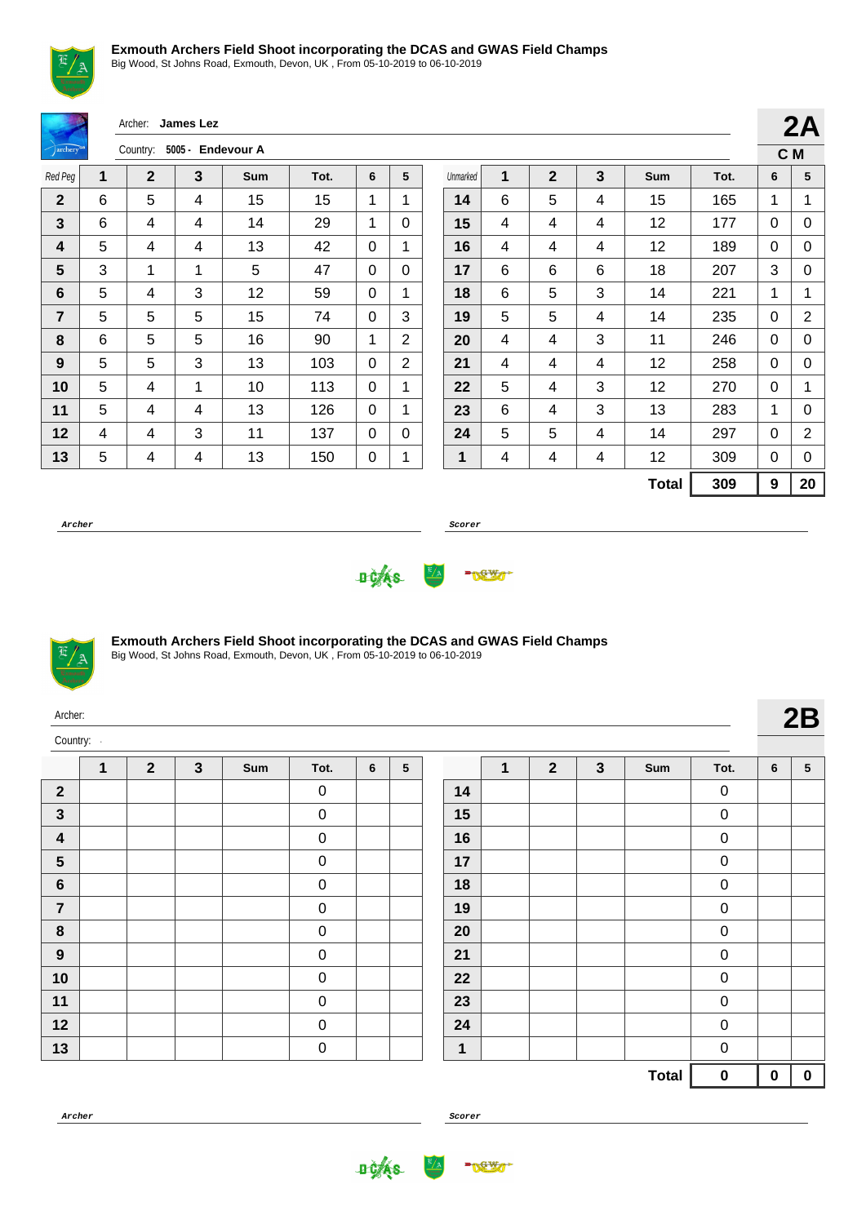Big Wood, St Johns Road, Exmouth, Devon, UK , From 05-10-2019 to 06-10-2019

|                |   | Archer:        | James Lez         |     |      |             |                |          |   |              |   |              |      |              | 2A             |
|----------------|---|----------------|-------------------|-----|------|-------------|----------------|----------|---|--------------|---|--------------|------|--------------|----------------|
| archery        |   | Country:       | 5005 - Endevour A |     |      |             |                |          |   |              |   |              |      |              | C M            |
| Red Peg        | 1 | $\overline{2}$ | $\mathbf{3}$      | Sum | Tot. | 6           | 5              | Unmarked | 1 | $\mathbf{2}$ | 3 | Sum          | Tot. | 6            | 5              |
| $\overline{2}$ | 6 | 5              | 4                 | 15  | 15   | 1           | 1              | 14       | 6 | 5            | 4 | 15           | 165  | 1            | 1              |
| $\mathbf{3}$   | 6 | 4              | 4                 | 14  | 29   | 1           | $\Omega$       | 15       | 4 | 4            | 4 | 12           | 177  | 0            | 0              |
| 4              | 5 | 4              | 4                 | 13  | 42   | $\Omega$    | 1              | 16       | 4 | 4            | 4 | 12           | 189  | 0            | 0              |
| $5\phantom{1}$ | 3 | 1              | 1                 | 5   | 47   | $\Omega$    | $\Omega$       | 17       | 6 | 6            | 6 | 18           | 207  | 3            | 0              |
| $6\phantom{1}$ | 5 | 4              | 3                 | 12  | 59   | $\mathbf 0$ | 1              | 18       | 6 | 5            | 3 | 14           | 221  | $\mathbf{1}$ | 1              |
| $\overline{7}$ | 5 | 5              | 5                 | 15  | 74   | $\Omega$    | 3              | 19       | 5 | 5            | 4 | 14           | 235  | 0            | $\overline{2}$ |
| 8              | 6 | 5              | 5                 | 16  | 90   | 1           | 2              | 20       | 4 | 4            | 3 | 11           | 246  | 0            | 0              |
| 9              | 5 | 5              | 3                 | 13  | 103  | $\Omega$    | $\overline{2}$ | 21       | 4 | 4            | 4 | 12           | 258  | 0            | 0              |
| 10             | 5 | 4              | 1                 | 10  | 113  | $\Omega$    | 1              | 22       | 5 | 4            | 3 | 12           | 270  | 0            | 1              |
| 11             | 5 | 4              | 4                 | 13  | 126  | $\Omega$    | 1              | 23       | 6 | 4            | 3 | 13           | 283  | $\mathbf{1}$ | 0              |
| 12             | 4 | 4              | 3                 | 11  | 137  | $\Omega$    | $\mathbf{0}$   | 24       | 5 | 5            | 4 | 14           | 297  | 0            | $\overline{2}$ |
| 13             | 5 | 4              | 4                 | 13  | 150  | 0           | 1              | 1        | 4 | 4            | 4 | 12           | 309  | 0            | $\Omega$       |
|                |   |                |                   |     |      |             |                |          |   |              |   | <b>Total</b> | 309  | 9            | 20             |

**Archer Scorer**





## **Exmouth Archers Field Shoot incorporating the DCAS and GWAS Field Champs**

Big Wood, St Johns Road, Exmouth, Devon, UK , From 05-10-2019 to 06-10-2019

| Archer:                 |              |                |              |     |             |   |   |    |              |              |              |     |                  |                 | 2B              |
|-------------------------|--------------|----------------|--------------|-----|-------------|---|---|----|--------------|--------------|--------------|-----|------------------|-----------------|-----------------|
| Country:                |              |                |              |     |             |   |   |    |              |              |              |     |                  |                 |                 |
|                         | $\mathbf{1}$ | $\overline{2}$ | $\mathbf{3}$ | Sum | Tot.        | 6 | 5 |    | $\mathbf{1}$ | $\mathbf{2}$ | $\mathbf{3}$ | Sum | Tot.             | $6\phantom{1}6$ | $5\phantom{.0}$ |
| $\overline{\mathbf{2}}$ |              |                |              |     | $\mathbf 0$ |   |   | 14 |              |              |              |     | $\mathbf 0$      |                 |                 |
| $\mathbf{3}$            |              |                |              |     | $\mathbf 0$ |   |   | 15 |              |              |              |     | $\boldsymbol{0}$ |                 |                 |
| $\boldsymbol{4}$        |              |                |              |     | $\mathbf 0$ |   |   | 16 |              |              |              |     | $\mathbf 0$      |                 |                 |
| $5\phantom{1}$          |              |                |              |     | $\mathbf 0$ |   |   | 17 |              |              |              |     | $\mathbf 0$      |                 |                 |
| $6\phantom{1}$          |              |                |              |     | $\mathbf 0$ |   |   | 18 |              |              |              |     | $\mathbf 0$      |                 |                 |
| $\overline{7}$          |              |                |              |     | $\mathbf 0$ |   |   | 19 |              |              |              |     | $\mathbf 0$      |                 |                 |
| 8                       |              |                |              |     | $\mathbf 0$ |   |   | 20 |              |              |              |     | $\mathbf 0$      |                 |                 |
| 9                       |              |                |              |     | $\mathbf 0$ |   |   | 21 |              |              |              |     | $\mathbf 0$      |                 |                 |
| 10                      |              |                |              |     | $\mathbf 0$ |   |   | 22 |              |              |              |     | $\pmb{0}$        |                 |                 |

 0 0 0

|    | 1 | $\boldsymbol{2}$ | 3 | Sum          | Tot.             | 6        | ${\bf 5}$ |
|----|---|------------------|---|--------------|------------------|----------|-----------|
| 14 |   |                  |   |              | 0                |          |           |
| 15 |   |                  |   |              | 0                |          |           |
| 16 |   |                  |   |              | 0                |          |           |
| 17 |   |                  |   |              | 0                |          |           |
| 18 |   |                  |   |              | 0                |          |           |
| 19 |   |                  |   |              | 0                |          |           |
| 20 |   |                  |   |              | 0                |          |           |
| 21 |   |                  |   |              | 0                |          |           |
| 22 |   |                  |   |              | 0                |          |           |
| 23 |   |                  |   |              | 0                |          |           |
| 24 |   |                  |   |              | 0                |          |           |
| 1  |   |                  |   |              | $\mathbf 0$      |          |           |
|    |   |                  |   | <b>Total</b> | $\boldsymbol{0}$ | $\bf{0}$ | 0         |

**Archer Scorer**

**DOKS** 





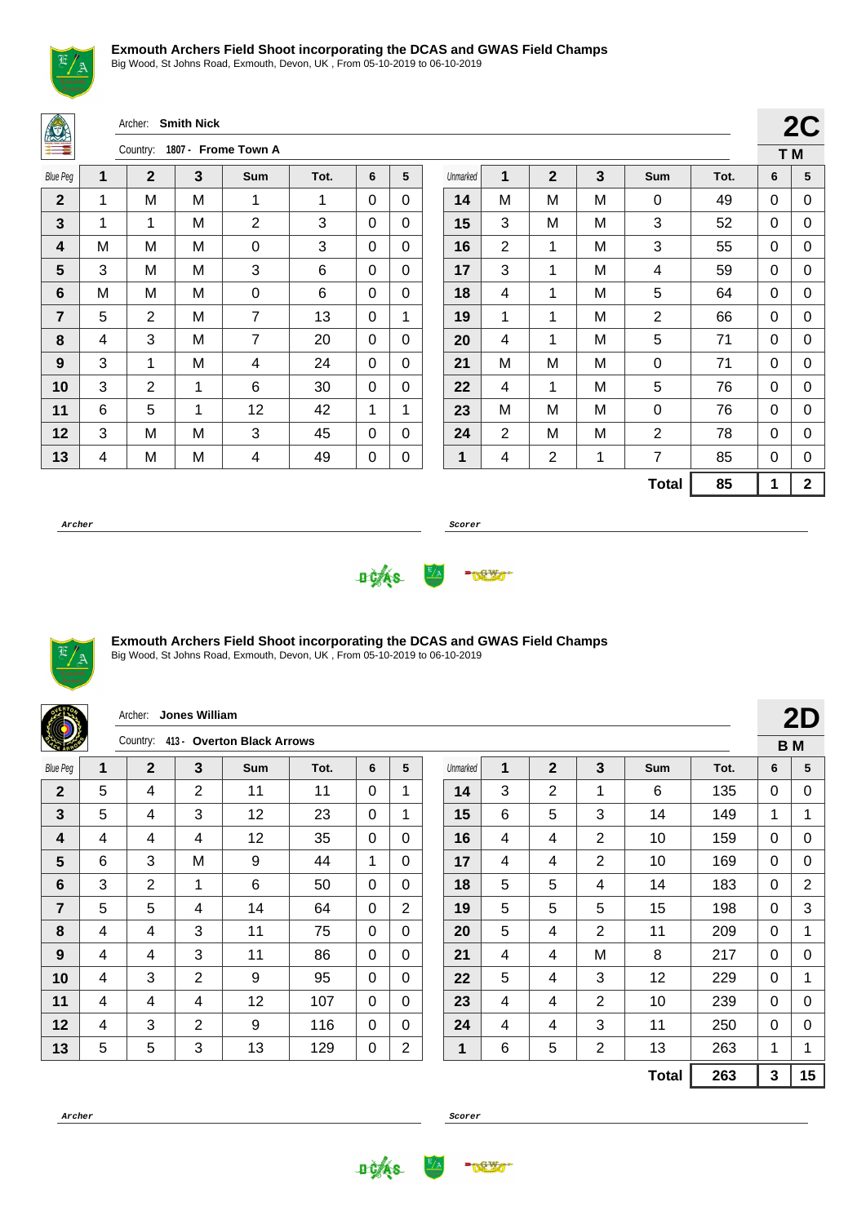

Big Wood, St Johns Road, Exmouth, Devon, UK , From 05-10-2019 to 06-10-2019

Archer: **Smith Nick**

|                 |   | Country:    |   | 1807 - Frome Town A |      |   |   |
|-----------------|---|-------------|---|---------------------|------|---|---|
| <b>Blue Peg</b> | 1 | $\mathbf 2$ | 3 | Sum                 | Tot. | 6 | 5 |
| $\overline{2}$  | 1 | M           | M | 1                   | 1    | 0 | 0 |
| 3               | 1 | 1           | Μ | $\overline{2}$      | 3    | 0 | 0 |
| 4               | M | M           | Μ | 0                   | 3    | 0 | 0 |
| 5               | 3 | M           | M | 3                   | 6    | 0 | 0 |
| 6               | M | M           | M | 0                   | 6    | 0 | 0 |
| 7               | 5 | 2           | M | 7                   | 13   | 0 | 1 |
| 8               | 4 | 3           | Μ | 7                   | 20   | 0 | 0 |
| 9               | 3 | 1           | M | 4                   | 24   | 0 | 0 |
| 10              | 3 | 2           | 1 | 6                   | 30   | 0 | 0 |
| 11              | 6 | 5           | 1 | 12                  | 42   | 1 | 1 |
| 12              | 3 | M           | M | 3                   | 45   | 0 | 0 |
| 13              | 4 | M           | M | 4                   | 49   | 0 | 0 |

|          |                |              |   |                |      | T M |             |
|----------|----------------|--------------|---|----------------|------|-----|-------------|
| Unmarked | 1              | $\mathbf{2}$ | 3 | Sum            | Tot. | 6   | 5           |
| 14       | М              | M            | М | 0              | 49   | 0   | 0           |
| 15       | 3              | M            | M | 3              | 52   | 0   | 0           |
| 16       | 2              | 1            | M | 3              | 55   | 0   | 0           |
| 17       | 3              | 1            | M | 4              | 59   | 0   | 0           |
| 18       | 4              | $\mathbf{1}$ | M | 5              | 64   | 0   | 0           |
| 19       | 1              | 1            | M | $\overline{2}$ | 66   | 0   | 0           |
| 20       | 4              | 1            | M | 5              | 71   | 0   | 0           |
| 21       | M              | M            | M | 0              | 71   | 0   | 0           |
| 22       | 4              | 1            | M | 5              | 76   | 0   | 0           |
| 23       | М              | M            | М | 0              | 76   | 0   | 0           |
| 24       | $\overline{2}$ | M            | M | $\overline{2}$ | 78   | 0   | 0           |
| 1        | 4              | 2            | 1 | 7              | 85   | 0   | 0           |
|          |                |              |   | <b>Total</b>   | 85   | 1   | $\mathbf 2$ |

**2C**

**Archer Scorer**





#### **Exmouth Archers Field Shoot incorporating the DCAS and GWAS Field Champs**

|                 |   | Archer:      | Jones William  |                                     |      |          |                |          |   |                |                |              |      |              | 2D             |
|-----------------|---|--------------|----------------|-------------------------------------|------|----------|----------------|----------|---|----------------|----------------|--------------|------|--------------|----------------|
|                 |   |              |                | Country: 413 - Overton Black Arrows |      |          |                |          |   |                |                |              |      |              | <b>BM</b>      |
| <b>Blue Peg</b> | 1 | $\mathbf{2}$ | 3              | <b>Sum</b>                          | Tot. | 6        | 5              | Unmarked | 1 | $\mathbf{2}$   | 3              | <b>Sum</b>   | Tot. | 6            | 5              |
| $\mathbf{2}$    | 5 | 4            | 2              | 11                                  | 11   | 0        |                | 14       | 3 | $\overline{2}$ | 1              | 6            | 135  | $\mathbf{0}$ | 0              |
| 3               | 5 | 4            | 3              | 12                                  | 23   | $\Omega$ | 1              | 15       | 6 | 5              | 3              | 14           | 149  | 1            |                |
| 4               | 4 | 4            | 4              | 12                                  | 35   | 0        | 0              | 16       | 4 | 4              | $\overline{2}$ | 10           | 159  | $\Omega$     | 0              |
| 5               | 6 | 3            | M              | 9                                   | 44   | 1        | $\mathbf{0}$   | 17       | 4 | 4              | 2              | 10           | 169  | $\mathbf{0}$ | 0              |
| 6               | 3 | 2            | $\mathbf{1}$   | 6                                   | 50   | 0        | $\Omega$       | 18       | 5 | 5              | 4              | 14           | 183  | $\Omega$     | $\overline{2}$ |
| $\overline{7}$  | 5 | 5            | 4              | 14                                  | 64   | $\Omega$ | 2              | 19       | 5 | 5              | 5              | 15           | 198  | $\mathbf{0}$ | 3              |
| 8               | 4 | 4            | 3              | 11                                  | 75   | 0        | $\Omega$       | 20       | 5 | 4              | 2              | 11           | 209  | $\Omega$     | 1              |
| 9               | 4 | 4            | 3              | 11                                  | 86   | $\Omega$ | $\mathbf{0}$   | 21       | 4 | 4              | M              | 8            | 217  | $\mathbf{0}$ | 0              |
| 10              | 4 | 3            | $\overline{2}$ | 9                                   | 95   | $\Omega$ | $\Omega$       | 22       | 5 | 4              | 3              | 12           | 229  | $\Omega$     | 1              |
| 11              | 4 | 4            | 4              | 12                                  | 107  | $\Omega$ | $\Omega$       | 23       | 4 | 4              | 2              | 10           | 239  | $\mathbf{0}$ | 0              |
| 12              | 4 | 3            | 2              | 9                                   | 116  | 0        | 0              | 24       | 4 | 4              | 3              | 11           | 250  | $\mathbf{0}$ | 0              |
| 13              | 5 | 5            | 3              | 13                                  | 129  | 0        | $\overline{2}$ | 1        | 6 | 5              | $\overline{2}$ | 13           | 263  | 1            | 1              |
|                 |   |              |                |                                     |      |          |                |          |   |                |                | <b>Total</b> | 263  | 3            | 15             |





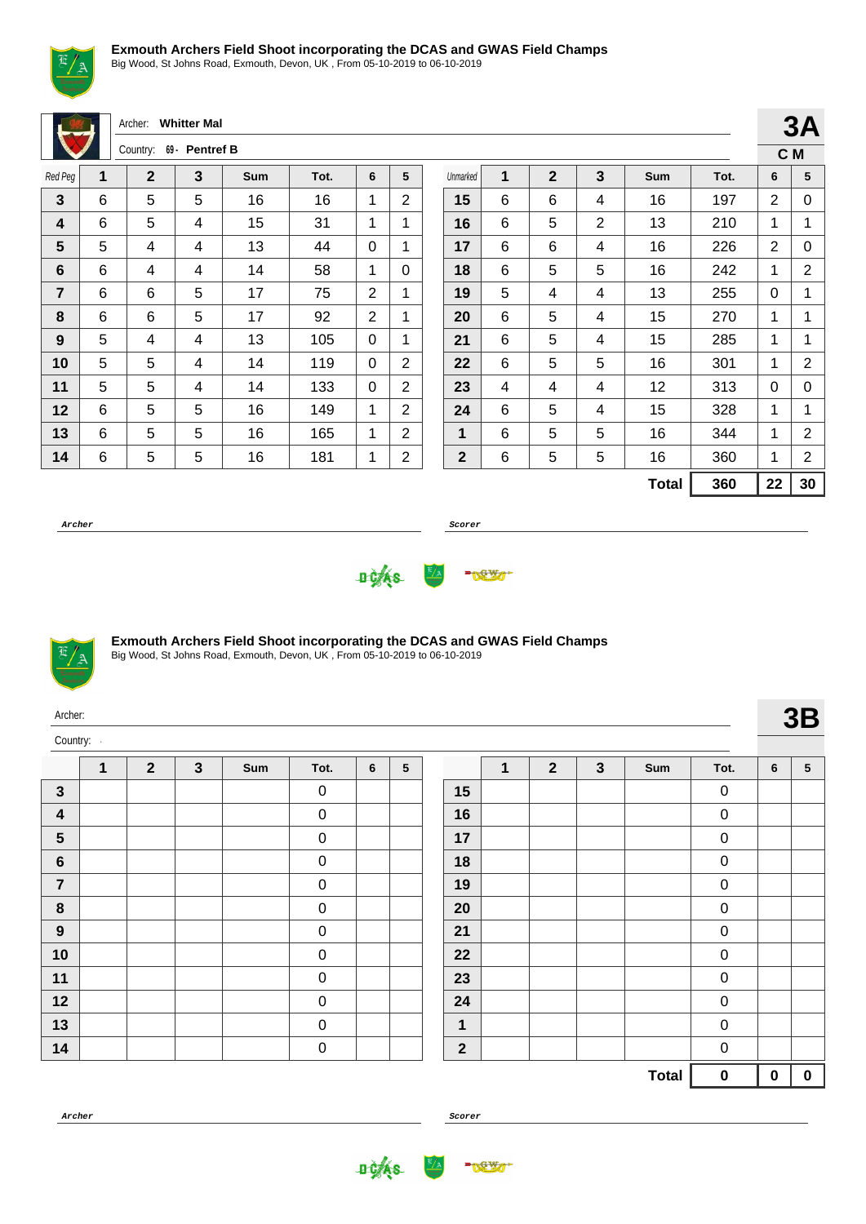

Big Wood, St Johns Road, Exmouth, Devon, UK , From 05-10-2019 to 06-10-2019

|                |   | Archer:        | <b>Whitter Mal</b> |            |      |              |                |              |              |                |                |              |      |                | 3A             |
|----------------|---|----------------|--------------------|------------|------|--------------|----------------|--------------|--------------|----------------|----------------|--------------|------|----------------|----------------|
|                |   | Country:       | 69 - Pentref B     |            |      |              |                |              |              |                |                |              |      |                | C M            |
| Red Peg        | 1 | $\overline{2}$ | 3                  | <b>Sum</b> | Tot. | 6            | 5              | Unmarked     | $\mathbf{1}$ | $\overline{2}$ | $\mathbf{3}$   | Sum          | Tot. | 6              | 5              |
| $\mathbf{3}$   | 6 | 5              | 5                  | 16         | 16   | 1            | $\overline{2}$ | 15           | 6            | 6              | 4              | 16           | 197  | 2              | 0              |
| 4              | 6 | 5              | 4                  | 15         | 31   | 1            | 1              | 16           | 6            | 5              | $\overline{2}$ | 13           | 210  | 1              | 1              |
| 5              | 5 | 4              | 4                  | 13         | 44   | $\Omega$     |                | 17           | 6            | 6              | 4              | 16           | 226  | $\overline{2}$ | 0              |
| $6\phantom{1}$ | 6 | 4              | 4                  | 14         | 58   | 1            | $\Omega$       | 18           | 6            | 5              | 5              | 16           | 242  | 1              | $\overline{2}$ |
| $\overline{7}$ | 6 | 6              | 5                  | 17         | 75   | 2            |                | 19           | 5            | 4              | 4              | 13           | 255  | 0              | 1              |
| 8              | 6 | 6              | 5                  | 17         | 92   | 2            | 1              | 20           | 6            | 5              | 4              | 15           | 270  | 1              | 1              |
| 9              | 5 | 4              | 4                  | 13         | 105  | $\Omega$     | $\mathbf 1$    | 21           | 6            | 5              | 4              | 15           | 285  | 1              | 1              |
| 10             | 5 | 5              | 4                  | 14         | 119  | $\Omega$     | $\overline{2}$ | 22           | 6            | 5              | 5              | 16           | 301  | 1              | $\overline{2}$ |
| 11             | 5 | 5              | 4                  | 14         | 133  | $\Omega$     | $\overline{2}$ | 23           | 4            | 4              | 4              | 12           | 313  | $\mathbf{0}$   | 0              |
| 12             | 6 | 5              | 5                  | 16         | 149  | $\mathbf{1}$ | $\overline{2}$ | 24           | 6            | 5              | 4              | 15           | 328  | 1              | 1              |
| 13             | 6 | 5              | 5                  | 16         | 165  | 1            | $\overline{2}$ | 1            | 6            | 5              | 5              | 16           | 344  | 1              | $\mathbf 2$    |
| 14             | 6 | 5              | 5                  | 16         | 181  | 1            | $\overline{c}$ | $\mathbf{2}$ | 6            | 5              | 5              | 16           | 360  | 1              | $\overline{2}$ |
|                |   |                |                    |            |      |              |                |              |              |                |                | <b>Total</b> | 360  | 22             | 30             |
|                |   |                |                    |            |      |              |                |              |              |                |                |              |      |                |                |

**Archer Scorer**





#### **Exmouth Archers Field Shoot incorporating the DCAS and GWAS Field Champs**

Big Wood, St Johns Road, Exmouth, Devon, UK , From 05-10-2019 to 06-10-2019

| Archer:          |              |                                                                                                                                                                                                        |  |  |                  |  |  |              |  |  |  |              |           |                 | 3B              |
|------------------|--------------|--------------------------------------------------------------------------------------------------------------------------------------------------------------------------------------------------------|--|--|------------------|--|--|--------------|--|--|--|--------------|-----------|-----------------|-----------------|
| Country:         |              | $\overline{2}$<br>$\mathbf{3}$<br>$\overline{2}$<br>$\mathbf{3}$<br>$5\phantom{.0}$<br>6<br>1<br>Sum<br>Tot.<br>Sum<br>Tot.<br>$\mathbf 0$<br>15<br>$\mathbf 0$<br>$\boldsymbol{0}$<br>$\pmb{0}$<br>16 |  |  |                  |  |  |              |  |  |  |              |           |                 |                 |
|                  | $\mathbf{1}$ |                                                                                                                                                                                                        |  |  |                  |  |  |              |  |  |  |              |           | $6\phantom{1}6$ | $5\phantom{.0}$ |
| $\mathbf{3}$     |              |                                                                                                                                                                                                        |  |  |                  |  |  |              |  |  |  |              |           |                 |                 |
| $\boldsymbol{4}$ |              |                                                                                                                                                                                                        |  |  |                  |  |  |              |  |  |  |              |           |                 |                 |
| $5\phantom{1}$   |              |                                                                                                                                                                                                        |  |  | $\boldsymbol{0}$ |  |  | 17           |  |  |  |              | $\pmb{0}$ |                 |                 |
| $\bf 6$          |              |                                                                                                                                                                                                        |  |  | $\boldsymbol{0}$ |  |  | 18           |  |  |  |              | $\pmb{0}$ |                 |                 |
| $\overline{7}$   |              |                                                                                                                                                                                                        |  |  | $\pmb{0}$        |  |  | 19           |  |  |  |              | $\pmb{0}$ |                 |                 |
| 8                |              |                                                                                                                                                                                                        |  |  | $\pmb{0}$        |  |  | 20           |  |  |  |              | $\pmb{0}$ |                 |                 |
| $\boldsymbol{9}$ |              |                                                                                                                                                                                                        |  |  | $\pmb{0}$        |  |  | 21           |  |  |  |              | $\pmb{0}$ |                 |                 |
| 10               |              |                                                                                                                                                                                                        |  |  | $\pmb{0}$        |  |  | 22           |  |  |  |              | $\pmb{0}$ |                 |                 |
| 11               |              |                                                                                                                                                                                                        |  |  | $\pmb{0}$        |  |  | 23           |  |  |  |              | $\pmb{0}$ |                 |                 |
| 12               |              |                                                                                                                                                                                                        |  |  | $\boldsymbol{0}$ |  |  | 24           |  |  |  |              | $\pmb{0}$ |                 |                 |
| 13               |              |                                                                                                                                                                                                        |  |  | $\boldsymbol{0}$ |  |  | $\mathbf 1$  |  |  |  |              | $\pmb{0}$ |                 |                 |
| 14               |              |                                                                                                                                                                                                        |  |  | $\pmb{0}$        |  |  | $\mathbf{2}$ |  |  |  |              | $\pmb{0}$ |                 |                 |
|                  |              |                                                                                                                                                                                                        |  |  |                  |  |  |              |  |  |  | <b>Total</b> | $\pmb{0}$ | $\bf{0}$        | $\mathbf 0$     |







**3A**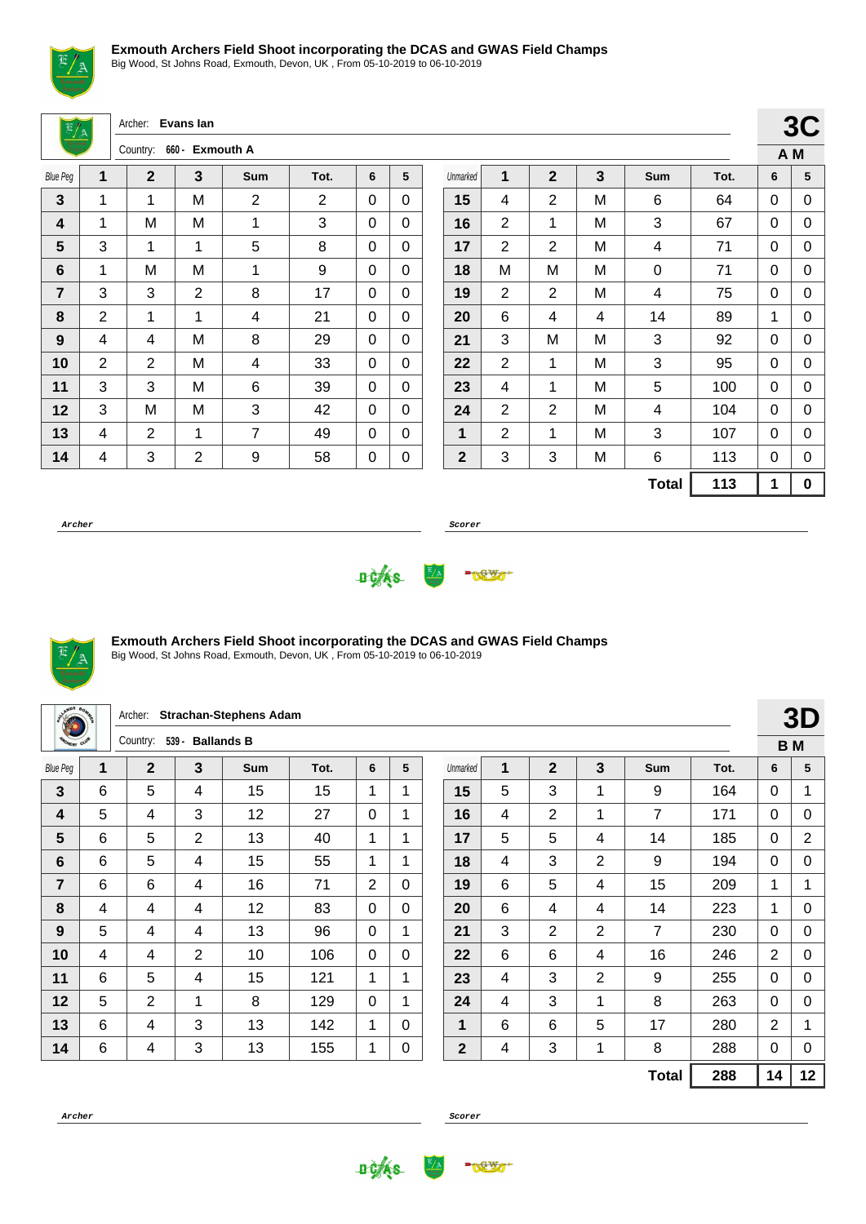

Big Wood, St Johns Road, Exmouth, Devon, UK , From 05-10-2019 to 06-10-2019

Archer: **Evans Ian**

|                 |   | Country:       | 660 - Exmouth A |     |      |   |   |
|-----------------|---|----------------|-----------------|-----|------|---|---|
| <b>Blue Peg</b> | 1 | $\mathbf 2$    | 3               | Sum | Tot. | 6 | 5 |
| 3               | 1 | 1              | M               | 2   | 2    | 0 | 0 |
| 4               | 1 | M              | M               | 1   | 3    | 0 | 0 |
| 5               | 3 | 1              | 1               | 5   | 8    | 0 | 0 |
| 6               | 1 | M              | M               | 1   | 9    | 0 | 0 |
| 7               | 3 | 3              | 2               | 8   | 17   | 0 | 0 |
| 8               | 2 | 1              | 1               | 4   | 21   | 0 | 0 |
| 9               | 4 | 4              | M               | 8   | 29   | 0 | 0 |
| 10              | 2 | $\overline{2}$ | M               | 4   | 33   | 0 | 0 |
| 11              | 3 | 3              | Μ               | 6   | 39   | 0 | 0 |
| 12              | 3 | M              | M               | 3   | 42   | 0 | 0 |
| 13              | 4 | 2              | 1               | 7   | 49   | 0 | 0 |
| 14              | 4 | 3              | $\overline{2}$  | 9   | 58   | 0 | 0 |

|              |                                                                                           |                |   |              |      |   | v v |
|--------------|-------------------------------------------------------------------------------------------|----------------|---|--------------|------|---|-----|
|              |                                                                                           |                |   |              |      |   | A M |
| Unmarked     | 1                                                                                         | $\mathbf{2}$   | 3 | Sum          | Tot. | 6 | 5   |
| 15           | 2<br>4<br>М<br>6<br>2<br>1<br>3<br>M<br>$\overline{2}$<br>2<br>M<br>4<br>M<br>M<br>М<br>0 |                |   |              |      | 0 | 0   |
| 16           |                                                                                           |                |   |              | 67   | 0 | 0   |
| 17           |                                                                                           |                |   |              | 71   | 0 | 0   |
| 18           |                                                                                           |                |   |              | 71   | 0 | 0   |
| 19           | 2                                                                                         | 2              | M | 4            | 75   | 0 | 0   |
| 20           | 6                                                                                         | 4              | 4 | 14           | 89   | 1 | 0   |
| 21           | 3                                                                                         | M              | Μ | 3            | 92   | 0 | 0   |
| 22           | 2                                                                                         | 1              | M | 3            | 95   | 0 | 0   |
| 23           | 4                                                                                         | 1              | M | 5            | 100  | 0 | 0   |
| 24           | 2                                                                                         | $\overline{2}$ | M | 4            | 104  | 0 | 0   |
| 1            | 2                                                                                         | 1              | М | 3            | 107  | 0 | 0   |
| $\mathbf{2}$ | 3                                                                                         | 3              | Μ | 6            | 113  | 0 | 0   |
|              |                                                                                           |                |   | <b>Total</b> | 113  | 1 | 0   |

 $3C$ 

**Archer Scorer**





#### **Exmouth Archers Field Shoot incorporating the DCAS and GWAS Field Champs**

| a <sup>WDS</sup> 8p |   | Archer:        |                | <b>Strachan-Stephens Adam</b> |      |                |             |              |   |                |                |                |      |                | 3D             |
|---------------------|---|----------------|----------------|-------------------------------|------|----------------|-------------|--------------|---|----------------|----------------|----------------|------|----------------|----------------|
| <b>CHERY CLUB</b>   |   | Country:       | $539 -$        | <b>Ballands B</b>             |      |                |             |              |   |                |                |                |      |                | <b>BM</b>      |
| <b>Blue Peg</b>     | 1 | $\overline{2}$ | 3              | <b>Sum</b>                    | Tot. | 6              | 5           | Unmarked     | 1 | $\overline{2}$ | 3              | <b>Sum</b>     | Tot. | 6              | 5              |
| 3                   | 6 | 5              | 4              | 15                            | 15   | 1              | 1           | 15           | 5 | 3              | 1              | 9              | 164  | $\Omega$       | 1              |
| 4                   | 5 | 4              | 3              | 12                            | 27   | 0              | 1           | 16           | 4 | 2              | 1              | $\overline{7}$ | 171  | $\Omega$       | 0              |
| 5                   | 6 | 5              | $\overline{2}$ | 13                            | 40   | 1              | 1           | 17           | 5 | 5              | 4              | 14             | 185  | 0              | $\overline{2}$ |
| 6                   | 6 | 5              | 4              | 15                            | 55   | 1              | 1           | 18           | 4 | 3              | 2              | 9              | 194  | 0              | 0              |
| 7                   | 6 | 6              | 4              | 16                            | 71   | $\overline{2}$ | $\Omega$    | 19           | 6 | 5              | 4              | 15             | 209  | 1              | 1              |
| 8                   | 4 | 4              | 4              | 12                            | 83   | 0              | $\Omega$    | 20           | 6 | 4              | 4              | 14             | 223  | 1              | 0              |
| 9                   | 5 | 4              | 4              | 13                            | 96   | 0              | 1           | 21           | 3 | $\overline{2}$ | $\overline{2}$ | $\overline{7}$ | 230  | $\Omega$       | 0              |
| 10                  | 4 | 4              | 2              | 10                            | 106  | 0              | 0           | 22           | 6 | 6              | 4              | 16             | 246  | $\overline{2}$ | 0              |
| 11                  | 6 | 5              | 4              | 15                            | 121  | 1              | $\mathbf 1$ | 23           | 4 | 3              | $\overline{2}$ | 9              | 255  | $\Omega$       | 0              |
| 12                  | 5 | $\overline{2}$ | 1              | 8                             | 129  | 0              | 1           | 24           | 4 | 3              | 1              | 8              | 263  | $\Omega$       | 0              |
| 13                  | 6 | 4              | 3              | 13                            | 142  | 1              | $\Omega$    | 1            | 6 | 6              | 5              | 17             | 280  | $\overline{2}$ | 1              |
| 14                  | 6 | 4              | 3              | 13                            | 155  | 1              | 0           | $\mathbf{2}$ | 4 | 3              | 1              | 8              | 288  | 0              | 0              |
|                     |   |                |                |                               |      |                |             |              |   |                |                | <b>Total</b>   | 288  | 14             | 12             |



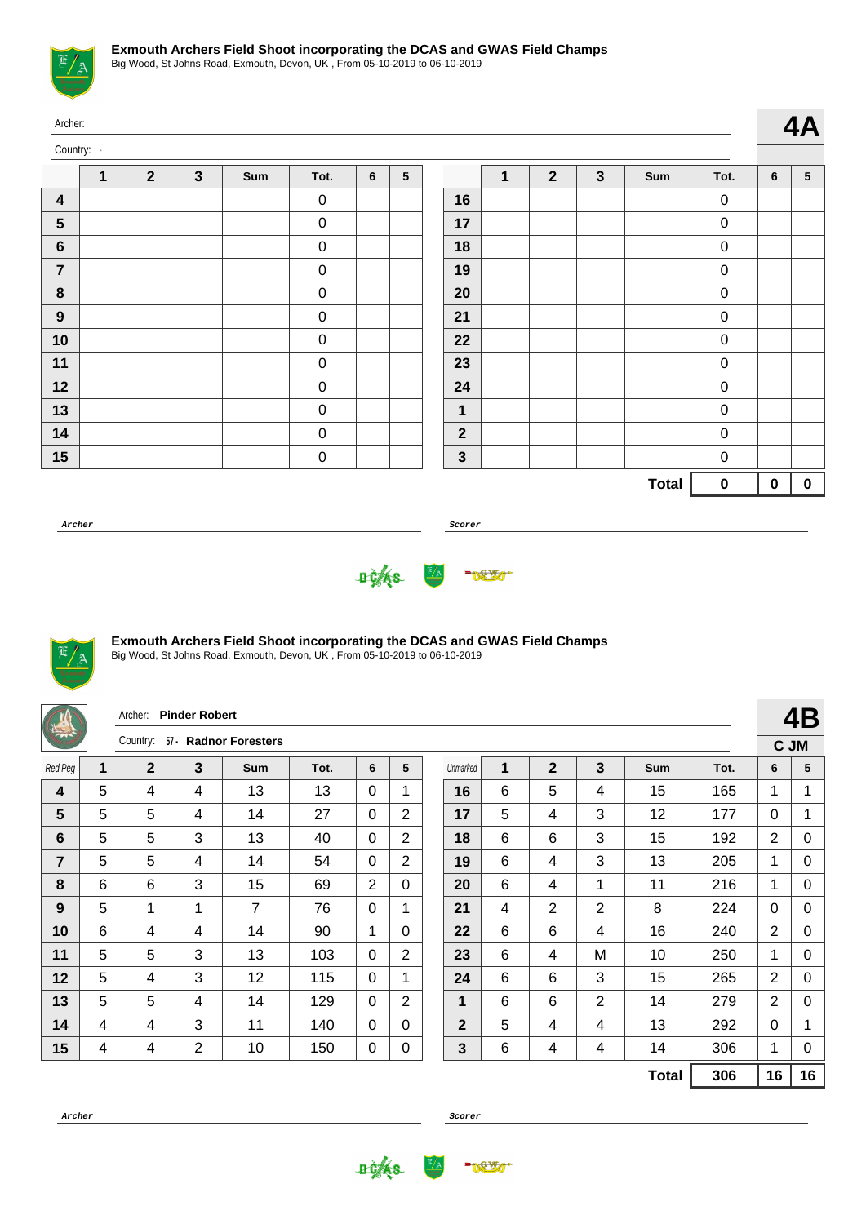

|                  | Archer:<br>Country:<br>$\overline{2}$<br>$\overline{2}$<br>$\mathbf{3}$<br>$\mathbf{3}$<br>1<br>1<br>Sum<br>Tot.<br>6<br>5<br>Sum<br>Tot.<br>$\mathbf 0$<br>$\mathbf 0$<br>16 |  |  |  |                  |  |  |              |  |  |  |              |                  |                |                |
|------------------|-------------------------------------------------------------------------------------------------------------------------------------------------------------------------------|--|--|--|------------------|--|--|--------------|--|--|--|--------------|------------------|----------------|----------------|
|                  |                                                                                                                                                                               |  |  |  |                  |  |  |              |  |  |  |              |                  |                | 4A             |
|                  |                                                                                                                                                                               |  |  |  |                  |  |  |              |  |  |  |              |                  | $6\phantom{1}$ | 5 <sup>5</sup> |
| $\boldsymbol{4}$ |                                                                                                                                                                               |  |  |  |                  |  |  |              |  |  |  |              |                  |                |                |
| $5\phantom{.0}$  |                                                                                                                                                                               |  |  |  | $\pmb{0}$        |  |  | 17           |  |  |  |              | $\mathbf 0$      |                |                |
| $\boldsymbol{6}$ |                                                                                                                                                                               |  |  |  | $\pmb{0}$        |  |  | 18           |  |  |  |              | $\mathbf 0$      |                |                |
| $\overline{7}$   |                                                                                                                                                                               |  |  |  | $\pmb{0}$        |  |  | 19           |  |  |  |              | $\pmb{0}$        |                |                |
| $\boldsymbol{8}$ |                                                                                                                                                                               |  |  |  | $\pmb{0}$        |  |  | 20           |  |  |  |              | $\boldsymbol{0}$ |                |                |
| $\boldsymbol{9}$ |                                                                                                                                                                               |  |  |  | $\boldsymbol{0}$ |  |  | 21           |  |  |  |              | $\pmb{0}$        |                |                |
| 10               |                                                                                                                                                                               |  |  |  | $\pmb{0}$        |  |  | 22           |  |  |  |              | $\mathbf 0$      |                |                |
| 11               |                                                                                                                                                                               |  |  |  | $\pmb{0}$        |  |  | 23           |  |  |  |              | $\pmb{0}$        |                |                |
| 12               |                                                                                                                                                                               |  |  |  | $\pmb{0}$        |  |  | 24           |  |  |  |              | $\boldsymbol{0}$ |                |                |
| 13               |                                                                                                                                                                               |  |  |  | $\pmb{0}$        |  |  | $\mathbf 1$  |  |  |  |              | $\pmb{0}$        |                |                |
| 14               |                                                                                                                                                                               |  |  |  | $\pmb{0}$        |  |  | $\mathbf{2}$ |  |  |  |              | $\pmb{0}$        |                |                |
| 15               |                                                                                                                                                                               |  |  |  | $\pmb{0}$        |  |  | $\mathbf{3}$ |  |  |  |              | $\boldsymbol{0}$ |                |                |
|                  |                                                                                                                                                                               |  |  |  |                  |  |  |              |  |  |  | <b>Total</b> | $\bf{0}$         | $\mathbf 0$    | $\mathbf 0$    |

**Archer Scorer**





## **Exmouth Archers Field Shoot incorporating the DCAS and GWAS Field Champs**

Big Wood, St Johns Road, Exmouth, Devon, UK , From 05-10-2019 to 06-10-2019

|                                                                                                                                                |                                                                                                              | Archer:      | <b>Pinder Robert</b> |                       |      |                |                |                |   |              |                |              |      |                | 4B |
|------------------------------------------------------------------------------------------------------------------------------------------------|--------------------------------------------------------------------------------------------------------------|--------------|----------------------|-----------------------|------|----------------|----------------|----------------|---|--------------|----------------|--------------|------|----------------|----|
|                                                                                                                                                |                                                                                                              | Country:     |                      | 57 - Radnor Foresters |      |                |                |                |   |              |                |              |      | C JM           |    |
| Red Peg                                                                                                                                        | $\mathbf{1}$                                                                                                 | $\mathbf{2}$ | $\mathbf{3}$         | <b>Sum</b>            | Tot. | 6              | 5              | Unmarked       | 1 | $\mathbf{2}$ | 3              | Sum          | Tot. | 6              | 5  |
| 4                                                                                                                                              | 5                                                                                                            | 4            | 4                    | 13                    | 13   | $\Omega$       | 1              | 16             | 6 | 5            | 4              | 15           | 165  | $\mathbf{1}$   | 1  |
| 5                                                                                                                                              | 5                                                                                                            | 5            | 4                    | 14                    | 27   | $\mathbf{0}$   | $\overline{2}$ | 17             | 5 | 4            | 3              | 12           | 177  | $\mathbf{0}$   | 1  |
| $6\phantom{1}6$                                                                                                                                | 5                                                                                                            | 5            | 3                    | 13                    | 40   | $\Omega$       | $\overline{2}$ | 18             | 6 | 6            | 3              | 15           | 192  | $\overline{2}$ | 0  |
| 7                                                                                                                                              | 5                                                                                                            | 5            | 4                    | 14                    | 54   | $\Omega$       | 2              | 19             | 6 | 4            | 3              | 13           | 205  | 1              | 0  |
| 8                                                                                                                                              | 6                                                                                                            | 6            | 3                    | 15                    | 69   | $\overline{2}$ | $\Omega$       | 20             | 6 | 4            | 1              | 11           | 216  | $\mathbf{1}$   | 0  |
| 5<br>$\overline{7}$<br>$\overline{2}$<br>$\overline{2}$<br>8<br>$\mathbf{1}$<br>21<br>9<br>1<br>76<br>4<br>224<br>$\mathbf{0}$<br>$\mathbf{1}$ |                                                                                                              |              |                      |                       |      |                |                |                |   |              |                |              |      |                | 0  |
| 10                                                                                                                                             | $\mathbf{0}$<br>6<br>6<br>6<br>$\overline{2}$<br>4<br>14<br>90<br>16<br>240<br>4<br>1<br>$\Omega$<br>22<br>4 |              |                      |                       |      |                |                |                |   |              |                |              |      |                |    |
| 11                                                                                                                                             | 5                                                                                                            | 5            | 3                    | 13                    | 103  | $\Omega$       | $\overline{2}$ | 23             | 6 | 4            | M              | 10           | 250  | 1              | 0  |
| 12                                                                                                                                             | 5                                                                                                            | 4            | 3                    | 12                    | 115  | $\Omega$       | $\mathbf 1$    | 24             | 6 | 6            | 3              | 15           | 265  | $\overline{2}$ | 0  |
| 13                                                                                                                                             | 5                                                                                                            | 5            | 4                    | 14                    | 129  | $\mathbf{0}$   | $\overline{2}$ | 1              | 6 | 6            | $\overline{2}$ | 14           | 279  | $\overline{2}$ | 0  |
| 14                                                                                                                                             | 4                                                                                                            | 4            | 3                    | 11                    | 140  | $\Omega$       | $\Omega$       | $\overline{2}$ | 5 | 4            | 4              | 13           | 292  | $\Omega$       | 1  |
| 15                                                                                                                                             | 4                                                                                                            | 4            | $\overline{2}$       | 10                    | 150  | 0              | 0              | 3              | 6 | 4            | 4              | 14           | 306  | $\mathbf 1$    | 0  |
|                                                                                                                                                |                                                                                                              |              |                      |                       |      |                |                |                |   |              |                | <b>Total</b> | 306  | 16             | 16 |



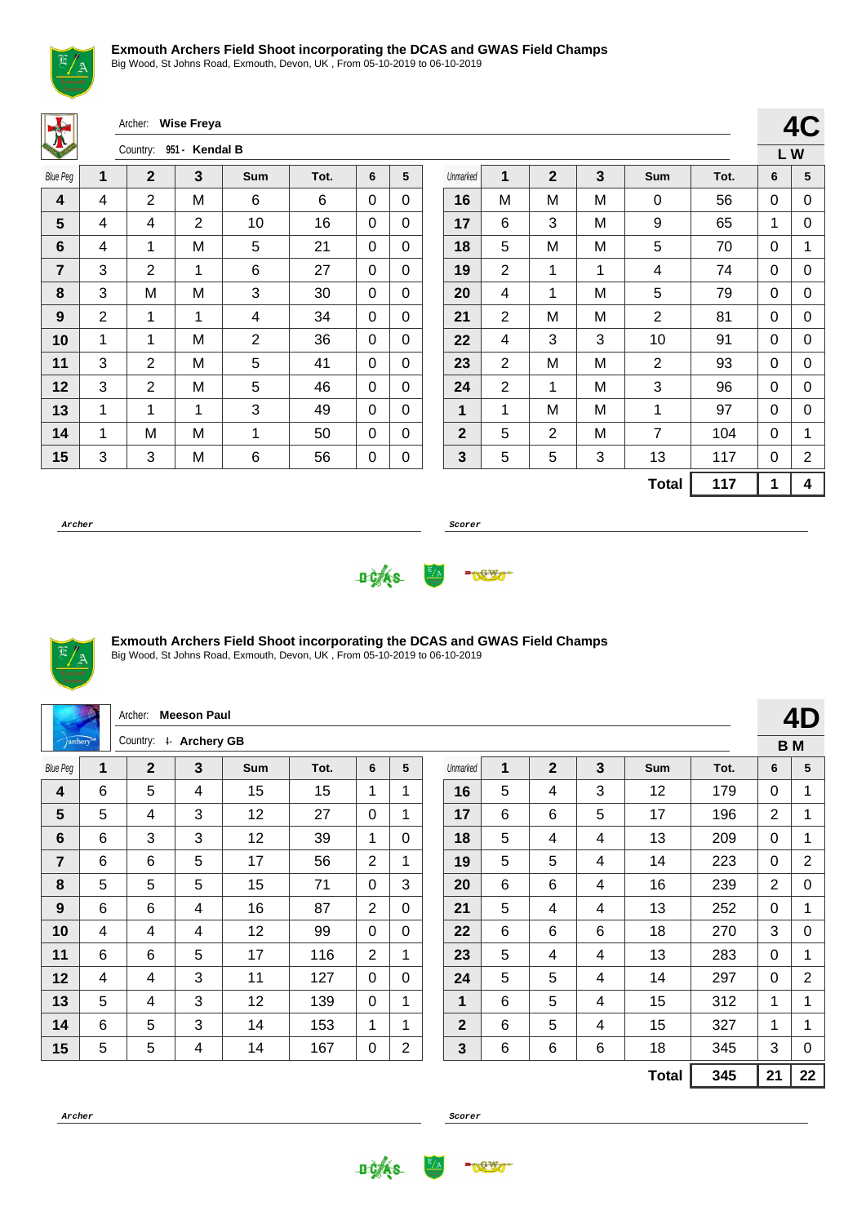

Big Wood, St Johns Road, Exmouth, Devon, UK , From 05-10-2019 to 06-10-2019

Archer: **Wise Freya**

| <b>KEITEN ST</b>        |   | Country:       | 951 - Kendal B |                |      |   |   |
|-------------------------|---|----------------|----------------|----------------|------|---|---|
| <b>Blue Peg</b>         | 1 | $\mathbf 2$    | 3              | Sum            | Tot. | 6 | 5 |
| $\overline{\mathbf{4}}$ | 4 | $\overline{2}$ | M              | 6              | 6    | 0 | 0 |
| 5                       | 4 | 4              | 2              | 10             | 16   | 0 | 0 |
| 6                       | 4 | 1              | Μ              | 5              | 21   | 0 | 0 |
| $\overline{7}$          | 3 | 2              | 1              | 6              | 27   | 0 | 0 |
| 8                       | 3 | M              | M              | 3              | 30   | 0 | 0 |
| 9                       | 2 | 1              | 1              | 4              | 34   | 0 | 0 |
| 10                      | 1 | 1              | Μ              | $\overline{2}$ | 36   | 0 | 0 |
| 11                      | 3 | 2              | M              | 5              | 41   | 0 | 0 |
| 12                      | 3 | 2              | M              | 5              | 46   | 0 | 0 |
| 13                      | 1 | 1              | 1              | 3              | 49   | 0 | 0 |
| 14                      | 1 | M              | Μ              | 1              | 50   | 0 | 0 |
| 15                      | 3 | 3              | M              | 6              | 56   | 0 | 0 |

|                  |                |                |   |                |      |    | 4C |
|------------------|----------------|----------------|---|----------------|------|----|----|
|                  |                |                |   |                |      | LW |    |
| Unmarked         | 1              | $\overline{2}$ | 3 | Sum            | Tot. | 6  | 5  |
| 16               | M              | M              | M | 0              | 56   | 0  | 0  |
| 17               | 6              | 3              | M | 9              | 65   | 1  | 0  |
| 18               | 5              | M              | M | 5              | 70   | 0  | 1  |
| 19               | 2              | 1              | 1 | 4              | 74   | 0  | 0  |
| 20               | 4              | 1              | M | 5              | 79   | 0  | 0  |
| 21               | $\overline{2}$ | M              | M | $\overline{2}$ | 81   | 0  | 0  |
| 22               | 4              | 3              | 3 | 10             | 91   | 0  | 0  |
| 23               | $\overline{2}$ | M              | М | 2              | 93   | 0  | 0  |
| 24               | $\overline{2}$ | 1              | M | 3              | 96   | 0  | 0  |
| 1                | 1              | M              | M | 1              | 97   | 0  | 0  |
| $\boldsymbol{2}$ | 5              | $\overline{2}$ | M | $\overline{7}$ | 104  | 0  | 1  |
| $\mathbf{3}$     | 5              | 5              | 3 | 13             | 117  | 0  | 2  |
|                  |                |                |   | <b>Total</b>   | 117  | 1  | 4  |

**Archer Scorer**





# **Exmouth Archers Field Shoot incorporating the DCAS and GWAS Field Champs**

Big Wood, St Johns Road, Exmouth, Devon, UK , From 05-10-2019 to 06-10-2019

|                 |                                                                                                         | Archer:               | <b>Meeson Paul</b> |     |      |                |                |          |   |              |   |              |      |                | 4D             |
|-----------------|---------------------------------------------------------------------------------------------------------|-----------------------|--------------------|-----|------|----------------|----------------|----------|---|--------------|---|--------------|------|----------------|----------------|
| jarchery        |                                                                                                         | Country: 4 Archery GB |                    |     |      |                |                |          |   |              |   |              |      |                | <b>BM</b>      |
| <b>Blue Peg</b> | 1                                                                                                       | $\mathbf{2}$          | 3                  | Sum | Tot. | 6              | 5              | Unmarked | 1 | $\mathbf{2}$ | 3 | Sum          | Tot. | 6              | 5              |
| 4               | 6                                                                                                       | 5                     | 4                  | 15  | 15   | 1              | $\mathbf{1}$   | 16       | 5 | 4            | 3 | 12           | 179  | $\Omega$       | 1              |
| 5               | 5                                                                                                       | 4                     | 3                  | 12  | 27   | $\mathbf 0$    | $\mathbf{1}$   | 17       | 6 | 6            | 5 | 17           | 196  | $\overline{2}$ | 1              |
| 6               | 6                                                                                                       | 3                     | 3                  | 12  | 39   | 1              | $\Omega$       | 18       | 5 | 4            | 4 | 13           | 209  | $\Omega$       | $\mathbf{1}$   |
| $\overline{7}$  | 6                                                                                                       | 6                     | 5                  | 17  | 56   | 2              | $\mathbf{1}$   | 19       | 5 | 5            | 4 | 14           | 223  | $\mathbf{0}$   | $\overline{2}$ |
| 8               | 5<br>5<br>5<br>15<br>6<br>16<br>71<br>3<br>20<br>6<br>239<br>$\overline{2}$<br>$\Omega$<br>4            |                       |                    |     |      |                |                |          |   |              |   |              |      |                |                |
| 9               | 5<br>87<br>6<br>6<br>16<br>$\overline{2}$<br>21<br>13<br>252<br>4<br>$\Omega$<br>4<br>$\mathbf{0}$<br>4 |                       |                    |     |      |                |                |          |   |              |   |              |      |                |                |
| 10              | 6<br>6<br>6<br>3<br>12<br>99<br>0<br>18<br>4<br>$\Omega$<br>270<br>4<br>22<br>4                         |                       |                    |     |      |                |                |          |   |              |   |              |      |                |                |
| 11              | 6                                                                                                       | 6                     | 5                  | 17  | 116  | $\overline{2}$ | 1              | 23       | 5 | 4            | 4 | 13           | 283  | $\mathbf{0}$   | 1              |
| 12              | 4                                                                                                       | 4                     | 3                  | 11  | 127  | $\Omega$       | $\mathbf{0}$   | 24       | 5 | 5            | 4 | 14           | 297  | $\mathbf{0}$   | $\overline{2}$ |
| 13              | 5                                                                                                       | 4                     | 3                  | 12  | 139  | $\mathbf{0}$   | 1              | 1        | 6 | 5            | 4 | 15           | 312  | $\mathbf{1}$   | 1              |
| 14              | 6                                                                                                       | 5                     | 3                  | 14  | 153  | 1              | 1              | 2        | 6 | 5            | 4 | 15           | 327  | $\mathbf{1}$   | 1              |
| 15              | 5                                                                                                       | 5                     | 4                  | 14  | 167  | 0              | $\overline{2}$ | 3        | 6 | 6            | 6 | 18           | 345  | 3              | 0              |
|                 |                                                                                                         |                       |                    |     |      |                |                |          |   |              |   | <b>Total</b> | 345  | 21             | 22             |



**DCAS** 

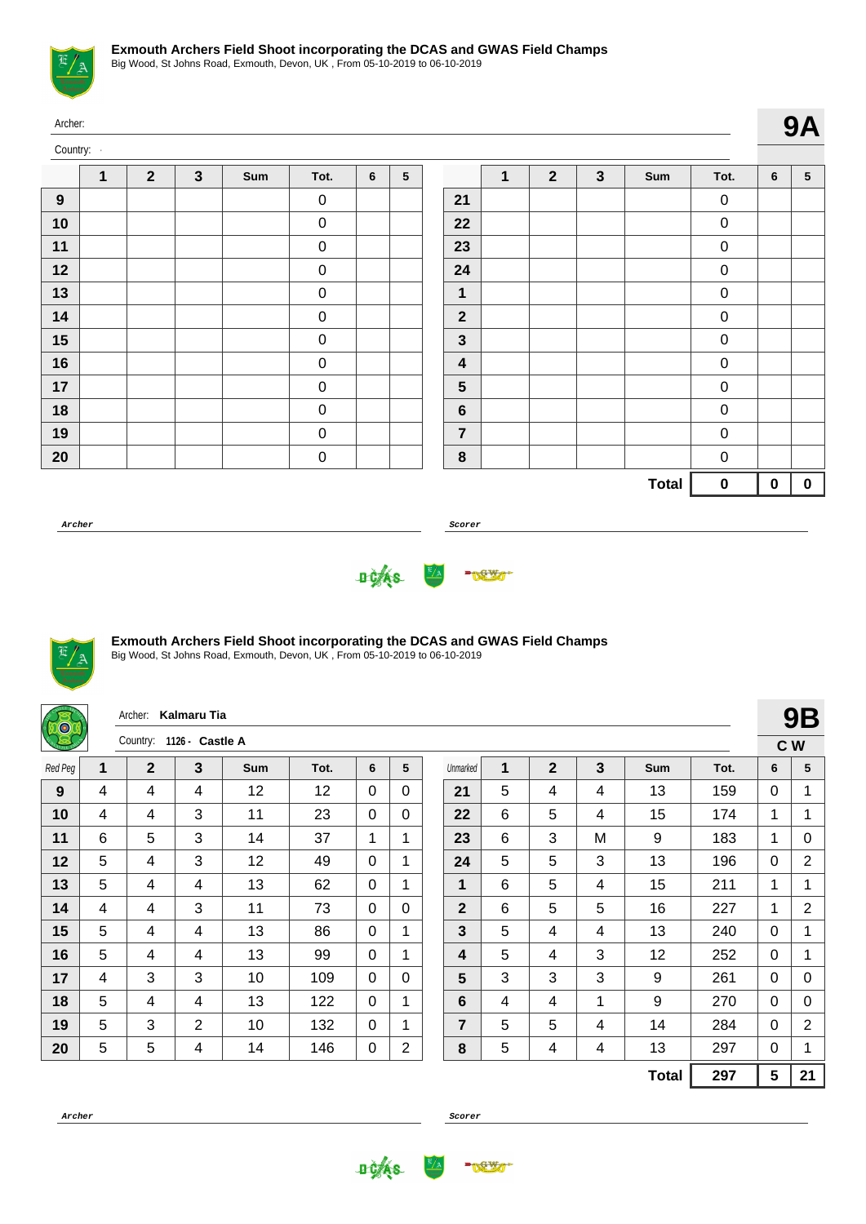

|    | Archer:<br>Country:<br>$\mathbf{2}$<br>$\mathbf{3}$<br>$\overline{2}$<br>$\mathbf{3}$<br>1<br>1<br>$5\phantom{.0}$<br>Sum<br>Sum<br>Tot.<br>6<br>Tot.<br>$\pmb{0}$<br>$\mathbf 0$<br>21<br>22<br>$\boldsymbol{0}$<br>0<br>23<br>$\pmb{0}$<br>$\pmb{0}$<br>$\boldsymbol{0}$<br>24<br>$\pmb{0}$<br>$\pmb{0}$<br>1<br>0 |  |  |  |                  |  |  |                         |  |  |  |              |           |          |                 |
|----|----------------------------------------------------------------------------------------------------------------------------------------------------------------------------------------------------------------------------------------------------------------------------------------------------------------------|--|--|--|------------------|--|--|-------------------------|--|--|--|--------------|-----------|----------|-----------------|
|    |                                                                                                                                                                                                                                                                                                                      |  |  |  |                  |  |  |                         |  |  |  |              |           |          | <b>9A</b>       |
|    |                                                                                                                                                                                                                                                                                                                      |  |  |  |                  |  |  |                         |  |  |  |              |           | 6        | $5\phantom{.0}$ |
| 9  |                                                                                                                                                                                                                                                                                                                      |  |  |  |                  |  |  |                         |  |  |  |              |           |          |                 |
| 10 |                                                                                                                                                                                                                                                                                                                      |  |  |  |                  |  |  |                         |  |  |  |              |           |          |                 |
| 11 |                                                                                                                                                                                                                                                                                                                      |  |  |  |                  |  |  |                         |  |  |  |              |           |          |                 |
| 12 |                                                                                                                                                                                                                                                                                                                      |  |  |  |                  |  |  |                         |  |  |  |              |           |          |                 |
| 13 |                                                                                                                                                                                                                                                                                                                      |  |  |  |                  |  |  |                         |  |  |  |              |           |          |                 |
| 14 |                                                                                                                                                                                                                                                                                                                      |  |  |  | $\pmb{0}$        |  |  | $\mathbf{2}$            |  |  |  |              | $\pmb{0}$ |          |                 |
| 15 |                                                                                                                                                                                                                                                                                                                      |  |  |  | $\pmb{0}$        |  |  | 3                       |  |  |  |              | $\pmb{0}$ |          |                 |
| 16 |                                                                                                                                                                                                                                                                                                                      |  |  |  | $\pmb{0}$        |  |  | $\overline{\mathbf{4}}$ |  |  |  |              | 0         |          |                 |
| 17 |                                                                                                                                                                                                                                                                                                                      |  |  |  | $\pmb{0}$        |  |  | 5                       |  |  |  |              | $\pmb{0}$ |          |                 |
| 18 |                                                                                                                                                                                                                                                                                                                      |  |  |  | $\pmb{0}$        |  |  | 6                       |  |  |  |              | 0         |          |                 |
| 19 |                                                                                                                                                                                                                                                                                                                      |  |  |  | $\boldsymbol{0}$ |  |  | $\overline{7}$          |  |  |  |              | 0         |          |                 |
| 20 |                                                                                                                                                                                                                                                                                                                      |  |  |  | $\pmb{0}$        |  |  | 8                       |  |  |  |              | $\pmb{0}$ |          |                 |
|    |                                                                                                                                                                                                                                                                                                                      |  |  |  |                  |  |  |                         |  |  |  | <b>Total</b> | $\pmb{0}$ | $\bf{0}$ | $\bf{0}$        |

**Archer Scorer**





## **Exmouth Archers Field Shoot incorporating the DCAS and GWAS Field Champs**

Big Wood, St Johns Road, Exmouth, Devon, UK , From 05-10-2019 to 06-10-2019

| 50      |   | Archer:                  | <b>Kalmaru Tia</b> |            |      |              |                |                |   |                |   |              |      |                 | <b>9B</b>      |
|---------|---|--------------------------|--------------------|------------|------|--------------|----------------|----------------|---|----------------|---|--------------|------|-----------------|----------------|
| 尽       |   | Country: 1126 - Castle A |                    |            |      |              |                |                |   |                |   |              |      |                 | C W            |
| Red Peg | 1 | $\mathbf{2}$             | 3                  | <b>Sum</b> | Tot. | 6            | 5              | Unmarked       | 1 | $\overline{2}$ | 3 | Sum          | Tot. | 6               | 5              |
| 9       | 4 | 4                        | 4                  | 12         | 12   | $\Omega$     | $\mathbf{0}$   | 21             | 5 | 4              | 4 | 13           | 159  | $\mathbf 0$     | 1              |
| 10      | 4 | 4                        | 3                  | 11         | 23   | $\Omega$     | $\mathbf{0}$   | 22             | 6 | 5              | 4 | 15           | 174  | 1               | 1              |
| 11      | 6 | 5                        | 3                  | 14         | 37   | 1            | 1              | 23             | 6 | 3              | M | 9            | 183  | 1               | 0              |
| 12      | 5 | 4                        | 3                  | 12         | 49   | $\Omega$     | 1              | 24             | 5 | 5              | 3 | 13           | 196  | 0               | $\overline{2}$ |
| 13      | 5 | 4                        | 4                  | 13         | 62   | $\Omega$     | 1              | 1              | 6 | 5              | 4 | 15           | 211  | 1               | 1              |
| 14      | 4 | 4                        | 3                  | 11         | 73   | $\mathbf{0}$ | $\mathbf 0$    | $\overline{2}$ | 6 | 5              | 5 | 16           | 227  | 1               | $\overline{2}$ |
| 15      | 5 | 4                        | 4                  | 13         | 86   | $\Omega$     | 1              | 3              | 5 | 4              | 4 | 13           | 240  | $\mathbf{0}$    | 1              |
| 16      | 5 | 4                        | 4                  | 13         | 99   | $\Omega$     | 1              | 4              | 5 | 4              | 3 | 12           | 252  | 0               | 1              |
| 17      | 4 | 3                        | 3                  | 10         | 109  | $\Omega$     | $\mathbf{0}$   | 5              | 3 | 3              | 3 | 9            | 261  | $\mathbf{0}$    | 0              |
| 18      | 5 | 4                        | 4                  | 13         | 122  | $\Omega$     | $\mathbf{1}$   | 6              | 4 | 4              | 1 | 9            | 270  | $\Omega$        | 0              |
| 19      | 5 | 3                        | 2                  | 10         | 132  | $\Omega$     | 1              | 7              | 5 | 5              | 4 | 14           | 284  | $\mathbf{0}$    | $\overline{2}$ |
| 20      | 5 | 5                        | 4                  | 14         | 146  | 0            | $\overline{2}$ | 8              | 5 | 4              | 4 | 13           | 297  | 0               | 1              |
|         |   |                          |                    |            |      |              |                |                |   |                |   | <b>Total</b> | 297  | $5\phantom{.0}$ | 21             |

**Archer Scorer**

**DCAS** 

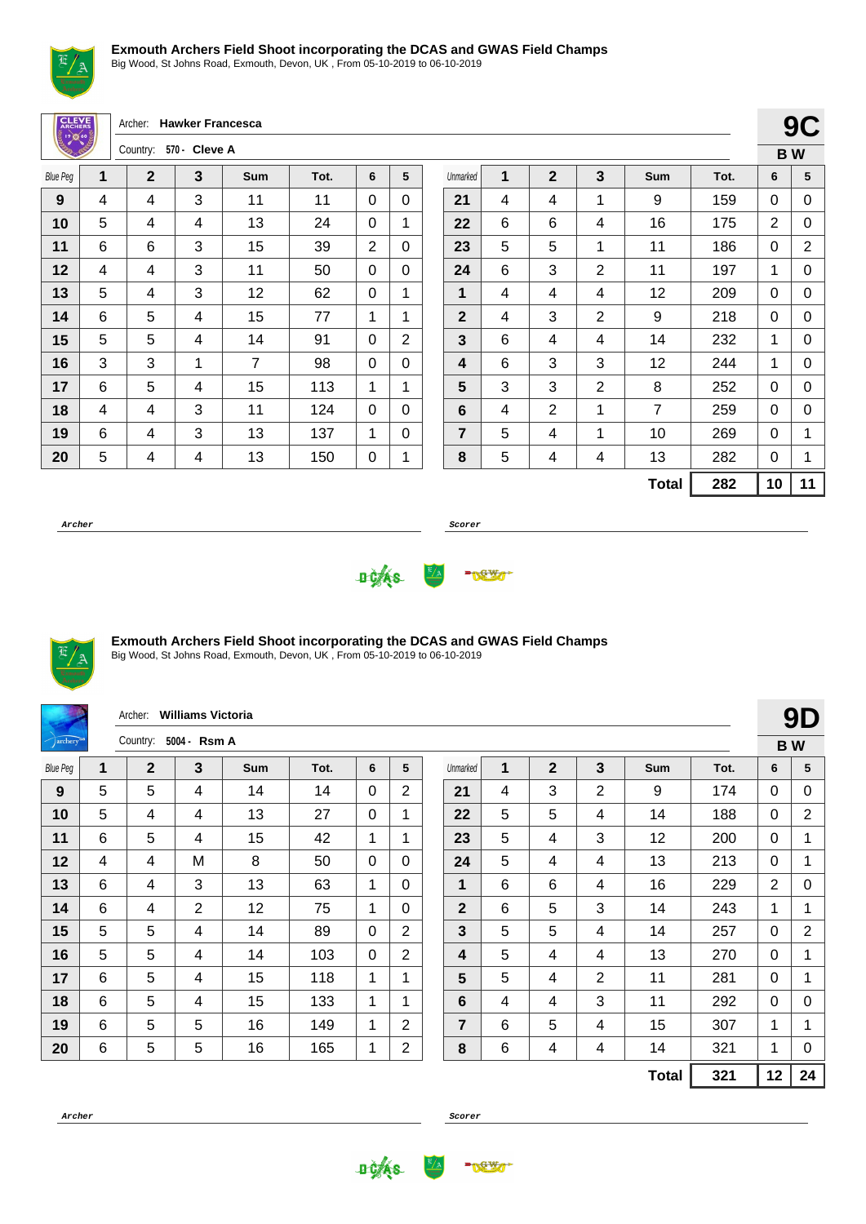

Big Wood, St Johns Road, Exmouth, Devon, UK , From 05-10-2019 to 06-10-2019

Archer: **Hawker Francesca CLEV** Country: **570 - Cleve A** Blue Peg **1 2 3 Sum Tot. 6 5**  $\overline{\phantom{a}}$  | 4 | 4 | 3 | 11 | 11 | 0 | 0 | 5 | 4 | 4 | 13 | 24 | 0 | 1 | 6 | 6 | 3 | 15 | 39 | 2 | 0 | 4 | 4 | 3 | 11 | 50 | 0 | 0 | 5 | 4 | 3 | 12 | 62 | 0 | 1 | 6 | 5 | 4 | 15 | 77 | 1 | 1 | 5 | 4 | 14 | 91 | 0 | 2 3 3 1 7 98 0 0 | 6 | 5 | 4 | 15 | 113 | 1 | 1 4 4 4 3 11 124 0 0 | 6 | 4 | 3 | 13 | 137 | 1 | 0

|                |   |                |                |                |      |    | B W |
|----------------|---|----------------|----------------|----------------|------|----|-----|
| Unmarked       | 1 | $\mathbf{2}$   | 3              | Sum            | Tot. | 6  | 5   |
| 21             | 4 | 4              | 1              | 9              | 159  | 0  | 0   |
| 22             | 6 | 6              | 4              | 16             | 175  | 2  | 0   |
| 23             | 5 | 5              | 1              | 11             | 186  | 0  | 2   |
| 24             | 6 | 3              | 2              | 11             | 197  | 1  | 0   |
| 1              | 4 | 4              | 4              | 12             | 209  | 0  | 0   |
| $\mathbf{2}$   | 4 | 3              | 2              | 9              | 218  | 0  | 0   |
| 3              | 6 | 4              | 4              | 14             | 232  | 1  | 0   |
| 4              | 6 | 3              | 3              | 12             | 244  | 1  | 0   |
| 5              | 3 | 3              | $\overline{2}$ | 8              | 252  | 0  | 0   |
| 6              | 4 | $\overline{2}$ | 1              | $\overline{7}$ | 259  | 0  | 0   |
| $\overline{7}$ | 5 | 4              | 1              | 10             | 269  | 0  | 1   |
| 8              | 5 | 4              | 4              | 13             | 282  | 0  | 1   |
|                |   |                |                | <b>Total</b>   | 282  | 10 | 11  |

**9C**

**Archer Scorer**





## **Exmouth Archers Field Shoot incorporating the DCAS and GWAS Field Champs**

Big Wood, St Johns Road, Exmouth, Devon, UK , From 05-10-2019 to 06-10-2019

| 5 | 4 | 4 | 13 | 150 | 0 | 1

|                          |   | Archer:        | <b>Williams Victoria</b> |     |      |   |                |                |   |                |                |              |      |                | 9D             |
|--------------------------|---|----------------|--------------------------|-----|------|---|----------------|----------------|---|----------------|----------------|--------------|------|----------------|----------------|
| $\sqrt{archery^{\circ}}$ |   | Country:       | 5004 - Rsm A             |     |      |   |                |                |   |                |                |              |      | <b>BW</b>      |                |
| <b>Blue Peg</b>          | 1 | $\overline{2}$ | 3                        | Sum | Tot. | 6 | 5              | Unmarked       | 1 | $\overline{2}$ | 3              | <b>Sum</b>   | Tot. | 6              | 5              |
| 9                        | 5 | 5              | 4                        | 14  | 14   | 0 | 2              | 21             | 4 | 3              | 2              | 9            | 174  | 0              | 0              |
| 10                       | 5 | 4              | 4                        | 13  | 27   | 0 | $\mathbf 1$    | 22             | 5 | 5              | 4              | 14           | 188  | 0              | $\overline{2}$ |
| 11                       | 6 | 5              | 4                        | 15  | 42   | 1 | 1              | 23             | 5 | 4              | 3              | 12           | 200  | 0              | 1              |
| 12                       | 4 | 4              | M                        | 8   | 50   | 0 | $\mathbf{0}$   | 24             | 5 | 4              | 4              | 13           | 213  | 0              | 1              |
| 13                       | 6 | 4              | 3                        | 13  | 63   | 1 | 0              | 1              | 6 | 6              | 4              | 16           | 229  | $\overline{2}$ | 0              |
| 14                       | 6 | 4              | 2                        | 12  | 75   | 1 | $\Omega$       | $\overline{2}$ | 6 | 5              | 3              | 14           | 243  | 1              | 1              |
| 15                       | 5 | 5              | 4                        | 14  | 89   | 0 | $\overline{2}$ | 3              | 5 | 5              | 4              | 14           | 257  | 0              | 2              |
| 16                       | 5 | 5              | 4                        | 14  | 103  | 0 | $\overline{2}$ | 4              | 5 | 4              | 4              | 13           | 270  | 0              | 1              |
| 17                       | 6 | 5              | 4                        | 15  | 118  | 1 | 1              | 5              | 5 | 4              | $\overline{2}$ | 11           | 281  | 0              | 1              |
| 18                       | 6 | 5              | 4                        | 15  | 133  | 1 | 1              | 6              | 4 | 4              | 3              | 11           | 292  | 0              | 0              |
| 19                       | 6 | 5              | 5                        | 16  | 149  | 1 | 2              | 7              | 6 | 5              | 4              | 15           | 307  | 1              | 1              |
| 20                       | 6 | 5              | 5                        | 16  | 165  | 1 | 2              | 8              | 6 | 4              | 4              | 14           | 321  | 1              | 0              |
|                          |   |                |                          |     |      |   |                |                |   |                |                | <b>Total</b> | 321  | 12             | 24             |



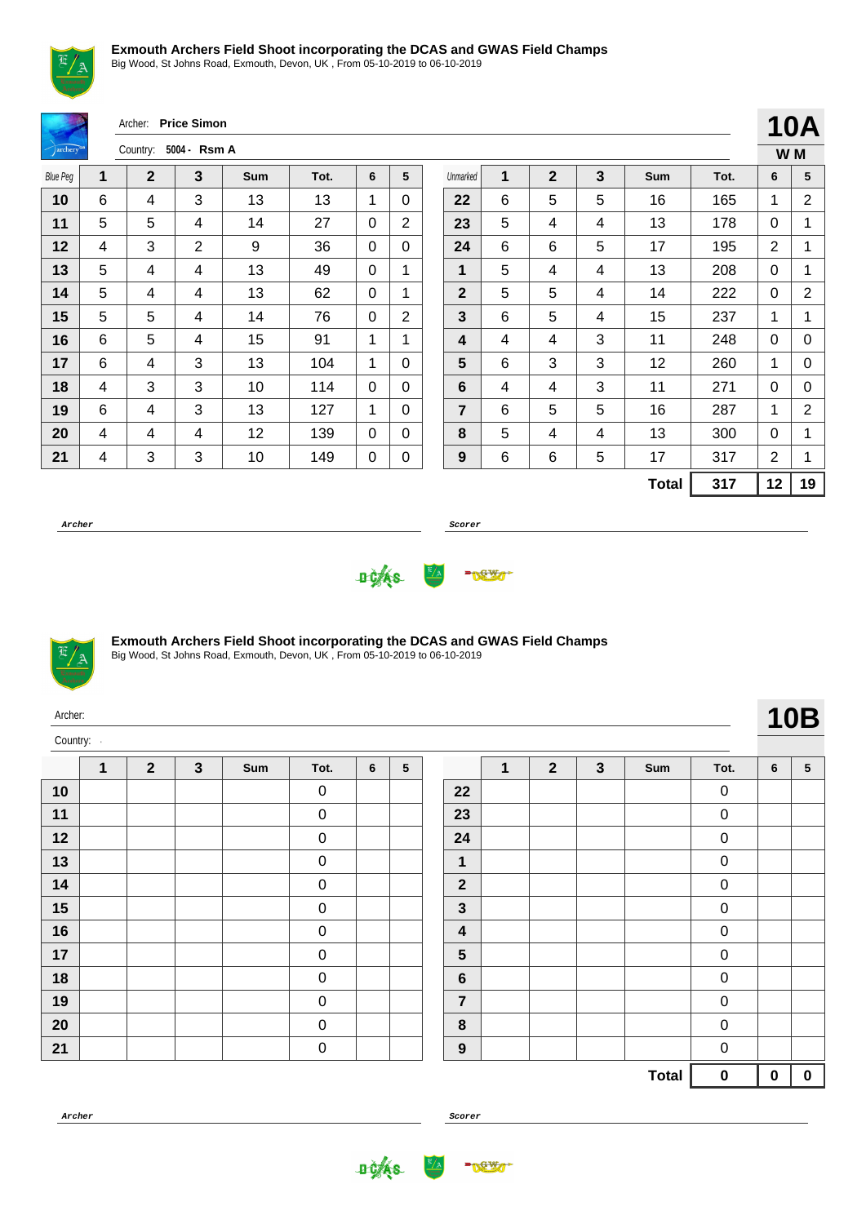

Big Wood, St Johns Road, Exmouth, Devon, UK , From 05-10-2019 to 06-10-2019

|                      |   | Archer:        | <b>Price Simon</b>      |            |      |             |                |                |   |              |                         |              |      |                 |                |
|----------------------|---|----------------|-------------------------|------------|------|-------------|----------------|----------------|---|--------------|-------------------------|--------------|------|-----------------|----------------|
| archery <sup>®</sup> |   | Country:       | 5004 - Rsm A            |            |      |             |                |                |   |              |                         |              |      | 10/             | W M            |
| <b>Blue Peg</b>      | 1 | $\overline{2}$ | $\overline{\mathbf{3}}$ | <b>Sum</b> | Tot. | 6           | 5              | Unmarked       | 1 | $\mathbf{2}$ | $\overline{\mathbf{3}}$ | <b>Sum</b>   | Tot. | 6               | 5              |
| 10                   | 6 | 4              | 3                       | 13         | 13   | 1           | 0              | 22             | 6 | 5            | 5                       | 16           | 165  | 1               | $\overline{2}$ |
| 11                   | 5 | 5              | 4                       | 14         | 27   | 0           | $\overline{2}$ | 23             | 5 | 4            | 4                       | 13           | 178  | $\mathbf 0$     | 1              |
| 12                   | 4 | 3              | $\overline{2}$          | 9          | 36   | $\Omega$    | $\Omega$       | 24             | 6 | 6            | 5                       | 17           | 195  | $\overline{2}$  | 1              |
| 13                   | 5 | 4              | 4                       | 13         | 49   | 0           | 1              | 1              | 5 | 4            | 4                       | 13           | 208  | $\Omega$        | 1              |
| 14                   | 5 | 4              | 4                       | 13         | 62   | $\mathbf 0$ | 1              | $\mathbf{2}$   | 5 | 5            | 4                       | 14           | 222  | $\mathbf 0$     | $\overline{2}$ |
| 15                   | 5 | 5              | 4                       | 14         | 76   | 0           | $\overline{2}$ | $\overline{3}$ | 6 | 5            | 4                       | 15           | 237  | 1               | 1              |
| 16                   | 6 | 5              | 4                       | 15         | 91   | 1           | 1              | 4              | 4 | 4            | 3                       | 11           | 248  | $\Omega$        | C              |
| 17                   | 6 | 4              | 3                       | 13         | 104  | 1           | $\mathbf 0$    | 5              | 6 | 3            | 3                       | 12           | 260  | 1               | C              |
| 18                   | 4 | 3              | 3                       | 10         | 114  | 0           | $\Omega$       | 6              | 4 | 4            | 3                       | 11           | 271  | 0               | C              |
| 19                   | 6 | 4              | 3                       | 13         | 127  | 1           | $\Omega$       | $\overline{7}$ | 6 | 5            | 5                       | 16           | 287  | 1               | 2              |
| 20                   | 4 | 4              | 4                       | 12         | 139  | 0           | $\Omega$       | 8              | 5 | 4            | 4                       | 13           | 300  | $\mathbf 0$     | 1              |
| 21                   | 4 | 3              | 3                       | 10         | 149  | 0           | $\mathbf 0$    | 9              | 6 | 6            | 5                       | 17           | 317  | $\overline{2}$  | 1              |
|                      |   |                |                         |            |      |             |                |                |   |              |                         | <b>Total</b> | 317  | 12 <sub>2</sub> | 1 <sub>1</sub> |
|                      |   |                |                         |            |      |             |                |                |   |              |                         |              |      |                 |                |

**Archer Scorer**





#### **Exmouth Archers Field Shoot incorporating the DCAS and GWAS Field Champs**

Big Wood, St Johns Road, Exmouth, Devon, UK , From 05-10-2019 to 06-10-2019

| Archer:  |   |              |   |     |                  |   |                 |                         |   |              |              |     |                  |   | <b>10B</b> |
|----------|---|--------------|---|-----|------------------|---|-----------------|-------------------------|---|--------------|--------------|-----|------------------|---|------------|
| Country: |   |              |   |     |                  |   |                 |                         |   |              |              |     |                  |   |            |
|          | 1 | $\mathbf{2}$ | 3 | Sum | Tot.             | 6 | $5\phantom{.0}$ |                         | 1 | $\mathbf{2}$ | $\mathbf{3}$ | Sum | Tot.             | 6 | $\sqrt{5}$ |
| 10       |   |              |   |     | $\pmb{0}$        |   |                 | 22                      |   |              |              |     | $\pmb{0}$        |   |            |
| 11       |   |              |   |     | $\pmb{0}$        |   |                 | 23                      |   |              |              |     | $\pmb{0}$        |   |            |
| 12       |   |              |   |     | $\boldsymbol{0}$ |   |                 | 24                      |   |              |              |     | $\mathbf 0$      |   |            |
| 13       |   |              |   |     | 0                |   |                 | 1                       |   |              |              |     | $\pmb{0}$        |   |            |
| 14       |   |              |   |     | $\boldsymbol{0}$ |   |                 | $\overline{2}$          |   |              |              |     | $\mathbf 0$      |   |            |
| 15       |   |              |   |     | 0                |   |                 | $\mathbf{3}$            |   |              |              |     | $\pmb{0}$        |   |            |
| 16       |   |              |   |     | $\boldsymbol{0}$ |   |                 | $\overline{\mathbf{4}}$ |   |              |              |     | $\pmb{0}$        |   |            |
| 17       |   |              |   |     | $\pmb{0}$        |   |                 | 5                       |   |              |              |     | $\mathbf 0$      |   |            |
| 18       |   |              |   |     | $\mathbf 0$      |   |                 | $6\phantom{1}6$         |   |              |              |     | $\mathbf 0$      |   |            |
| 19       |   |              |   |     | $\pmb{0}$        |   |                 | $\overline{7}$          |   |              |              |     | $\mathbf 0$      |   |            |
| 20       |   |              |   |     | $\mathbf 0$      |   |                 | 8                       |   |              |              |     | $\boldsymbol{0}$ |   |            |
| 21       |   |              |   |     | $\pmb{0}$        |   |                 | $9$                     |   |              |              |     | $\pmb{0}$        |   |            |

**Archer Scorer**





**Total 0 0 0**

**Total 317 12 19**

**10A W M**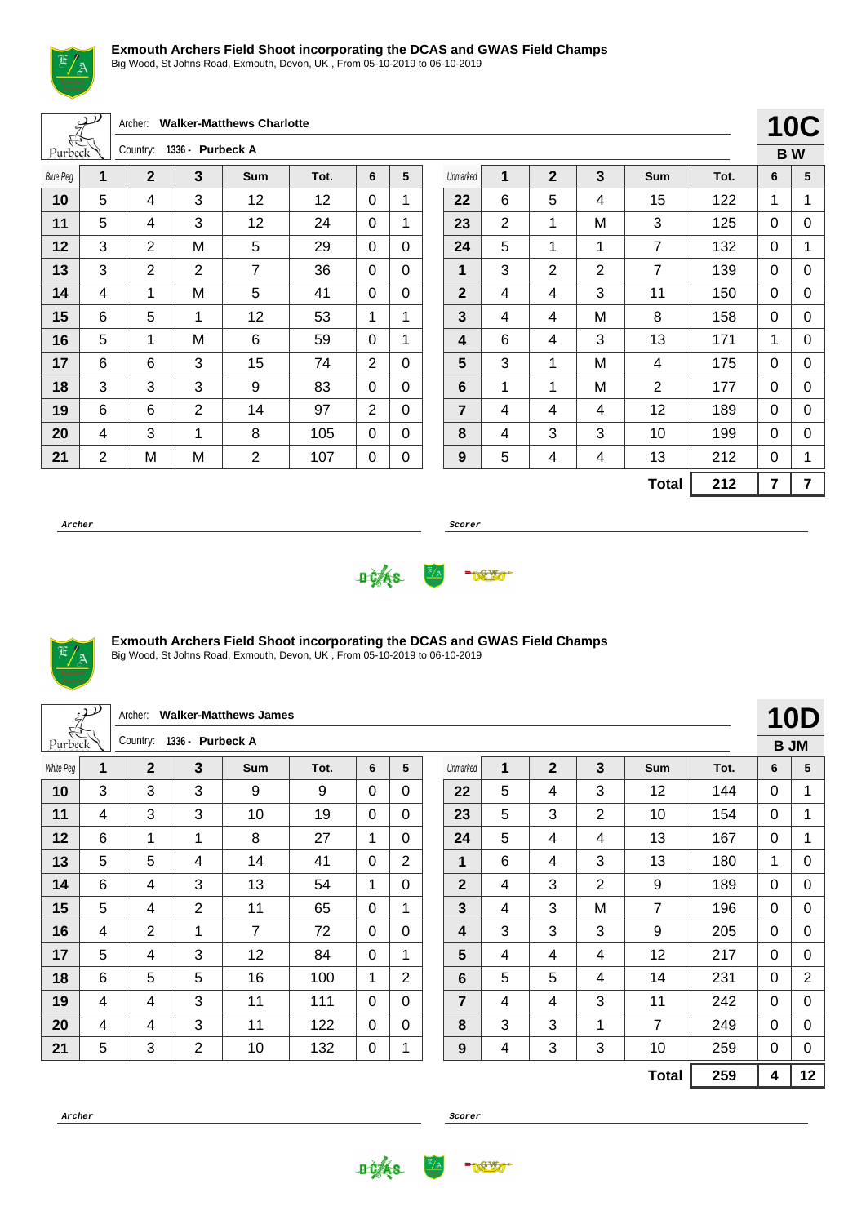

Big Wood, St Johns Road, Exmouth, Devon, UK , From 05-10-2019 to 06-10-2019

|                 | $\mathcal{P}$  | Archer:        |                  | <b>Walker-Matthews Charlotte</b> |      |                |              |                  |                |                |                |                |      |             | <b>10C</b>     |
|-----------------|----------------|----------------|------------------|----------------------------------|------|----------------|--------------|------------------|----------------|----------------|----------------|----------------|------|-------------|----------------|
| Purbeck         |                | Country:       | 1336 - Purbeck A |                                  |      |                |              |                  |                |                |                |                |      |             | <b>BW</b>      |
| <b>Blue Peg</b> | 1              | $\mathbf{2}$   | 3                | <b>Sum</b>                       | Tot. | 6              | 5            | Unmarked         | 1              | $\mathbf{2}$   | 3              | Sum            | Tot. | 6           | 5              |
| 10              | 5              | 4              | 3                | 12                               | 12   | $\Omega$       | 1            | 22               | 6              | 5              | 4              | 15             | 122  | 1           | 1              |
| 11              | 5              | 4              | 3                | 12                               | 24   | $\mathbf{0}$   | 1            | 23               | $\overline{2}$ | 1              | M              | 3              | 125  | 0           | $\mathbf 0$    |
| 12              | 3              | $\overline{2}$ | М                | 5                                | 29   | $\mathbf{0}$   | $\Omega$     | 24               | 5              | 1              | 1              | $\overline{7}$ | 132  | 0           | 1              |
| 13              | 3              | $\overline{2}$ | $\overline{2}$   | $\overline{7}$                   | 36   | $\Omega$       | $\Omega$     | 1                | 3              | $\overline{2}$ | $\overline{2}$ | $\overline{7}$ | 139  | $\mathbf 0$ | 0              |
| 14              | 4              | 1              | М                | 5                                | 41   | $\Omega$       | $\Omega$     | $\overline{2}$   | 4              | 4              | 3              | 11             | 150  | $\Omega$    | 0              |
| 15              | 6              | 5              | 1                | 12                               | 53   | 1              | $\mathbf{1}$ | $\mathbf{3}$     | 4              | 4              | M              | 8              | 158  | 0           | 0              |
| 16              | 5              | 1              | M                | 6                                | 59   | $\Omega$       | 1            | 4                | 6              | 4              | 3              | 13             | 171  | 1           | 0              |
| 17              | 6              | 6              | 3                | 15                               | 74   | $\overline{2}$ | 0            | 5                | 3              | 1              | M              | 4              | 175  | 0           | $\mathbf 0$    |
| 18              | 3              | 3              | 3                | 9                                | 83   | $\Omega$       | 0            | 6                | 1              | 1              | M              | $\overline{2}$ | 177  | $\mathbf 0$ | 0              |
| 19              | 6              | 6              | $\overline{2}$   | 14                               | 97   | 2              | $\Omega$     | $\overline{7}$   | 4              | 4              | 4              | 12             | 189  | 0           | 0              |
| 20              | 4              | 3              | 1                | 8                                | 105  | $\Omega$       | 0            | 8                | 4              | 3              | 3              | 10             | 199  | 0           | 0              |
| 21              | $\overline{2}$ | M              | M                | $\overline{2}$                   | 107  | 0              | 0            | $\boldsymbol{9}$ | 5              | 4              | 4              | 13             | 212  | 0           | 1              |
|                 |                |                |                  |                                  |      |                |              |                  |                |                |                | <b>Total</b>   | 212  | 7           | $\overline{7}$ |

**Archer Scorer**





#### **Exmouth Archers Field Shoot incorporating the DCAS and GWAS Field Champs**

Big Wood, St Johns Road, Exmouth, Devon, UK , From 05-10-2019 to 06-10-2019

|           | $\mathcal{P}$ | Archer:        |                  | <b>Walker-Matthews James</b> |      |          |                |             |   |                |                         |                |      |              | 10D            |
|-----------|---------------|----------------|------------------|------------------------------|------|----------|----------------|-------------|---|----------------|-------------------------|----------------|------|--------------|----------------|
| Purbeck   |               | Country:       | 1336 - Purbeck A |                              |      |          |                |             |   |                |                         |                |      |              | <b>B JM</b>    |
| White Peg | 1             | $\overline{2}$ | 3                | Sum                          | Tot. | 6        | 5              | Unmarked    | 1 | $\overline{2}$ | $\overline{\mathbf{3}}$ | Sum            | Tot. | 6            | 5              |
| 10        | 3             | 3              | 3                | 9                            | 9    | $\Omega$ | 0              | 22          | 5 | 4              | 3                       | 12             | 144  | 0            |                |
| 11        | 4             | 3              | 3                | 10                           | 19   | $\Omega$ | $\Omega$       | 23          | 5 | 3              | $\overline{2}$          | 10             | 154  | $\mathbf{0}$ | 1              |
| 12        | 6             | $\mathbf{1}$   | 1                | 8                            | 27   | 1        | $\Omega$       | 24          | 5 | 4              | 4                       | 13             | 167  | $\mathbf{0}$ | 1              |
| 13        | 5             | 5              | 4                | 14                           | 41   | $\Omega$ | $\overline{2}$ | 1           | 6 | 4              | 3                       | 13             | 180  | 1            | 0              |
| 14        | 6             | 4              | 3                | 13                           | 54   | 1        | $\Omega$       | $\mathbf 2$ | 4 | 3              | 2                       | 9              | 189  | $\mathbf{0}$ | 0              |
| 15        | 5             | 4              | $\overline{2}$   | 11                           | 65   | $\Omega$ | 1              | 3           | 4 | 3              | M                       | $\overline{7}$ | 196  | $\mathbf{0}$ | 0              |
| 16        | 4             | $\overline{2}$ | 1                | 7                            | 72   | $\Omega$ | $\Omega$       | 4           | 3 | 3              | 3                       | 9              | 205  | $\mathbf{0}$ | 0              |
| 17        | 5             | 4              | 3                | 12                           | 84   | 0        | 1              | 5           | 4 | 4              | 4                       | 12             | 217  | $\Omega$     | 0              |
| 18        | 6             | 5              | 5                | 16                           | 100  | 1        | $\overline{2}$ | 6           | 5 | 5              | 4                       | 14             | 231  | $\mathbf{0}$ | $\overline{2}$ |
| 19        | 4             | 4              | 3                | 11                           | 111  | $\Omega$ | $\Omega$       | 7           | 4 | 4              | 3                       | 11             | 242  | $\mathbf{0}$ | 0              |
| 20        | 4             | 4              | 3                | 11                           | 122  | $\Omega$ | $\Omega$       | 8           | 3 | 3              | 1                       | 7              | 249  | $\mathbf{0}$ | 0              |
| 21        | 5             | 3              | $\overline{2}$   | 10                           | 132  | 0        | 1              | 9           | 4 | $\mathbf{3}$   | 3                       | 10             | 259  | $\Omega$     | $\pmb{0}$      |
|           |               |                |                  |                              |      |          |                |             |   |                |                         | <b>Total</b>   | 259  | 4            | 12             |



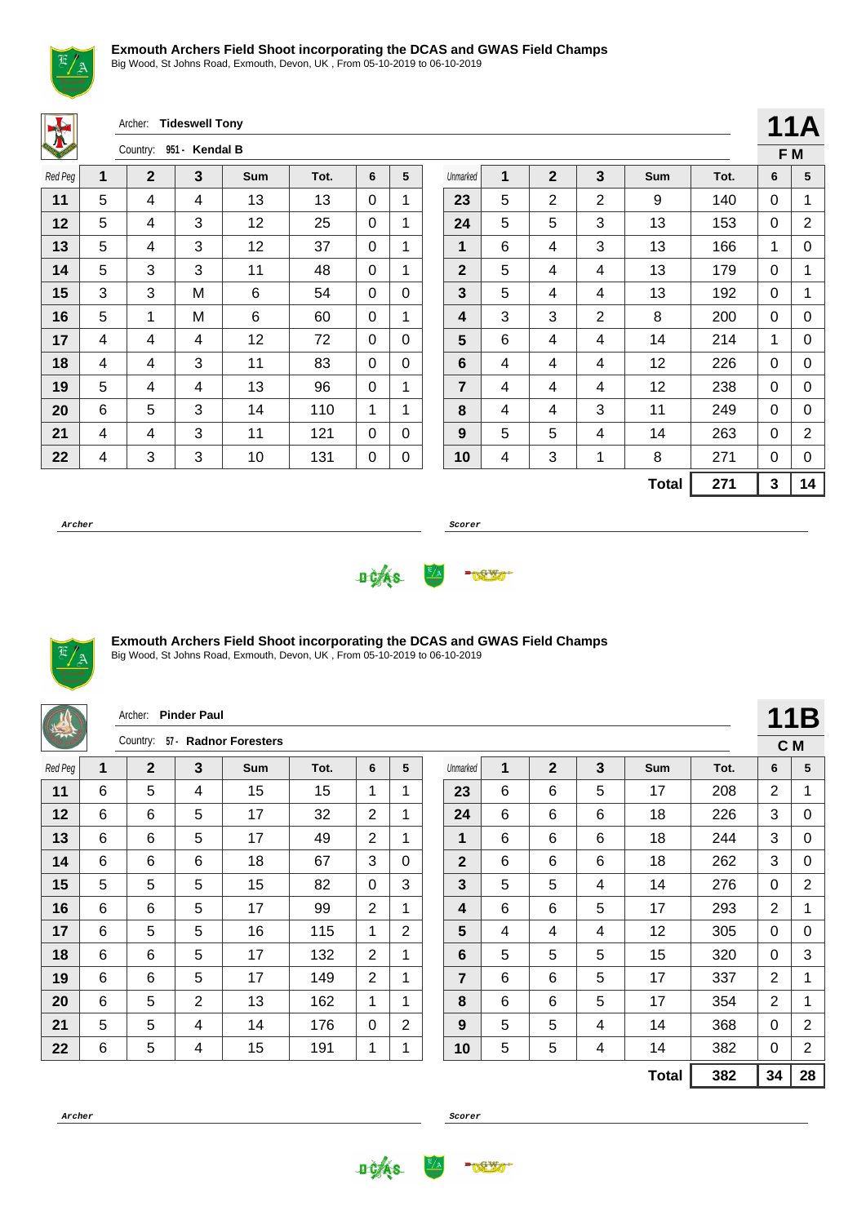

Big Wood, St Johns Road, Exmouth, Devon, UK , From 05-10-2019 to 06-10-2019

Archer: **Tideswell Tony**

| VA.     |   | Country: | 951 - Kendal B |            |      |   |   |
|---------|---|----------|----------------|------------|------|---|---|
| Red Peg | 1 | 2        | 3              | <b>Sum</b> | Tot. | 6 | 5 |
| 11      | 5 | 4        | 4              | 13         | 13   | 0 | 1 |
| 12      | 5 | 4        | 3              | 12         | 25   | 0 | 1 |
| 13      | 5 | 4        | 3              | 12         | 37   | 0 | 1 |
| 14      | 5 | 3        | 3              | 11         | 48   | 0 | 1 |
| 15      | 3 | 3        | M              | 6          | 54   | 0 | 0 |
| 16      | 5 | 1        | M              | 6          | 60   | 0 | 1 |
| 17      | 4 | 4        | 4              | 12         | 72   | 0 | 0 |
| 18      | 4 | 4        | 3              | 11         | 83   | 0 | 0 |
| 19      | 5 | 4        | 4              | 13         | 96   | 0 | 1 |
| 20      | 6 | 5        | 3              | 14         | 110  | 1 | 1 |
| 21      | 4 | 4        | 3              | 11         | 121  | 0 | 0 |
| 22      | 4 | 3        | 3              | 10         | 131  | 0 | 0 |

|                         |   |                |   |              |      |   | 11A |
|-------------------------|---|----------------|---|--------------|------|---|-----|
|                         |   |                |   |              |      |   | F M |
| Unmarked                | 1 | $\overline{2}$ | 3 | Sum          | Tot. | 6 | 5   |
| 23                      | 5 | 2              | 2 | 9            | 140  | 0 | 1   |
| 24                      | 5 | 5              | 3 | 13           | 153  | 0 | 2   |
| 1                       | 6 | 4              | 3 | 13           | 166  | 1 | 0   |
| $\mathbf{2}$            | 5 | 4              | 4 | 13           | 179  | 0 | 1   |
| $\mathbf{3}$            | 5 | 4              | 4 | 13           | 192  | 0 | 1   |
| $\overline{\mathbf{4}}$ | 3 | 3              | 2 | 8            | 200  | 0 | 0   |
| 5                       | 6 | 4              | 4 | 14           | 214  | 1 | 0   |
| 6                       | 4 | 4              | 4 | 12           | 226  | 0 | 0   |
| $\overline{\mathbf{r}}$ | 4 | 4              | 4 | 12           | 238  | 0 | 0   |
| 8                       | 4 | 4              | 3 | 11           | 249  | 0 | 0   |
| 9                       | 5 | 5              | 4 | 14           | 263  | 0 | 2   |
| 10                      | 4 | 3              | 1 | 8            | 271  | 0 | 0   |
|                         |   |                |   | <b>Total</b> | 271  | 3 | 14  |

**Archer Scorer**





#### **Exmouth Archers Field Shoot incorporating the DCAS and GWAS Field Champs**

Big Wood, St Johns Road, Exmouth, Devon, UK , From 05-10-2019 to 06-10-2019

| 着       |   | Archer:           | <b>Pinder Paul</b> |                         |      |                |                |                |   |                |   |              |      |                | 11B            |
|---------|---|-------------------|--------------------|-------------------------|------|----------------|----------------|----------------|---|----------------|---|--------------|------|----------------|----------------|
|         |   | $57-$<br>Country: |                    | <b>Radnor Foresters</b> |      |                |                |                |   |                |   |              |      | C M            |                |
| Red Peg | 1 | $\mathbf 2$       | $\mathbf{3}$       | <b>Sum</b>              | Tot. | 6              | 5              | Unmarked       | 1 | $\overline{2}$ | 3 | <b>Sum</b>   | Tot. | 6              | 5              |
| 11      | 6 | 5                 | 4                  | 15                      | 15   | $\mathbf{1}$   | 1              | 23             | 6 | 6              | 5 | 17           | 208  | 2              | 1              |
| 12      | 6 | 6                 | 5                  | 17                      | 32   | $\overline{2}$ | 1              | 24             | 6 | 6              | 6 | 18           | 226  | 3              | 0              |
| 13      | 6 | 6                 | 5                  | 17                      | 49   | 2              | 1              | 1              | 6 | 6              | 6 | 18           | 244  | 3              | 0              |
| 14      | 6 | 6                 | 6                  | 18                      | 67   | 3              | 0              | $\overline{2}$ | 6 | 6              | 6 | 18           | 262  | 3              | 0              |
| 15      | 5 | 5                 | 5                  | 15                      | 82   | 0              | 3              | 3              | 5 | 5              | 4 | 14           | 276  | $\mathbf{0}$   | $\overline{2}$ |
| 16      | 6 | 6                 | 5                  | 17                      | 99   | 2              | 1              | 4              | 6 | 6              | 5 | 17           | 293  | $\overline{2}$ | 1              |
| 17      | 6 | 5                 | 5                  | 16                      | 115  | $\mathbf 1$    | $\overline{2}$ | 5              | 4 | 4              | 4 | 12           | 305  | $\mathbf{0}$   | 0              |
| 18      | 6 | 6                 | 5                  | 17                      | 132  | 2              | 1              | 6              | 5 | 5              | 5 | 15           | 320  | $\mathbf{0}$   | 3              |
| 19      | 6 | 6                 | 5                  | 17                      | 149  | 2              | 1              | $\overline{7}$ | 6 | 6              | 5 | 17           | 337  | $\overline{2}$ | 1              |
| 20      | 6 | 5                 | 2                  | 13                      | 162  | 1              | 1              | 8              | 6 | 6              | 5 | 17           | 354  | $\overline{2}$ | 1              |
| 21      | 5 | 5                 | 4                  | 14                      | 176  | 0              | $\overline{2}$ | 9              | 5 | 5              | 4 | 14           | 368  | $\mathbf{0}$   | $\overline{2}$ |
| 22      | 6 | 5                 | 4                  | 15                      | 191  | $\mathbf{1}$   | 1              | 10             | 5 | 5              | 4 | 14           | 382  | 0              | $\overline{c}$ |
|         |   |                   |                    |                         |      |                |                |                |   |                |   | <b>Total</b> | 382  | 34             | 28             |



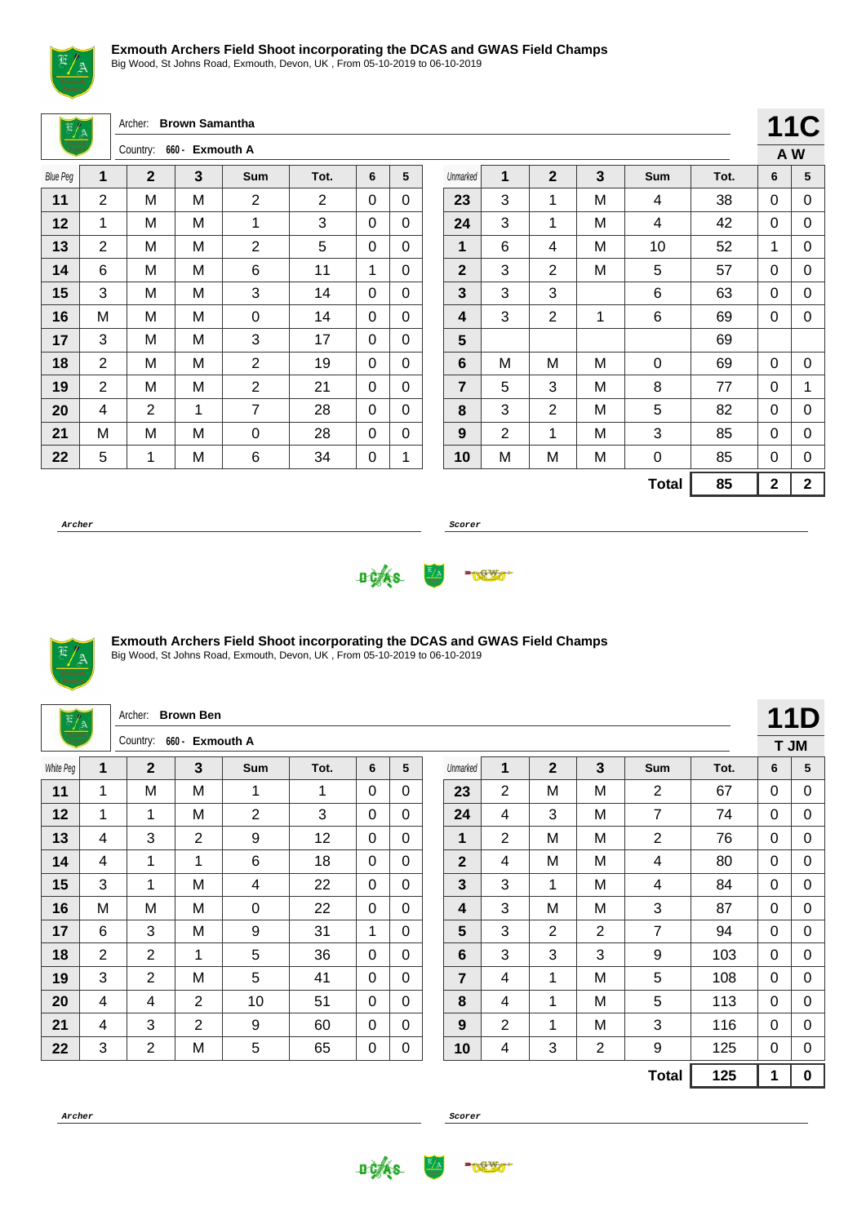

Big Wood, St Johns Road, Exmouth, Devon, UK , From 05-10-2019 to 06-10-2019

Archer: **Brown Samantha**

|                 |   | Country:    | 660 - Exmouth A |                |      |   |   |
|-----------------|---|-------------|-----------------|----------------|------|---|---|
| <b>Blue Peg</b> | 1 | $\mathbf 2$ | 3               | <b>Sum</b>     | Tot. | 6 | 5 |
| 11              | 2 | M           | M               | $\overline{2}$ | 2    | 0 | 0 |
| 12              | 1 | Μ           | M               | 1              | 3    | 0 | 0 |
| 13              | 2 | М           | M               | $\overline{2}$ | 5    | 0 | 0 |
| 14              | 6 | M           | M               | 6              | 11   | 1 | 0 |
| 15              | 3 | M           | M               | 3              | 14   | 0 | 0 |
| 16              | M | M           | M               | 0              | 14   | 0 | 0 |
| 17              | 3 | M           | M               | 3              | 17   | 0 | 0 |
| 18              | 2 | Μ           | M               | 2              | 19   | 0 | 0 |
| 19              | 2 | Μ           | M               | 2              | 21   | 0 | 0 |
| 20              | 4 | 2           | 1               | 7              | 28   | 0 | 0 |
| 21              | M | M           | M               | 0              | 28   | 0 | 0 |
| 22              | 5 | 1           | M               | 6              | 34   | 0 | 1 |

|                |                |                |   |              |      |             | <b>11C</b>  |
|----------------|----------------|----------------|---|--------------|------|-------------|-------------|
|                |                |                |   |              |      | A W         |             |
| Unmarked       | 1              | $\overline{2}$ | 3 | Sum          | Tot. | 6           | 5           |
| 23             | 3              | 1              | М | 4            | 38   | 0           | 0           |
| 24             | 3              | 1              | M | 4            | 42   | 0           | 0           |
| 1              | 6              | 4              | M | 10           | 52   | 1           | 0           |
| $\mathbf{2}$   | 3              | $\overline{2}$ | M | 5            | 57   | 0           | 0           |
| 3              | 3              | 3              |   | 6            | 63   | 0           | 0           |
| 4              | 3              | $\overline{2}$ | 1 | 6            | 69   | 0           | 0           |
| 5              |                |                |   |              | 69   |             |             |
| 6              | М              | M              | М | 0            | 69   | 0           | 0           |
| $\overline{7}$ | 5              | 3              | M | 8            | 77   | 0           | 1           |
| 8              | 3              | 2              | M | 5            | 82   | 0           | 0           |
| 9              | $\overline{2}$ | 1              | М | 3            | 85   | 0           | 0           |
| 10             | M              | M              | M | 0            | 85   | 0           | 0           |
|                |                |                |   | <b>Total</b> | 85   | $\mathbf 2$ | $\mathbf 2$ |

**Archer Scorer**





## **Exmouth Archers Field Shoot incorporating the DCAS and GWAS Field Champs**

Big Wood, St Johns Road, Exmouth, Devon, UK , From 05-10-2019 to 06-10-2019

| $\frac{E/A}{E}$                                                                                           |                | Archer:        | <b>Brown Ben</b> |                |      |          |              |  |                |                |                |                |                |              |              | 11D         |
|-----------------------------------------------------------------------------------------------------------|----------------|----------------|------------------|----------------|------|----------|--------------|--|----------------|----------------|----------------|----------------|----------------|--------------|--------------|-------------|
|                                                                                                           |                | Country:       | 660 - Exmouth A  |                |      |          |              |  |                |                |                |                |                |              | T JM         |             |
| White Peg                                                                                                 | 1              | $\mathbf{2}$   | 3                | Sum            | Tot. | 6        | 5            |  | Unmarked       | 1              | $\overline{2}$ | 3              | Sum            | Tot.         | 6            | 5           |
| 11                                                                                                        | $\mathbf{1}$   | M              | M                | 1              | 1    | $\Omega$ | $\mathbf{0}$ |  | 23             | $\overline{2}$ | M              | м              | $\overline{2}$ | 67           | $\mathbf{0}$ | 0           |
| 12                                                                                                        | 1              | 1              | м                | $\overline{2}$ | 3    | $\Omega$ | $\Omega$     |  | 24             | 4              | 3              | M              | $\overline{7}$ | 74           | $\mathbf{0}$ | 0           |
| 13                                                                                                        | 4              | 3              | $\overline{2}$   | 9              | 12   | 0        | $\mathbf{0}$ |  | 1              | $\overline{2}$ | M              | М              | $\overline{2}$ | 76           | $\mathbf{0}$ | 0           |
| 14<br>6<br>$\mathbf{2}$<br>M<br>$\mathbf{1}$<br>18<br>$\Omega$<br>M<br>80<br>4<br>1<br>$\Omega$<br>4<br>4 |                |                |                  |                |      |          |              |  |                |                |                |                |                | $\mathbf{0}$ | 0            |             |
| 15<br>3<br>3<br>3<br>M<br>22<br>M<br>1<br>$\Omega$<br>1<br>84<br>4<br>$\mathbf{0}$<br>4                   |                |                |                  |                |      |          |              |  |                |                |                |                |                | $\mathbf{0}$ | 0            |             |
| 16                                                                                                        | M              | M              | M                | $\overline{0}$ | 22   | $\Omega$ | $\Omega$     |  | 4              | 3              | M              | M              | 3              | 87           | $\Omega$     | $\mathbf 0$ |
| 17                                                                                                        | 6              | 3              | M                | 9              | 31   | 1        | $\Omega$     |  | 5              | 3              | $\overline{2}$ | $\overline{2}$ | $\overline{7}$ | 94           | $\mathbf{0}$ | 0           |
| 18                                                                                                        | $\overline{2}$ | $\overline{2}$ | 1                | 5              | 36   | 0        | $\Omega$     |  | 6              | 3              | 3              | 3              | 9              | 103          | $\Omega$     | 0           |
| 19                                                                                                        | 3              | 2              | M                | 5              | 41   | $\Omega$ | $\mathbf{0}$ |  | $\overline{7}$ | 4              | 1              | м              | 5              | 108          | $\mathbf{0}$ | 0           |
| 20                                                                                                        | 4              | 4              | $\overline{2}$   | 10             | 51   | $\Omega$ | $\mathbf{0}$ |  | 8              | 4              | 1              | м              | 5              | 113          | $\Omega$     | 0           |
| 21                                                                                                        | 4              | 3              | 2                | 9              | 60   | 0        | $\mathbf{0}$ |  | 9              | 2              | 1              | м              | 3              | 116          | $\mathbf{0}$ | 0           |
| 22                                                                                                        | 3              | $\overline{2}$ | M                | 5              | 65   | 0        | 0            |  | 10             | 4              | 3              | 2              | 9              | 125          | $\Omega$     | 0           |
|                                                                                                           |                |                |                  |                |      |          |              |  |                |                |                |                | <b>Total</b>   | 125          | 1            | $\mathbf 0$ |



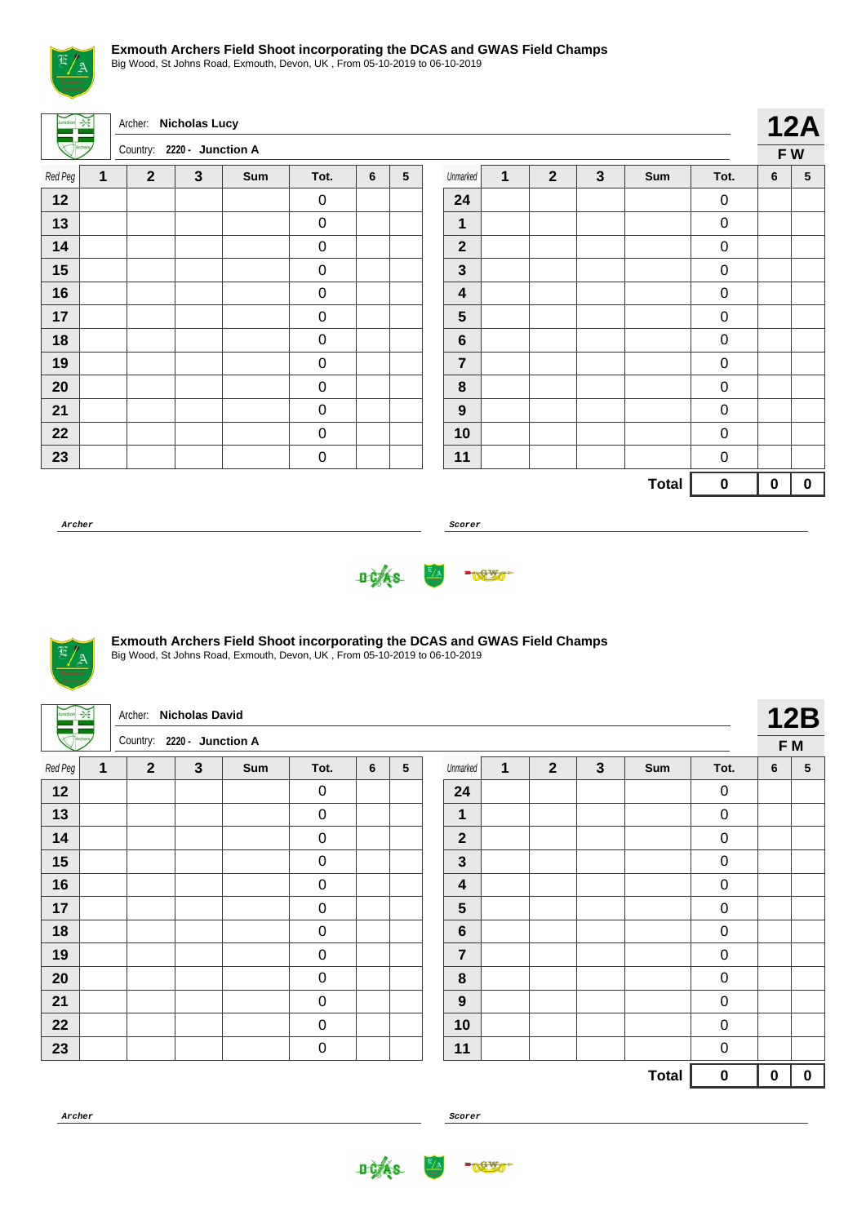

Big Wood, St Johns Road, Exmouth, Devon, UK , From 05-10-2019 to 06-10-2019

Archer: **Nicholas Lucy** Country: **2220 - Junction A 12A F W** Red Peg **1 2 3 Sum Tot. 6 5** 0 0 0 0 0 0 0 0 0 0 0 0 Unmarked **1 2 3 Sum Tot. 6 5** 0 0 0 0 0 0 0 0 0 0 0 0 **Total 0 0 0**

**Archer Scorer**





## **Exmouth Archers Field Shoot incorporating the DCAS and GWAS Field Champs**

Big Wood, St Johns Road, Exmouth, Devon, UK , From 05-10-2019 to 06-10-2019

|         | $\rightarrow$ | Archer: Nicholas David     |              |     |                  |   |                 |                  |              |                |              |              |                  |             | 12B         |
|---------|---------------|----------------------------|--------------|-----|------------------|---|-----------------|------------------|--------------|----------------|--------------|--------------|------------------|-------------|-------------|
|         |               | Country: 2220 - Junction A |              |     |                  |   |                 |                  |              |                |              |              |                  |             | F M         |
| Red Peg | $\mathbf{1}$  | $\overline{2}$             | $\mathbf{3}$ | Sum | Tot.             | 6 | $5\phantom{.0}$ | Unmarked         | $\mathbf{1}$ | $\overline{2}$ | $\mathbf{3}$ | Sum          | Tot.             | 6           | $\sqrt{5}$  |
| 12      |               |                            |              |     | $\pmb{0}$        |   |                 | 24               |              |                |              |              | $\pmb{0}$        |             |             |
| 13      |               |                            |              |     | $\boldsymbol{0}$ |   |                 | $\mathbf{1}$     |              |                |              |              | $\pmb{0}$        |             |             |
| 14      |               |                            |              |     | $\pmb{0}$        |   |                 | $\mathbf{2}$     |              |                |              |              | $\pmb{0}$        |             |             |
| 15      |               |                            |              |     | $\pmb{0}$        |   |                 | $\mathbf{3}$     |              |                |              |              | $\boldsymbol{0}$ |             |             |
| 16      |               |                            |              |     | $\pmb{0}$        |   |                 | 4                |              |                |              |              | $\pmb{0}$        |             |             |
| 17      |               |                            |              |     | $\pmb{0}$        |   |                 | 5                |              |                |              |              | $\pmb{0}$        |             |             |
| 18      |               |                            |              |     | $\mathbf 0$      |   |                 | $\bf 6$          |              |                |              |              | $\boldsymbol{0}$ |             |             |
| 19      |               |                            |              |     | $\boldsymbol{0}$ |   |                 | 7                |              |                |              |              | $\pmb{0}$        |             |             |
| 20      |               |                            |              |     | $\boldsymbol{0}$ |   |                 | $\bf 8$          |              |                |              |              | $\pmb{0}$        |             |             |
| 21      |               |                            |              |     | $\pmb{0}$        |   |                 | $\boldsymbol{9}$ |              |                |              |              | $\pmb{0}$        |             |             |
| 22      |               |                            |              |     | $\mathbf 0$      |   |                 | 10               |              |                |              |              | $\pmb{0}$        |             |             |
| 23      |               |                            |              |     | $\boldsymbol{0}$ |   |                 | 11               |              |                |              |              | $\boldsymbol{0}$ |             |             |
|         |               |                            |              |     |                  |   |                 |                  |              |                |              | <b>Total</b> | $\pmb{0}$        | $\mathbf 0$ | $\mathbf 0$ |
|         |               |                            |              |     |                  |   |                 |                  |              |                |              |              |                  |             |             |



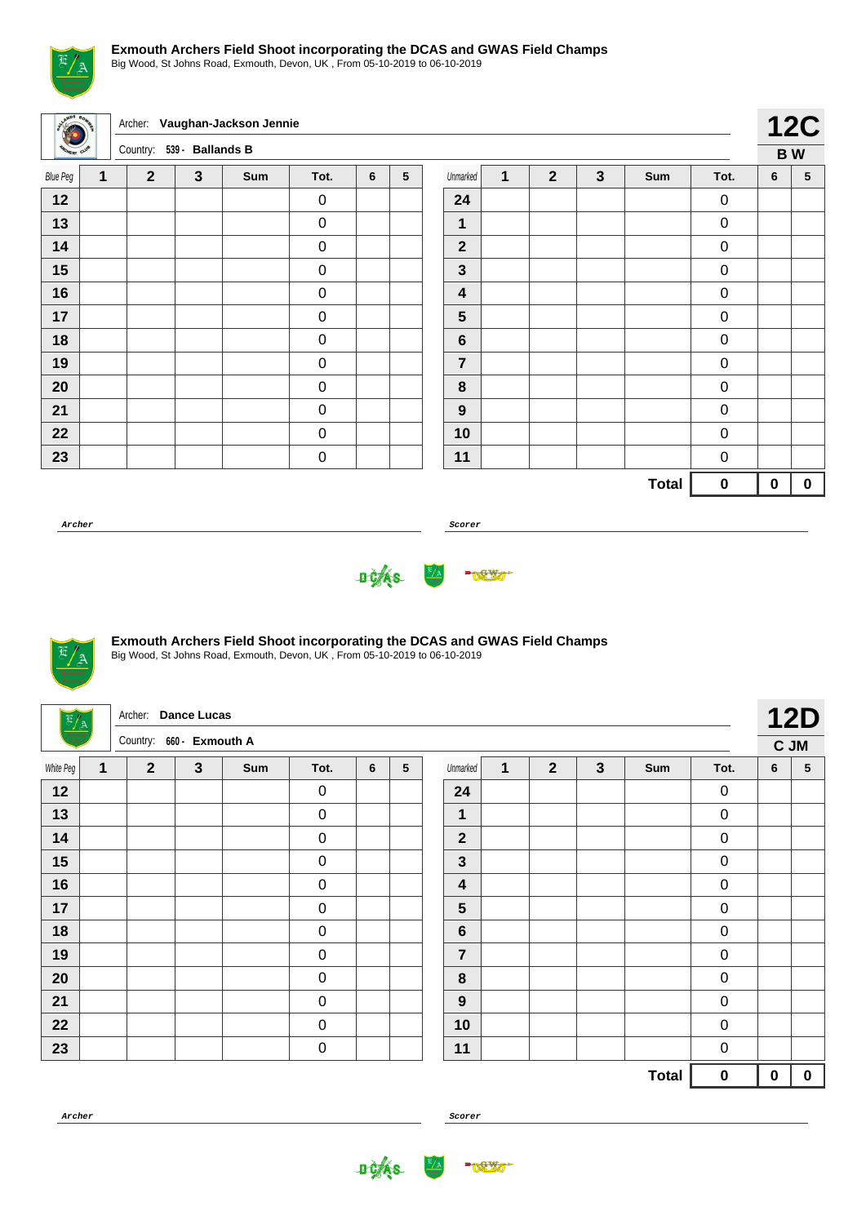

Big Wood, St Johns Road, Exmouth, Devon, UK , From 05-10-2019 to 06-10-2019

| awps            |              |                           |              | Archer: Vaughan-Jackson Jennie |           |   |                 |                         |              |                |   |              |                     |             | <b>12C</b>  |
|-----------------|--------------|---------------------------|--------------|--------------------------------|-----------|---|-----------------|-------------------------|--------------|----------------|---|--------------|---------------------|-------------|-------------|
|                 |              | Country: 539 - Ballands B |              |                                |           |   |                 |                         |              |                |   |              |                     |             | <b>BW</b>   |
| <b>Blue Peg</b> | $\mathbf{1}$ | $\overline{2}$            | $\mathbf{3}$ | Sum                            | Tot.      | 6 | $5\phantom{.0}$ | Unmarked                | $\mathbf{1}$ | $\overline{2}$ | 3 | Sum          | Tot.                | 6           | 5           |
| 12              |              |                           |              |                                | $\pmb{0}$ |   |                 | 24                      |              |                |   |              | $\mathbf 0$         |             |             |
| 13              |              |                           |              |                                | $\pmb{0}$ |   |                 | 1                       |              |                |   |              | $\mathsf{O}\xspace$ |             |             |
| 14              |              |                           |              |                                | $\pmb{0}$ |   |                 | $\overline{2}$          |              |                |   |              | $\mathsf{O}\xspace$ |             |             |
| 15              |              |                           |              |                                | $\pmb{0}$ |   |                 | $\mathbf{3}$            |              |                |   |              | $\mathbf 0$         |             |             |
| 16              |              |                           |              |                                | $\pmb{0}$ |   |                 | $\overline{\mathbf{4}}$ |              |                |   |              | $\pmb{0}$           |             |             |
| 17              |              |                           |              |                                | $\pmb{0}$ |   |                 | $5\phantom{1}$          |              |                |   |              | $\pmb{0}$           |             |             |
| 18              |              |                           |              |                                | $\pmb{0}$ |   |                 | $\bf 6$                 |              |                |   |              | $\mathsf{O}\xspace$ |             |             |
| 19              |              |                           |              |                                | $\pmb{0}$ |   |                 | $\overline{7}$          |              |                |   |              | $\pmb{0}$           |             |             |
| 20              |              |                           |              |                                | $\pmb{0}$ |   |                 | $\bf{8}$                |              |                |   |              | $\pmb{0}$           |             |             |
| 21              |              |                           |              |                                | $\pmb{0}$ |   |                 | $\boldsymbol{9}$        |              |                |   |              | $\pmb{0}$           |             |             |
| 22              |              |                           |              |                                | $\pmb{0}$ |   |                 | 10                      |              |                |   |              | $\pmb{0}$           |             |             |
| 23              |              |                           |              |                                | $\pmb{0}$ |   |                 | 11                      |              |                |   |              | $\pmb{0}$           |             |             |
|                 |              |                           |              |                                |           |   |                 |                         |              |                |   | <b>Total</b> | $\pmb{0}$           | $\mathbf 0$ | $\mathbf 0$ |
|                 |              |                           |              |                                |           |   |                 |                         |              |                |   |              |                     |             |             |

**Archer Scorer**





## **Exmouth Archers Field Shoot incorporating the DCAS and GWAS Field Champs**

Big Wood, St Johns Road, Exmouth, Devon, UK , From 05-10-2019 to 06-10-2019

| $\frac{\pi}{\lambda}$ |              | Archer: Dance Lucas      |              |     |                  |                 |                 |                  |              |                |              |              |                  |             | <b>12D</b>      |
|-----------------------|--------------|--------------------------|--------------|-----|------------------|-----------------|-----------------|------------------|--------------|----------------|--------------|--------------|------------------|-------------|-----------------|
| Ē                     |              | Country: 660 - Exmouth A |              |     |                  |                 |                 |                  |              |                |              |              |                  | C JM        |                 |
| White Peg             | $\mathbf{1}$ | $\overline{2}$           | $\mathbf{3}$ | Sum | Tot.             | $6\phantom{1}6$ | $5\phantom{.0}$ | Unmarked         | $\mathbf{1}$ | $\overline{2}$ | $\mathbf{3}$ | Sum          | Tot.             | 6           | $5\phantom{.0}$ |
| 12                    |              |                          |              |     | $\pmb{0}$        |                 |                 | 24               |              |                |              |              | $\pmb{0}$        |             |                 |
| 13                    |              |                          |              |     | $\boldsymbol{0}$ |                 |                 | $\mathbf{1}$     |              |                |              |              | $\boldsymbol{0}$ |             |                 |
| 14                    |              |                          |              |     | $\pmb{0}$        |                 |                 | $\mathbf{2}$     |              |                |              |              | $\pmb{0}$        |             |                 |
| 15                    |              |                          |              |     | $\pmb{0}$        |                 |                 | $\mathbf{3}$     |              |                |              |              | $\boldsymbol{0}$ |             |                 |
| 16                    |              |                          |              |     | $\mathbf 0$      |                 |                 | 4                |              |                |              |              | $\boldsymbol{0}$ |             |                 |
| 17                    |              |                          |              |     | $\boldsymbol{0}$ |                 |                 | 5                |              |                |              |              | $\boldsymbol{0}$ |             |                 |
| 18                    |              |                          |              |     | $\pmb{0}$        |                 |                 | $\boldsymbol{6}$ |              |                |              |              | $\pmb{0}$        |             |                 |
| 19                    |              |                          |              |     | $\pmb{0}$        |                 |                 | 7                |              |                |              |              | $\boldsymbol{0}$ |             |                 |
| 20                    |              |                          |              |     | $\pmb{0}$        |                 |                 | $\bf 8$          |              |                |              |              | $\boldsymbol{0}$ |             |                 |
| 21                    |              |                          |              |     | $\boldsymbol{0}$ |                 |                 | $\boldsymbol{9}$ |              |                |              |              | $\boldsymbol{0}$ |             |                 |
| 22                    |              |                          |              |     | $\mathbf 0$      |                 |                 | 10               |              |                |              |              | $\overline{0}$   |             |                 |
| 23                    |              |                          |              |     | $\pmb{0}$        |                 |                 | 11               |              |                |              |              | $\pmb{0}$        |             |                 |
|                       |              |                          |              |     |                  |                 |                 |                  |              |                |              | <b>Total</b> | $\bf{0}$         | $\mathbf 0$ | $\mathbf 0$     |

**Archer Scorer**

**DOAS** 

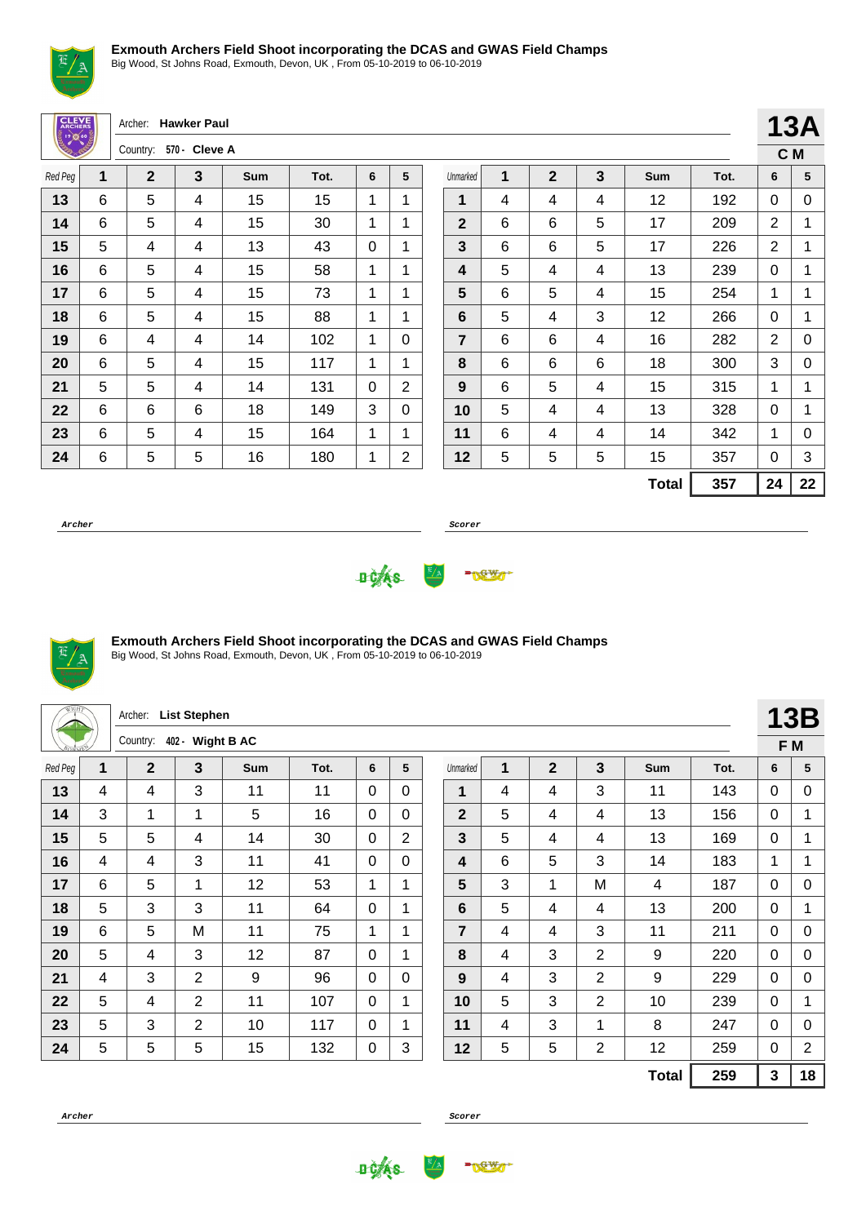

Big Wood, St Johns Road, Exmouth, Devon, UK , From 05-10-2019 to 06-10-2019

| $\sim$       |   |                     |                |     |      |              |                |                |       |                |              |              |      |                |              |
|--------------|---|---------------------|----------------|-----|------|--------------|----------------|----------------|-------|----------------|--------------|--------------|------|----------------|--------------|
| <b>CLEVE</b> |   | Archer: Hawker Paul |                |     |      |              |                |                |       |                |              |              |      |                | <b>13A</b>   |
|              |   | Country:            | 570 - Cleve A  |     |      |              |                |                |       |                |              |              |      |                | C M          |
| Red Peg      | 1 | $\mathbf{2}$        | 3              | Sum | Tot. | 6            | 5              | Unmarked       | 1     | $\overline{2}$ | $\mathbf{3}$ | Sum          | Tot. | 6              | 5            |
| 13           | 6 | 5                   | 4              | 15  | 15   | 1            | 1              | 1              | 4     | 4              | 4            | 12           | 192  | 0              | 0            |
| 14           | 6 | 5                   | $\overline{4}$ | 15  | 30   | 1            | 1              | $\overline{2}$ | 6     | 6              | 5            | 17           | 209  | $\overline{2}$ | $\mathbf{1}$ |
| 15           | 5 | 4                   | 4              | 13  | 43   | $\mathbf{0}$ | 1              | 3              | $\,6$ | 6              | 5            | 17           | 226  | $\overline{2}$ | 1            |
| 16           | 6 | 5                   | 4              | 15  | 58   | 1            | 1              | 4              | 5     | 4              | 4            | 13           | 239  | 0              | 1            |
| 17           | 6 | 5                   | $\overline{4}$ | 15  | 73   | 1            | 1              | 5              | 6     | 5              | 4            | 15           | 254  | 1              | 1            |
| 18           | 6 | 5                   | 4              | 15  | 88   | 1            | $\mathbf 1$    | 6              | 5     | 4              | 3            | 12           | 266  | 0              | 1            |
| 19           | 6 | 4                   | 4              | 14  | 102  | 1            | $\Omega$       | $\overline{7}$ | 6     | 6              | 4            | 16           | 282  | $\overline{2}$ | 0            |
| 20           | 6 | 5                   | 4              | 15  | 117  | 1            | 1              | 8              | 6     | 6              | 6            | 18           | 300  | 3              | 0            |
| 21           | 5 | 5                   | $\overline{4}$ | 14  | 131  | $\Omega$     | $\overline{2}$ | 9              | 6     | 5              | 4            | 15           | 315  | 1              | $\mathbf{1}$ |
| 22           | 6 | 6                   | 6              | 18  | 149  | 3            | $\Omega$       | 10             | 5     | 4              | 4            | 13           | 328  | $\overline{0}$ | 1            |
| 23           | 6 | 5                   | 4              | 15  | 164  | 1            | 1              | 11             | 6     | 4              | 4            | 14           | 342  | 1              | 0            |
| 24           | 6 | 5                   | 5              | 16  | 180  | 1            | 2              | 12             | 5     | 5              | 5            | 15           | 357  | 0              | 3            |
|              |   |                     |                |     |      |              |                |                |       |                |              | <b>Total</b> | 357  | 24             | 22           |
|              |   |                     |                |     |      |              |                |                |       |                |              |              |      |                |              |

**Archer Scorer**





## **Exmouth Archers Field Shoot incorporating the DCAS and GWAS Field Champs**

Big Wood, St Johns Road, Exmouth, Devon, UK , From 05-10-2019 to 06-10-2019

|         |   | Archer:      | <b>List Stephen</b> |            |      |          |              |                |   |              |                |              |      |          | <b>13B</b>     |
|---------|---|--------------|---------------------|------------|------|----------|--------------|----------------|---|--------------|----------------|--------------|------|----------|----------------|
|         |   | Country:     | 402 - Wight B AC    |            |      |          |              |                |   |              |                |              |      |          | F M            |
| Red Peg | 1 | $\mathbf{2}$ | 3                   | <b>Sum</b> | Tot. | 6        | 5            | Unmarked       | 1 | $\mathbf{2}$ | 3              | <b>Sum</b>   | Tot. | 6        | 5              |
| 13      | 4 | 4            | 3                   | 11         | 11   | 0        | $\Omega$     | 1              | 4 | 4            | 3              | 11           | 143  | 0        | 0              |
| 14      | 3 | 1            | 1                   | 5          | 16   | $\Omega$ | $\Omega$     | $\overline{2}$ | 5 | 4            | 4              | 13           | 156  | 0        | 1              |
| 15      | 5 | 5            | 4                   | 14         | 30   | 0        | 2            | 3              | 5 | 4            | 4              | 13           | 169  | 0        | 1              |
| 16      | 4 | 4            | $\mathbf{3}$        | 11         | 41   | $\Omega$ | $\Omega$     | 4              | 6 | 5            | 3              | 14           | 183  | 1        | 1              |
| 17      | 6 | 5            | 1                   | 12         | 53   | 1        | 1            | 5              | 3 | 1            | M              | 4            | 187  | 0        | 0              |
| 18      | 5 | 3            | 3                   | 11         | 64   | 0        | 1            | 6              | 5 | 4            | 4              | 13           | 200  | $\Omega$ | 1              |
| 19      | 6 | 5            | M                   | 11         | 75   | 1        | 1            | 7              | 4 | 4            | 3              | 11           | 211  | 0        | 0              |
| 20      | 5 | 4            | 3                   | 12         | 87   | 0        | $\mathbf{1}$ | 8              | 4 | 3            | $\overline{2}$ | 9            | 220  | 0        | 0              |
| 21      | 4 | 3            | $\overline{2}$      | 9          | 96   | $\Omega$ | $\Omega$     | 9              | 4 | 3            | $\overline{2}$ | 9            | 229  | 0        | 0              |
| 22      | 5 | 4            | 2                   | 11         | 107  | 0        | $\mathbf{1}$ | 10             | 5 | 3            | $\overline{2}$ | 10           | 239  | 0        | 1              |
| 23      | 5 | 3            | $\overline{2}$      | 10         | 117  | 0        | $\mathbf{1}$ | 11             | 4 | 3            | 1              | 8            | 247  | 0        | 0              |
| 24      | 5 | 5            | 5                   | 15         | 132  | 0        | 3            | 12             | 5 | 5            | 2              | 12           | 259  | 0        | $\overline{2}$ |
|         |   |              |                     |            |      |          |              |                |   |              |                | <b>Total</b> | 259  | 3        | 18             |



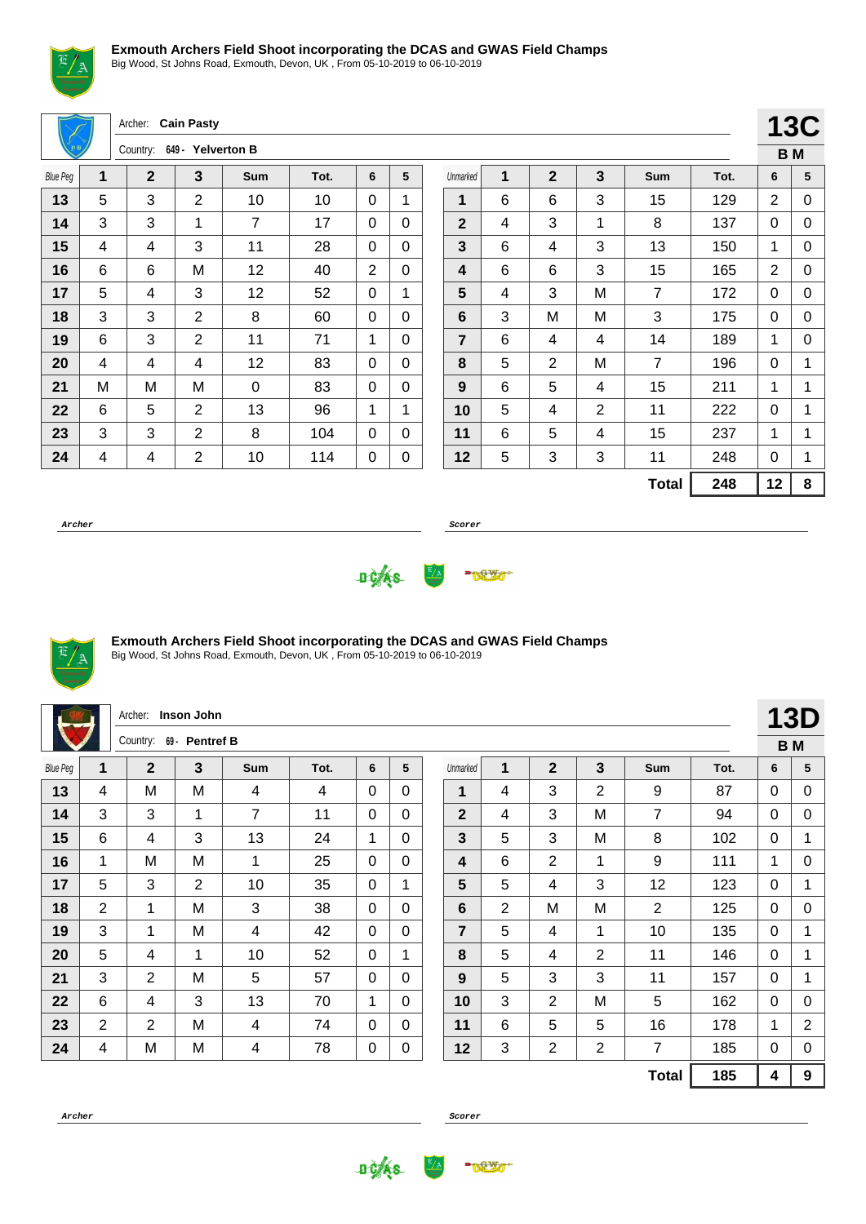

Big Wood, St Johns Road, Exmouth, Devon, UK , From 05-10-2019 to 06-10-2019

|                 |                | Archer: Cain Pasty         |                |                |      |                |             |                |                |                         |                |                |      | 130            |   |
|-----------------|----------------|----------------------------|----------------|----------------|------|----------------|-------------|----------------|----------------|-------------------------|----------------|----------------|------|----------------|---|
|                 |                | Country: 649 - Yelverton B |                |                |      |                |             |                |                |                         |                |                |      | <b>BM</b>      |   |
| <b>Blue Peg</b> | 1              | $\mathbf{2}$               | 3              | <b>Sum</b>     | Tot. | 6              | 5           | Unmarked       | 1              | $\overline{2}$          | $\mathbf{3}$   | Sum            | Tot. | 6              | 5 |
| 13              | 5              | 3                          | 2              | 10             | 10   | $\Omega$       | 1           | 1              | 6              | 6                       | 3              | 15             | 129  | 2              | C |
| 14              | 3              | 3                          | 1              | $\overline{7}$ | 17   | $\Omega$       | $\Omega$    | $\overline{2}$ | 4              | 3                       | 1              | 8              | 137  | 0              | C |
| 15              | $\overline{4}$ | 4                          | 3              | 11             | 28   | $\mathbf 0$    | $\mathbf 0$ | $\overline{3}$ | 6              | $\overline{4}$          | 3              | 13             | 150  | 1              | С |
| 16              | 6              | 6                          | M              | 12             | 40   | $\overline{2}$ | 0           | 4              | $6\phantom{1}$ | 6                       | 3              | 15             | 165  | $\overline{2}$ | C |
| 17              | 5              | 4                          | 3              | 12             | 52   | $\mathbf 0$    | 1           | 5              | 4              | 3                       | M              | $\overline{7}$ | 172  | $\mathbf 0$    | C |
| 18              | 3              | 3                          | $\overline{2}$ | 8              | 60   | $\Omega$       | $\mathbf 0$ | $6\phantom{1}$ | 3              | M                       | M              | 3              | 175  | $\mathbf 0$    | C |
| 19              | $6\phantom{1}$ | 3                          | $\overline{2}$ | 11             | 71   | 1              | $\Omega$    | $\overline{7}$ | 6              | 4                       | 4              | 14             | 189  | 1              | C |
| 20              | 4              | 4                          | 4              | 12             | 83   | $\Omega$       | $\Omega$    | 8              | 5              | $\overline{2}$          | M              | $\overline{7}$ | 196  | $\mathbf 0$    | 1 |
| 21              | M              | Μ                          | M              | 0              | 83   | $\Omega$       | $\Omega$    | 9              | 6              | 5                       | 4              | 15             | 211  | 1              | 1 |
| 22              | 6              | 5                          | $\overline{2}$ | 13             | 96   | 1              | 1           | 10             | 5              | $\overline{\mathbf{4}}$ | $\overline{2}$ | 11             | 222  | $\mathbf 0$    | 1 |
| 23              | 3              | 3                          | $\overline{2}$ | 8              | 104  | $\Omega$       | 0           | 11             | 6              | 5                       | 4              | 15             | 237  | 1              | 1 |
| 24              | 4              | 4                          | $\overline{2}$ | 10             | 114  | 0              | 0           | 12             | 5              | 3                       | 3              | 11             | 248  | $\Omega$       | 1 |
|                 |                |                            |                |                |      |                |             |                |                |                         |                | <b>Total</b>   | 248  | 12             | 8 |
|                 |                |                            |                |                |      |                |             |                |                |                         |                |                |      |                |   |

**Archer Scorer**

**13C B M**





#### **Exmouth Archers Field Shoot incorporating the DCAS and GWAS Field Champs**

Big Wood, St Johns Road, Exmouth, Devon, UK , From 05-10-2019 to 06-10-2019

|                 |                | Archer:        | Inson John     |                |      |              |              |                |                |                |              |                |      |   | <b>13D</b>     |
|-----------------|----------------|----------------|----------------|----------------|------|--------------|--------------|----------------|----------------|----------------|--------------|----------------|------|---|----------------|
|                 |                | Country:       | 69 - Pentref B |                |      |              |              |                |                |                |              |                |      |   | <b>BM</b>      |
| <b>Blue Peg</b> | 1              | $\overline{2}$ | 3              | Sum            | Tot. | 6            | 5            | Unmarked       | 1              | $\overline{2}$ | 3            | Sum            | Tot. | 6 | 5              |
| 13              | 4              | M              | M              | 4              | 4    | $\Omega$     | $\Omega$     | 1              | 4              | 3              | 2            | 9              | 87   | 0 | 0              |
| 14              | 3              | 3              | 1              | $\overline{7}$ | 11   | $\mathbf{0}$ | $\mathbf{0}$ | $\overline{2}$ | 4              | 3              | M            | $\overline{7}$ | 94   | 0 | 0              |
| 15              | 6              | 4              | 3              | 13             | 24   | 1            | $\Omega$     | 3              | 5              | 3              | M            | 8              | 102  | 0 | 1              |
| 16              | 1              | M              | M              | 1              | 25   | $\Omega$     | 0            | 4              | 6              | $\overline{2}$ | 1            | 9              | 111  | 1 | 0              |
| 17              | 5              | 3              | $\overline{2}$ | 10             | 35   | $\Omega$     | 1            | 5              | 5              | 4              | 3            | 12             | 123  | 0 | 1              |
| 18              | $\overline{2}$ | 1              | M              | 3              | 38   | $\Omega$     | 0            | 6              | $\overline{2}$ | M              | M            | 2              | 125  | 0 | 0              |
| 19              | 3              | 1              | M              | 4              | 42   | $\Omega$     | $\Omega$     | $\overline{7}$ | 5              | 4              | $\mathbf{1}$ | 10             | 135  | 0 | 1              |
| 20              | 5              | 4              | 1              | 10             | 52   | $\Omega$     | 1            | 8              | 5              | 4              | 2            | 11             | 146  | 0 | 1              |
| 21              | 3              | $\overline{2}$ | M              | 5              | 57   | $\mathbf{0}$ | $\mathbf{0}$ | 9              | 5              | 3              | 3            | 11             | 157  | 0 | 1              |
| 22              | 6              | 4              | 3              | 13             | 70   | 1            | $\mathbf{0}$ | 10             | 3              | $\overline{2}$ | M            | 5              | 162  | 0 | 0              |
| 23              | 2              | 2              | M              | 4              | 74   | $\Omega$     | $\mathbf{0}$ | 11             | 6              | 5              | 5            | 16             | 178  | 1 | $\overline{2}$ |
| 24              | 4              | M              | M              | 4              | 78   | 0            | $\pmb{0}$    | 12             | 3              | $\overline{2}$ | 2            | 7              | 185  | 0 | 0              |
|                 |                |                |                |                |      |              |              |                |                |                |              | <b>Total</b>   | 185  | 4 | 9              |



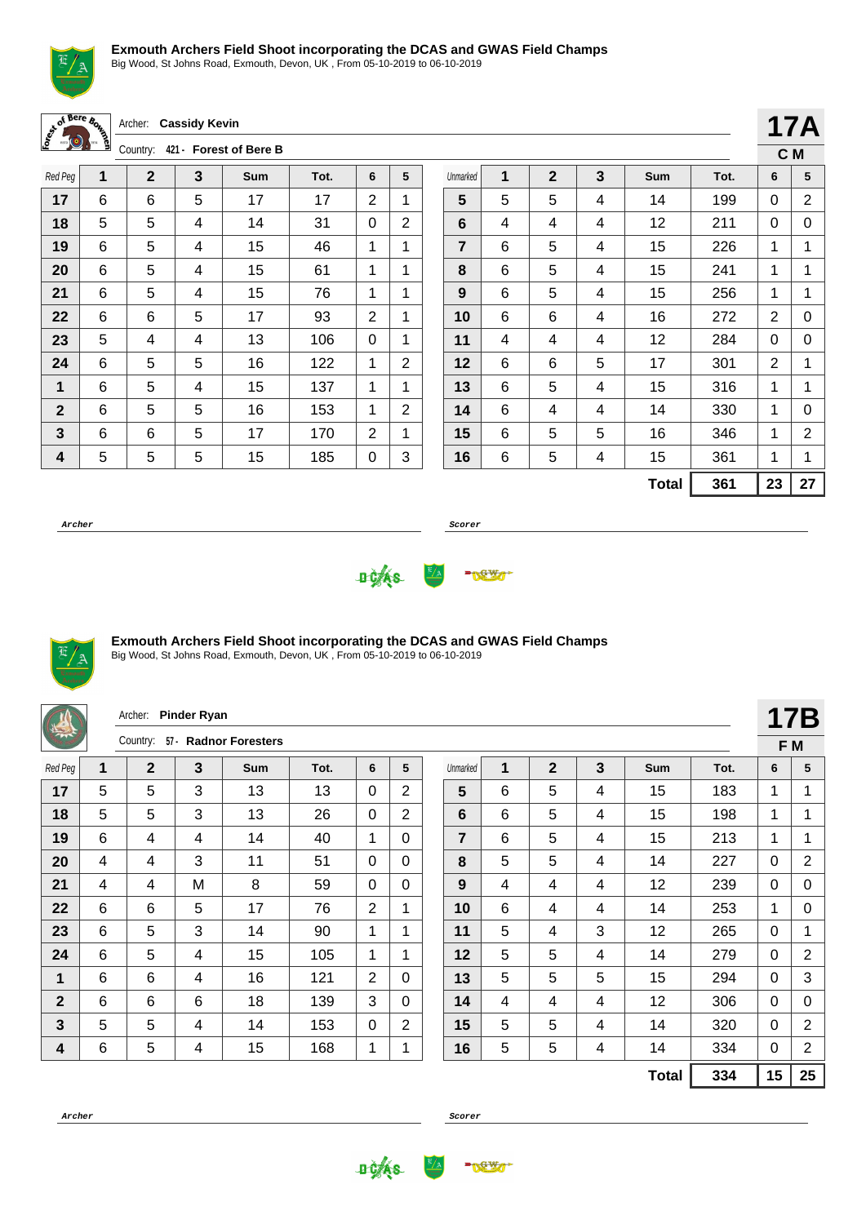

Big Wood, St Johns Road, Exmouth, Devon, UK , From 05-10-2019 to 06-10-2019

| <b>Bere</b> |                       | Archer: Cassidy Kevin |
|-------------|-----------------------|-----------------------|
|             | $C_{\text{O}}$ intri- | Enrest<br>$121 -$     |

Country: **421 - Forest of Bere B**

| Red Peg      | 1 | $\mathbf 2$ | 3 | <b>Sum</b> | Tot. | 6 | 5 |
|--------------|---|-------------|---|------------|------|---|---|
| 17           | 6 | 6           | 5 | 17         | 17   | 2 | 1 |
| 18           | 5 | 5           | 4 | 14         | 31   | 0 | 2 |
| 19           | 6 | 5           | 4 | 15         | 46   | 1 | 1 |
| 20           | 6 | 5           | 4 | 15         | 61   | 1 | 1 |
| 21           | 6 | 5           | 4 | 15         | 76   | 1 | 1 |
| 22           | 6 | 6           | 5 | 17         | 93   | 2 | 1 |
| 23           | 5 | 4           | 4 | 13         | 106  | 0 | 1 |
| 24           | 6 | 5           | 5 | 16         | 122  | 1 | 2 |
| 1            | 6 | 5           | 4 | 15         | 137  | 1 | 1 |
| $\mathbf{2}$ | 6 | 5           | 5 | 16         | 153  | 1 | 2 |
| 3            | 6 | 6           | 5 | 17         | 170  | 2 | 1 |
| 4            | 5 | 5           | 5 | 15         | 185  | 0 | 3 |

|                |   |              |   |              |      |                | 17A |
|----------------|---|--------------|---|--------------|------|----------------|-----|
|                |   |              |   |              |      | C <sub>M</sub> |     |
| Unmarked       | 1 | $\mathbf{2}$ | 3 | Sum          | Tot. | 6              | 5   |
| 5              | 5 | 5            | 4 | 14           | 199  | 0              | 2   |
| 6              | 4 | 4            | 4 | 12           | 211  | 0              | 0   |
| $\overline{7}$ | 6 | 5            | 4 | 15           | 226  | 1              | 1   |
| 8              | 6 | 5            | 4 | 15           | 241  | 1              | 1   |
| 9              | 6 | 5            | 4 | 15           | 256  | 1              | 1   |
| 10             | 6 | 6            | 4 | 16           | 272  | 2              | 0   |
| 11             | 4 | 4            | 4 | 12           | 284  | 0              | 0   |
| 12             | 6 | 6            | 5 | 17           | 301  | 2              | 1   |
| 13             | 6 | 5            | 4 | 15           | 316  | 1              | 1   |
| 14             | 6 | 4            | 4 | 14           | 330  | 1              | 0   |
| 15             | 6 | 5            | 5 | 16           | 346  | 1              | 2   |
| 16             | 6 | 5            | 4 | 15           | 361  | 1              | 1   |
|                |   |              |   | <b>Total</b> | 361  | 23             | 27  |

**Archer Scorer**





## **Exmouth Archers Field Shoot incorporating the DCAS and GWAS Field Champs**

|                |   | Archer:     | <b>Pinder Ryan</b> |                       |      |                |                |                |   |                |   |              |      |              | <b>17B</b>     |
|----------------|---|-------------|--------------------|-----------------------|------|----------------|----------------|----------------|---|----------------|---|--------------|------|--------------|----------------|
|                |   | Country:    |                    | 57 - Radnor Foresters |      |                |                |                |   |                |   |              |      | F M          |                |
| Red Peg        | 1 | $\mathbf 2$ | 3                  | <b>Sum</b>            | Tot. | 6              | 5              | Unmarked       | 1 | $\mathbf{2}$   | 3 | Sum          | Tot. | 6            | 5              |
| 17             | 5 | 5           | 3                  | 13                    | 13   | $\Omega$       | $\overline{2}$ | 5              | 6 | 5              | 4 | 15           | 183  | 1            | 1              |
| 18             | 5 | 5           | 3                  | 13                    | 26   | $\mathbf 0$    | $\overline{2}$ | 6              | 6 | 5              | 4 | 15           | 198  | 1            | 1              |
| 19             | 6 | 4           | 4                  | 14                    | 40   | 1              | 0              | $\overline{7}$ | 6 | 5              | 4 | 15           | 213  | $\mathbf 1$  | 1              |
| 20             | 4 | 4           | 3                  | 11                    | 51   | $\Omega$       | $\Omega$       | 8              | 5 | 5              | 4 | 14           | 227  | $\Omega$     | $\overline{2}$ |
| 21             | 4 | 4           | м                  | 8                     | 59   | $\Omega$       | 0              | 9              | 4 | 4              | 4 | 12           | 239  | $\Omega$     | 0              |
| 22             | 6 | 6           | 5                  | 17                    | 76   | $\overline{2}$ | 1              | 10             | 6 | $\overline{4}$ | 4 | 14           | 253  | 1            | 0              |
| 23             | 6 | 5           | 3                  | 14                    | 90   | 1              | 1              | 11             | 5 | 4              | 3 | 12           | 265  | $\Omega$     | $\mathbf{1}$   |
| 24             | 6 | 5           | 4                  | 15                    | 105  | 1              | 1              | 12             | 5 | 5              | 4 | 14           | 279  | $\Omega$     | $\overline{2}$ |
| 1              | 6 | 6           | 4                  | 16                    | 121  | 2              | 0              | 13             | 5 | 5              | 5 | 15           | 294  | $\Omega$     | 3              |
| $\overline{2}$ | 6 | 6           | 6                  | 18                    | 139  | 3              | $\Omega$       | 14             | 4 | $\overline{4}$ | 4 | 12           | 306  | $\mathbf{0}$ | $\mathbf 0$    |
| 3              | 5 | 5           | 4                  | 14                    | 153  | 0              | 2              | 15             | 5 | 5              | 4 | 14           | 320  | $\Omega$     | $\overline{2}$ |
| 4              | 6 | 5           | 4                  | 15                    | 168  | 1              | 1              | 16             | 5 | 5              | 4 | 14           | 334  | 0            | $\overline{2}$ |
|                |   |             |                    |                       |      |                |                |                |   |                |   | <b>Total</b> | 334  | 15           | 25             |



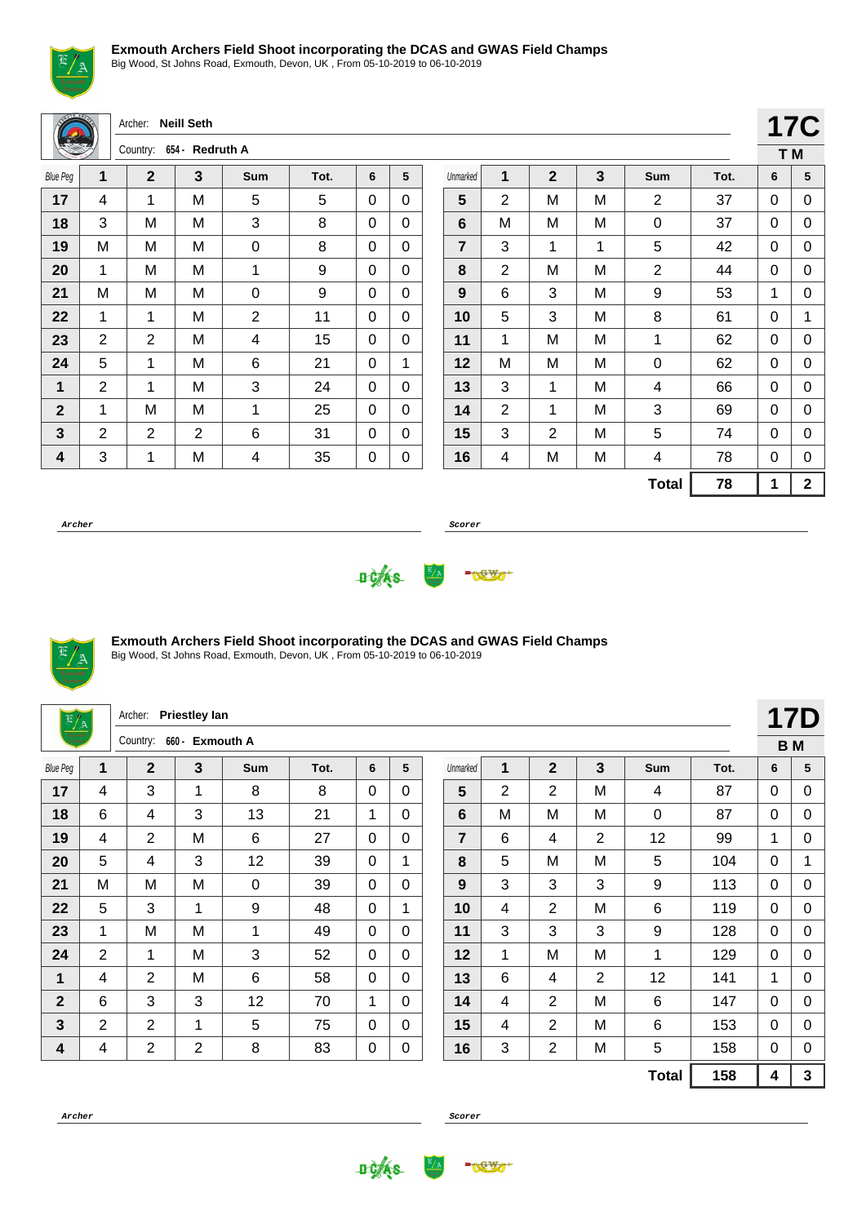

Big Wood, St Johns Road, Exmouth, Devon, UK , From 05-10-2019 to 06-10-2019

|                         |                         | Archer:                  | <b>Neill Seth</b> |             |      |          |             |                |                |                |              |         |
|-------------------------|-------------------------|--------------------------|-------------------|-------------|------|----------|-------------|----------------|----------------|----------------|--------------|---------|
|                         |                         | Country: 654 - Redruth A |                   |             |      |          |             |                |                |                |              |         |
| <b>Blue Peg</b>         | $\overline{\mathbf{1}}$ | $\overline{2}$           | 3                 | Sum         | Tot. | 6        | 5           | Unmarked       | 1              | $\overline{2}$ | $\mathbf{3}$ | $S_{l}$ |
| 17                      | 4                       | 1                        | M                 | 5           | 5    | $\Omega$ | $\Omega$    | 5              | $\overline{2}$ | M              | M            |         |
| 18                      | 3                       | M                        | M                 | 3           | 8    | 0        | $\Omega$    | $6\phantom{1}$ | М              | M              | M            |         |
| 19                      | M                       | M                        | M                 | $\mathbf 0$ | 8    | 0        | $\mathbf 0$ | $\overline{7}$ | 3              | 1              | 1            |         |
| 20                      | $\mathbf{1}$            | M                        | M                 | 1           | 9    | 0        | $\Omega$    | 8              | $\overline{2}$ | M              | M            |         |
| 21                      | M                       | M                        | M                 | 0           | 9    | 0        | $\Omega$    | 9              | 6              | 3              | Μ            |         |
| 22                      | $\mathbf{1}$            | 1                        | M                 | 2           | 11   | 0        | $\Omega$    | 10             | 5              | 3              | M            |         |
| 23                      | $\overline{2}$          | 2                        | M                 | 4           | 15   | 0        | $\Omega$    | 11             | $\mathbf{1}$   | M              | M            |         |
| 24                      | 5                       | 1                        | M                 | 6           | 21   | $\Omega$ | 1           | 12             | М              | M              | Μ            |         |
| $\mathbf 1$             | $\overline{2}$          | 1                        | M                 | 3           | 24   | 0        | $\mathbf 0$ | 13             | 3              | 1              | M            |         |
| $\mathbf{2}$            | $\mathbf{1}$            | M                        | M                 | 1           | 25   | 0        | $\Omega$    | 14             | 2              | 1              | M            |         |
| $\overline{\mathbf{3}}$ | $\overline{2}$          | 2                        | $\overline{2}$    | 6           | 31   | 0        | $\Omega$    | 15             | 3              | $\overline{2}$ | M            |         |
| 4                       | 3                       | 1                        | M                 | 4           | 35   | 0        | 0           | 16             | 4              | M              | M            |         |
|                         |                         |                          |                   |             |      |          |             |                |                |                |              | Т       |

Unmarked **1 2 3 Sum Tot. 6 5** | 2 | M | M | 2 | 37 | 0 | 0 | M | M | M | 0 | 37 | 0 | 0 | 3 | 1 | 1 | 5 | 42 | 0 | 0 | 2 | M | M | 2 | 44 | 0 | 0 | 6 | 3 | M | 9 | 53 | 1 | 0 | 5 | 3 | M | 8 | 61 | 0 | 1 | 1 | M | M | 1 | 62 | 0 | 0 | M | M | M | 0 | 62 | 0 | 0 | 3 | 1 | M | 4 | 66 | 0 | 0 | 2 | 1 | M | 3 | 69 | 0 | 0 | 3 | 2 | M | 5 | 74 | 0 | 0 | 4 | M | M | 4 | 78 | 0 | 0 **Total 78 1 2**

**17C T M**

**Archer Scorer**





#### **Exmouth Archers Field Shoot incorporating the DCAS and GWAS Field Champs**

| $\frac{E/A}{2}$ |                | Archer:        | <b>Priestley lan</b> |     |      |              |              |                |   |                |                |                 |      |              | 17D                     |
|-----------------|----------------|----------------|----------------------|-----|------|--------------|--------------|----------------|---|----------------|----------------|-----------------|------|--------------|-------------------------|
|                 |                | Country:       | 660 - Exmouth A      |     |      |              |              |                |   |                |                |                 |      |              | <b>BM</b>               |
| <b>Blue Peg</b> | 1              | $\overline{2}$ | 3                    | Sum | Tot. | 6            | 5            | Unmarked       | 1 | $\overline{2}$ | 3              | Sum             | Tot. | 6            | 5                       |
| 17              | 4              | 3              | $\mathbf 1$          | 8   | 8    | 0            | $\Omega$     | 5              | 2 | $\overline{2}$ | M              | 4               | 87   | $\Omega$     | 0                       |
| 18              | 6              | 4              | 3                    | 13  | 21   | 1            | $\Omega$     | 6              | M | M              | M              | 0               | 87   | $\Omega$     | 0                       |
| 19              | 4              | $\overline{2}$ | M                    | 6   | 27   | 0            | $\Omega$     | $\overline{7}$ | 6 | 4              | $\overline{2}$ | 12              | 99   | 1            | $\Omega$                |
| 20              | 5              | 4              | 3                    | 12  | 39   | 0            | 1            | 8              | 5 | M              | M              | 5               | 104  | 0            |                         |
| 21              | M              | M              | M                    | 0   | 39   | $\mathbf{0}$ | $\Omega$     | 9              | 3 | 3              | 3              | 9               | 113  | $\Omega$     | $\Omega$                |
| 22              | 5              | 3              | 1                    | 9   | 48   | $\Omega$     | 1            | 10             | 4 | $\overline{2}$ | M              | 6               | 119  | $\Omega$     | 0                       |
| 23              | 1              | M              | M                    | 1   | 49   | 0            | $\mathbf 0$  | 11             | 3 | 3              | 3              | 9               | 128  | $\Omega$     | 0                       |
| 24              | $\overline{2}$ | 1              | M                    | 3   | 52   | $\Omega$     | $\Omega$     | 12             | 1 | M              | M              | 1               | 129  | $\Omega$     | $\Omega$                |
| 1               | 4              | $\overline{2}$ | M                    | 6   | 58   | $\mathbf 0$  | $\Omega$     | 13             | 6 | 4              | $\overline{2}$ | 12              | 141  | $\mathbf{1}$ | 0                       |
| $\mathbf{2}$    | 6              | 3              | 3                    | 12  | 70   | 1            | $\mathbf{0}$ | 14             | 4 | 2              | M              | $6\phantom{1}6$ | 147  | $\Omega$     | 0                       |
| $\mathbf{3}$    | 2              | $\overline{2}$ | $\mathbf{1}$         | 5   | 75   | 0            | $\Omega$     | 15             | 4 | $\overline{2}$ | M              | 6               | 153  | 0            | $\mathbf 0$             |
| 4               | 4              | $\overline{2}$ | $\overline{2}$       | 8   | 83   | 0            | 0            | 16             | 3 | $\overline{2}$ | M              | 5               | 158  | $\Omega$     | $\Omega$                |
|                 |                |                |                      |     |      |              |              |                |   |                |                | <b>Total</b>    | 158  | 4            | $\overline{\mathbf{3}}$ |



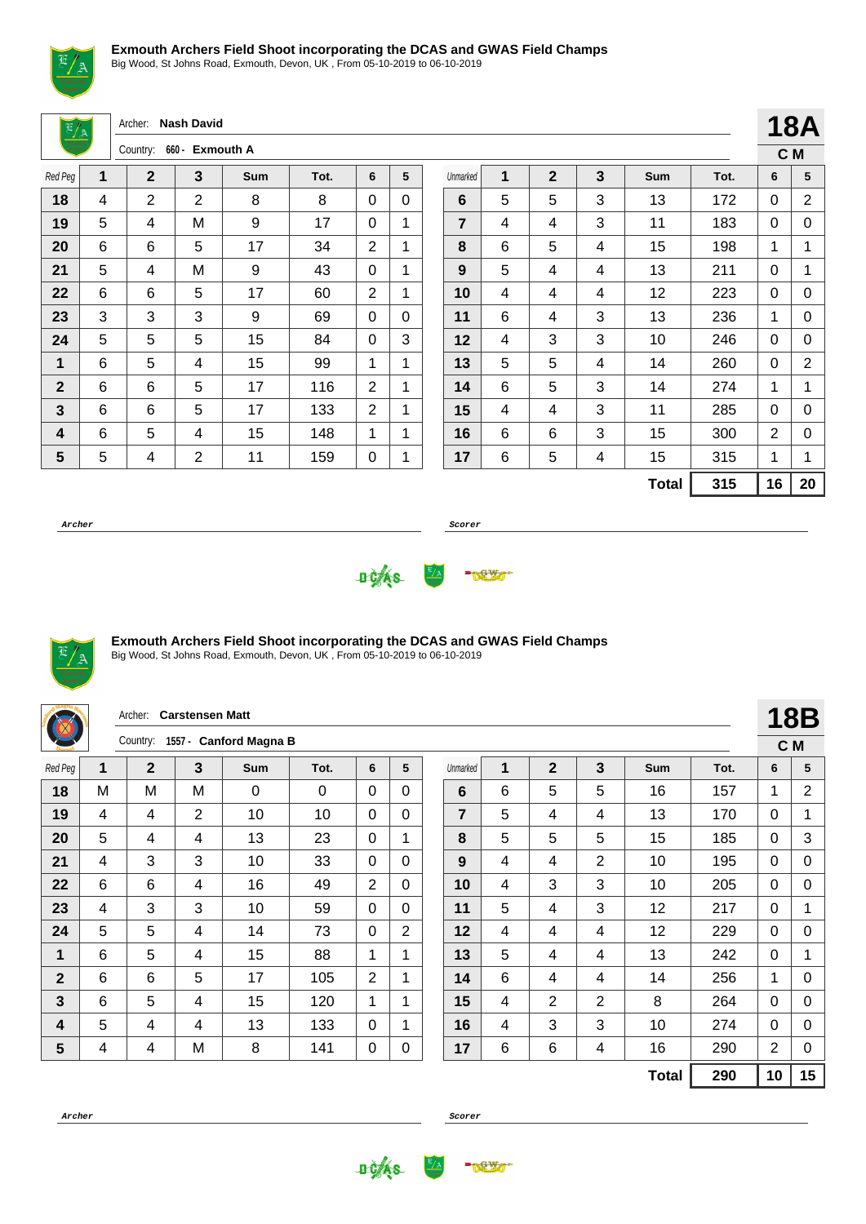

Big Wood, St Johns Road, Exmouth, Devon, UK , From 05-10-2019 to 06-10-2019

Archer: **Nash David**

|              |   | 660 - Exmouth A<br>Country: |   |     |      |   |   |  |  |
|--------------|---|-----------------------------|---|-----|------|---|---|--|--|
| Red Peg      | 1 | $\mathbf{2}$                | 3 | Sum | Tot. | 6 | 5 |  |  |
| 18           | 4 | $\overline{2}$              | 2 | 8   | 8    | 0 | 0 |  |  |
| 19           | 5 | 4                           | M | 9   | 17   | 0 | 1 |  |  |
| 20           | 6 | 6                           | 5 | 17  | 34   | 2 | 1 |  |  |
| 21           | 5 | 4                           | M | 9   | 43   | 0 | 1 |  |  |
| 22           | 6 | 6                           | 5 | 17  | 60   | 2 | 1 |  |  |
| 23           | 3 | 3                           | 3 | 9   | 69   | 0 | 0 |  |  |
| 24           | 5 | 5                           | 5 | 15  | 84   | 0 | 3 |  |  |
| 1            | 6 | 5                           | 4 | 15  | 99   | 1 | 1 |  |  |
| $\mathbf{2}$ | 6 | 6                           | 5 | 17  | 116  | 2 | 1 |  |  |
| 3            | 6 | 6                           | 5 | 17  | 133  | 2 | 1 |  |  |
| 4            | 6 | 5                           | 4 | 15  | 148  | 1 | 1 |  |  |
| 5            | 5 | 4                           | 2 | 11  | 159  | 0 | 1 |  |  |

|                |   |             |   |              |      |    | רשו |
|----------------|---|-------------|---|--------------|------|----|-----|
|                |   |             |   |              |      |    | C M |
| Unmarked       | 1 | $\mathbf 2$ | 3 | <b>Sum</b>   | Tot. | 6  | 5   |
| 6              | 5 | 5           | 3 | 13           | 172  | 0  | 2   |
| $\overline{7}$ | 4 | 4           | 3 | 11           | 183  | 0  | 0   |
| 8              | 6 | 5           | 4 | 15           | 198  | 1  | 1   |
| 9              | 5 | 4           | 4 | 13           | 211  | 0  | 1   |
| 10             | 4 | 4           | 4 | 12           | 223  | 0  | 0   |
| 11             | 6 | 4           | 3 | 13           | 236  | 1  | 0   |
| 12             | 4 | 3           | 3 | 10           | 246  | 0  | 0   |
| 13             | 5 | 5           | 4 | 14           | 260  | 0  | 2   |
| 14             | 6 | 5           | 3 | 14           | 274  | 1  | 1   |
| 15             | 4 | 4           | 3 | 11           | 285  | 0  | 0   |
| 16             | 6 | 6           | 3 | 15           | 300  | 2  | 0   |
| 17             | 6 | 5           | 4 | 15           | 315  | 1  | 1   |
|                |   |             |   | <b>Total</b> | 315  | 16 | 20  |

**18A**

**Archer Scorer**





#### **Exmouth Archers Field Shoot incorporating the DCAS and GWAS Field Champs**

|              |   | Archer:        | <b>Carstensen Matt</b> |                        |      |                |                |                |   |                |                |            |      |                | <b>18B</b>  |
|--------------|---|----------------|------------------------|------------------------|------|----------------|----------------|----------------|---|----------------|----------------|------------|------|----------------|-------------|
|              |   | Country:       |                        | 1557 - Canford Magna B |      |                |                |                |   |                |                |            |      | C M            |             |
| Red Peg      | 1 | $\mathbf{2}$   | 3                      | Sum                    | Tot. | 6              | 5              | Unmarked       | 1 | $\mathbf{2}$   | 3              | <b>Sum</b> | Tot. | 6              | 5           |
| 18           | M | M              | M                      | 0                      | 0    | $\Omega$       | 0              | 6              | 6 | 5              | 5              | 16         | 157  | 1              | 2           |
| 19           | 4 | 4              | $\overline{2}$         | 10                     | 10   | 0              | $\Omega$       | $\overline{7}$ | 5 | 4              | 4              | 13         | 170  | 0              | $\mathbf 1$ |
| 20           | 5 | $\overline{4}$ | 4                      | 13                     | 23   | 0              | 1              | 8              | 5 | 5              | 5              | 15         | 185  | $\Omega$       | 3           |
| 21           | 4 | 3              | 3                      | 10                     | 33   | 0              | 0              | 9              | 4 | 4              | $\overline{2}$ | 10         | 195  | 0              | 0           |
| 22           | 6 | 6              | 4                      | 16                     | 49   | $\overline{2}$ | $\Omega$       | 10             | 4 | 3              | 3              | 10         | 205  | $\Omega$       | 0           |
| 23           | 4 | 3              | 3                      | 10                     | 59   | 0              | $\mathbf{0}$   | 11             | 5 | 4              | 3              | 12         | 217  | 0              |             |
| 24           | 5 | 5              | 4                      | 14                     | 73   | 0              | $\overline{2}$ | 12             | 4 | 4              | 4              | 12         | 229  | 0              | $\Omega$    |
| 1            | 6 | 5              | 4                      | 15                     | 88   | 1              | 1              | 13             | 5 | 4              | 4              | 13         | 242  | $\Omega$       |             |
| $\mathbf{2}$ | 6 | 6              | 5                      | 17                     | 105  | 2              | 1              | 14             | 6 | 4              | 4              | 14         | 256  | 1              | 0           |
| 3            | 6 | 5              | 4                      | 15                     | 120  | 1              | 1              | 15             | 4 | $\overline{2}$ | $\overline{2}$ | 8          | 264  | $\Omega$       | $\Omega$    |
| 4            | 5 | 4              | 4                      | 13                     | 133  | 0              | 1              | 16             | 4 | 3              | 3              | 10         | 274  | $\Omega$       | 0           |
| 5            | 4 | $\overline{4}$ | M                      | 8                      | 141  | 0              | $\pmb{0}$      | 17             | 6 | 6              | 4              | 16         | 290  | $\overline{2}$ | 0           |
|              |   |                |                        |                        |      |                |                |                |   |                |                | Total      | 290  | 10             | 15          |



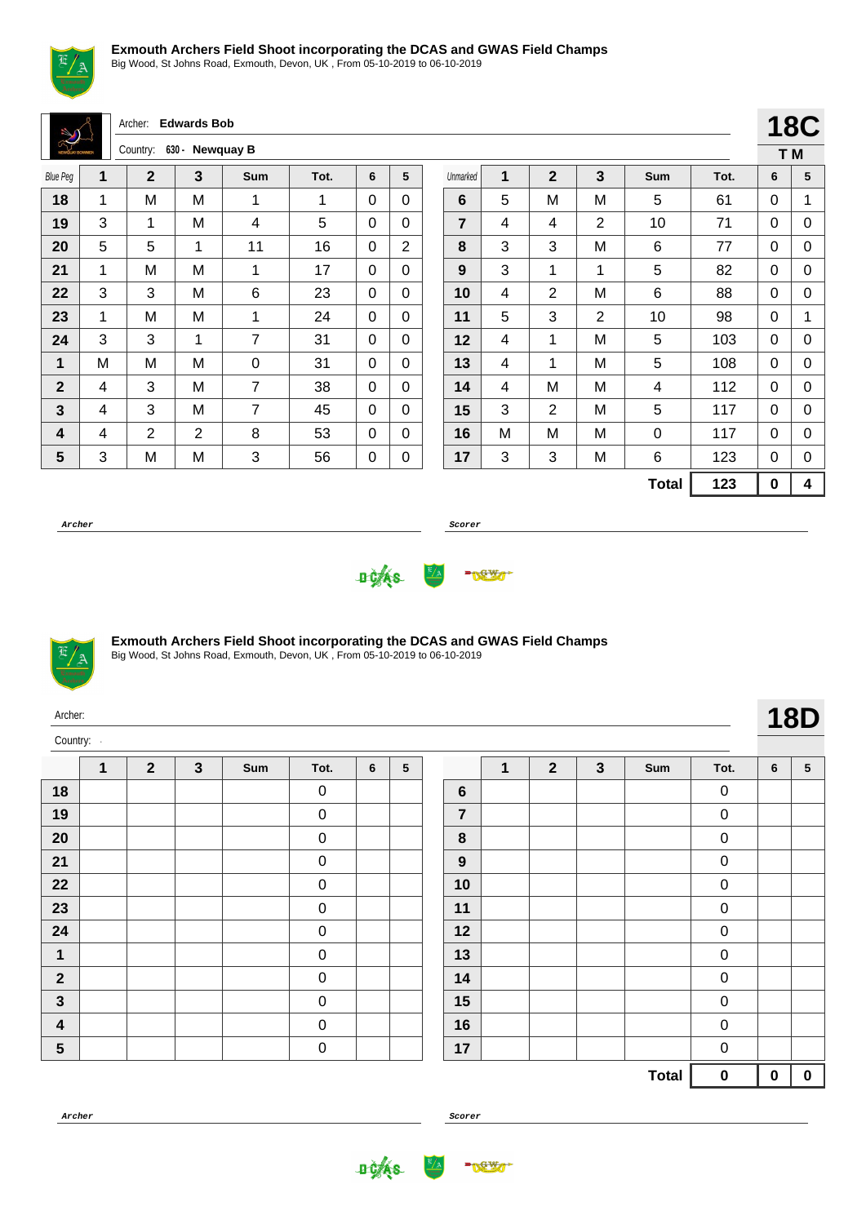

Big Wood, St Johns Road, Exmouth, Devon, UK , From 05-10-2019 to 06-10-2019

Archer: **Edwards Bob**

| <b>NEWSLAY BOWMEN</b> |   | Country:    |   | 630 - Newquay B |      |   |   |
|-----------------------|---|-------------|---|-----------------|------|---|---|
| <b>Blue Peg</b>       | 1 | $\mathbf 2$ | 3 | Sum             | Tot. | 6 | 5 |
| 18                    | 1 | M           | M | 1               | 1    | 0 | 0 |
| 19                    | 3 | 1           | M | 4               | 5    | 0 | 0 |
| 20                    | 5 | 5           | 1 | 11              | 16   | 0 | 2 |
| 21                    | 1 | M           | M | 1               | 17   | 0 | 0 |
| 22                    | 3 | 3           | M | 6               | 23   | 0 | 0 |
| 23                    | 1 | M           | M | 1               | 24   | 0 | 0 |
| 24                    | 3 | 3           | 1 | 7               | 31   | 0 | 0 |
| 1                     | M | M           | M | 0               | 31   | 0 | 0 |
| $\mathbf{2}$          | 4 | 3           | M | 7               | 38   | 0 | 0 |
| $\mathbf{3}$          | 4 | 3           | M | 7               | 45   | 0 | 0 |
| 4                     | 4 | 2           | 2 | 8               | 53   | 0 | 0 |
| 5                     | 3 | M           | M | 3               | 56   | 0 | 0 |

|                |   |                |                |              |      |     | <b>18C</b> |
|----------------|---|----------------|----------------|--------------|------|-----|------------|
|                |   |                |                |              |      | T M |            |
| Unmarked       | 1 | $\overline{2}$ | 3              | Sum          | Tot. | 6   | 5          |
| 6              | 5 | M              | M              | 5            | 61   | 0   | 1          |
| $\overline{7}$ | 4 | 4              | $\overline{2}$ | 10           | 71   | 0   | 0          |
| 8              | 3 | 3              | M              | 6            | 77   | 0   | 0          |
| 9              | 3 | 1              | 1              | 5            | 82   | 0   | 0          |
| 10             | 4 | 2              | M              | 6            | 88   | 0   | 0          |
| 11             | 5 | 3              | $\overline{2}$ | 10           | 98   | 0   | 1          |
| 12             | 4 | 1              | M              | 5            | 103  | 0   | 0          |
| 13             | 4 | 1              | М              | 5            | 108  | 0   | 0          |
| 14             | 4 | M              | M              | 4            | 112  | 0   | 0          |
| 15             | 3 | 2              | M              | 5            | 117  | 0   | 0          |
| 16             | M | M              | M              | 0            | 117  | 0   | 0          |
| 17             | 3 | 3              | M              | 6            | 123  | 0   | 0          |
|                |   |                |                | <b>Total</b> | 123  | 0   | 4          |

**Archer Scorer**





#### **Exmouth Archers Field Shoot incorporating the DCAS and GWAS Field Champs**

Big Wood, St Johns Road, Exmouth, Devon, UK , From 05-10-2019 to 06-10-2019

| Archer:                 |              |                |              |     |             |   |   |                |              |                |              |     |                  |   | <b>18D</b>      |
|-------------------------|--------------|----------------|--------------|-----|-------------|---|---|----------------|--------------|----------------|--------------|-----|------------------|---|-----------------|
| Country:                |              |                |              |     |             |   |   |                |              |                |              |     |                  |   |                 |
|                         | $\mathbf{1}$ | $\overline{2}$ | $\mathbf{3}$ | Sum | Tot.        | 6 | 5 |                | $\mathbf{1}$ | $\overline{2}$ | $\mathbf{3}$ | Sum | Tot.             | 6 | $5\phantom{.0}$ |
| 18                      |              |                |              |     | $\mathbf 0$ |   |   | $6\phantom{1}$ |              |                |              |     | $\mathbf 0$      |   |                 |
| 19                      |              |                |              |     | $\mathbf 0$ |   |   | $\overline{7}$ |              |                |              |     | $\mathbf 0$      |   |                 |
| 20                      |              |                |              |     | $\mathbf 0$ |   |   | 8              |              |                |              |     | $\boldsymbol{0}$ |   |                 |
| 21                      |              |                |              |     | $\mathbf 0$ |   |   | 9              |              |                |              |     | $\mathbf 0$      |   |                 |
| 22                      |              |                |              |     | $\mathbf 0$ |   |   | 10             |              |                |              |     | $\mathbf 0$      |   |                 |
| 23                      |              |                |              |     | $\mathbf 0$ |   |   | 11             |              |                |              |     | $\pmb{0}$        |   |                 |
| 24                      |              |                |              |     | $\mathbf 0$ |   |   | 12             |              |                |              |     | $\mathbf 0$      |   |                 |
| $\mathbf 1$             |              |                |              |     | $\mathbf 0$ |   |   | 13             |              |                |              |     | $\boldsymbol{0}$ |   |                 |
| $\overline{\mathbf{2}}$ |              |                |              |     | $\mathbf 0$ |   |   | 14             |              |                |              |     | $\boldsymbol{0}$ |   |                 |
| $\mathbf{3}$            |              |                |              |     | $\mathbf 0$ |   |   | 15             |              |                |              |     | $\mathbf 0$      |   |                 |
|                         |              |                |              |     |             |   |   |                |              |                |              |     |                  |   |                 |

 0 **Total 0 0 0**

0

**Archer Scorer**

 0 0



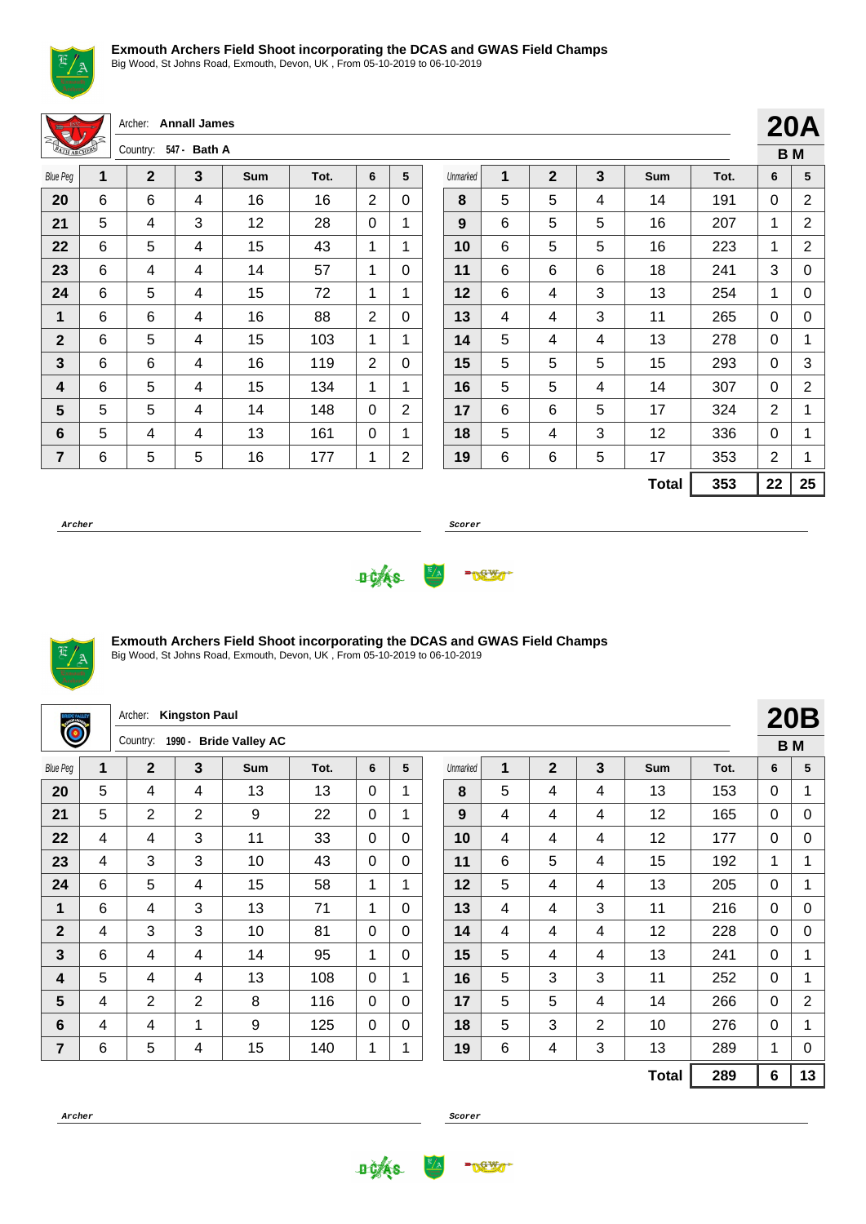

Big Wood, St Johns Road, Exmouth, Devon, UK , From 05-10-2019 to 06-10-2019

Archer: **Annall James** Country: **547 - Bath A**

| <b>MARCHER</b>  |   | <b>COUTTLEY.</b> | <b>J47 DalliA</b> |     |      |   |   |
|-----------------|---|------------------|-------------------|-----|------|---|---|
| <b>Blue Peg</b> | 1 | $\mathbf{2}$     | 3                 | Sum | Tot. | 6 | 5 |
| 20              | 6 | 6                | 4                 | 16  | 16   | 2 | 0 |
| 21              | 5 | 4                | 3                 | 12  | 28   | 0 | 1 |
| 22              | 6 | 5                | 4                 | 15  | 43   | 1 | 1 |
| 23              | 6 | 4                | 4                 | 14  | 57   | 1 | 0 |
| 24              | 6 | 5                | 4                 | 15  | 72   | 1 | 1 |
| 1               | 6 | 6                | 4                 | 16  | 88   | 2 | 0 |
| $\mathbf{2}$    | 6 | 5                | 4                 | 15  | 103  | 1 | 1 |
| 3               | 6 | 6                | 4                 | 16  | 119  | 2 | 0 |
| 4               | 6 | 5                | 4                 | 15  | 134  | 1 | 1 |
| 5               | 5 | 5                | 4                 | 14  | 148  | 0 | 2 |
| 6               | 5 | 4                | 4                 | 13  | 161  | 0 | 1 |
| 7               | 6 | 5                | 5                 | 16  | 177  | 1 | 2 |

|          |   |                |   |              |      |    | ВM |
|----------|---|----------------|---|--------------|------|----|----|
| Unmarked | 1 | $\overline{2}$ | 3 | Sum          | Tot. | 6  | 5  |
| 8        | 5 | 5              | 4 | 14           | 191  | 0  | 2  |
| 9        | 6 | 5              | 5 | 16           | 207  | 1  | 2  |
| 10       | 6 | 5              | 5 | 16           | 223  | 1  | 2  |
| 11       | 6 | 6              | 6 | 18           | 241  | 3  | 0  |
| 12       | 6 | 4              | 3 | 13           | 254  | 1  | 0  |
| 13       | 4 | 4              | 3 | 11           | 265  | 0  | 0  |
| 14       | 5 | 4              | 4 | 13           | 278  | 0  | 1  |
| 15       | 5 | 5              | 5 | 15           | 293  | 0  | 3  |
| 16       | 5 | 5              | 4 | 14           | 307  | 0  | 2  |
| 17       | 6 | 6              | 5 | 17           | 324  | 2  | 1  |
| 18       | 5 | 4              | 3 | 12           | 336  | 0  | 1  |
| 19       | 6 | 6              | 5 | 17           | 353  | 2  | 1  |
|          |   |                |   | <b>Total</b> | 353  | 22 | 25 |

**20A**

**Archer Scorer**





#### **Exmouth Archers Field Shoot incorporating the DCAS and GWAS Field Champs**

| $\ddot{\bullet}$ |   | Archer:                            | <b>Kingston Paul</b> |     |      |             |             |  |          |   |                |   |              |           |          | <b>20B</b>     |
|------------------|---|------------------------------------|----------------------|-----|------|-------------|-------------|--|----------|---|----------------|---|--------------|-----------|----------|----------------|
|                  |   | 1990 - Bride Valley AC<br>Country: |                      |     |      |             |             |  |          |   |                |   |              | <b>BM</b> |          |                |
| <b>Blue Peg</b>  | 1 | $\overline{2}$                     | $\overline{3}$       | Sum | Tot. | 6           | 5           |  | Unmarked | 1 | $\overline{2}$ | 3 | Sum          | Tot.      | 6        | 5              |
| 20               | 5 | 4                                  | 4                    | 13  | 13   | $\Omega$    | 1           |  | 8        | 5 | 4              | 4 | 13           | 153       | $\Omega$ |                |
| 21               | 5 | $\overline{2}$                     | $\overline{2}$       | 9   | 22   | $\mathbf 0$ | $\mathbf 1$ |  | 9        | 4 | 4              | 4 | 12           | 165       | 0        | $\mathbf 0$    |
| 22               | 4 | 4                                  | 3                    | 11  | 33   | $\Omega$    | $\Omega$    |  | 10       | 4 | 4              | 4 | 12           | 177       | $\Omega$ | $\Omega$       |
| 23               | 4 | 3                                  | 3                    | 10  | 43   | $\mathbf 0$ | $\Omega$    |  | 11       | 6 | 5              | 4 | 15           | 192       | 1        | 1              |
| 24               | 6 | 5                                  | 4                    | 15  | 58   | 1           | 1           |  | 12       | 5 | 4              | 4 | 13           | 205       | 0        |                |
| 1                | 6 | 4                                  | 3                    | 13  | 71   | 1           | $\Omega$    |  | 13       | 4 | 4              | 3 | 11           | 216       | $\Omega$ | $\mathbf 0$    |
| $\overline{2}$   | 4 | 3                                  | 3                    | 10  | 81   | $\Omega$    | $\Omega$    |  | 14       | 4 | 4              | 4 | 12           | 228       | $\Omega$ | $\Omega$       |
| 3                | 6 | 4                                  | 4                    | 14  | 95   | 1           | $\Omega$    |  | 15       | 5 | 4              | 4 | 13           | 241       | 0        |                |
| 4                | 5 | 4                                  | 4                    | 13  | 108  | $\Omega$    | $\mathbf 1$ |  | 16       | 5 | 3              | 3 | 11           | 252       | $\Omega$ | $\mathbf 1$    |
| 5                | 4 | $\overline{2}$                     | 2                    | 8   | 116  | $\mathbf 0$ | $\mathbf 0$ |  | 17       | 5 | 5              | 4 | 14           | 266       | $\Omega$ | $\overline{2}$ |
| 6                | 4 | 4                                  | 1                    | 9   | 125  | $\Omega$    | $\Omega$    |  | 18       | 5 | 3              | 2 | 10           | 276       | 0        | 1              |
| 7                | 6 | 5                                  | 4                    | 15  | 140  | 1           |             |  | 19       | 6 | 4              | 3 | 13           | 289       | 1        | 0              |
|                  |   |                                    |                      |     |      |             |             |  |          |   |                |   | <b>Total</b> | 289       | 6        | 13             |



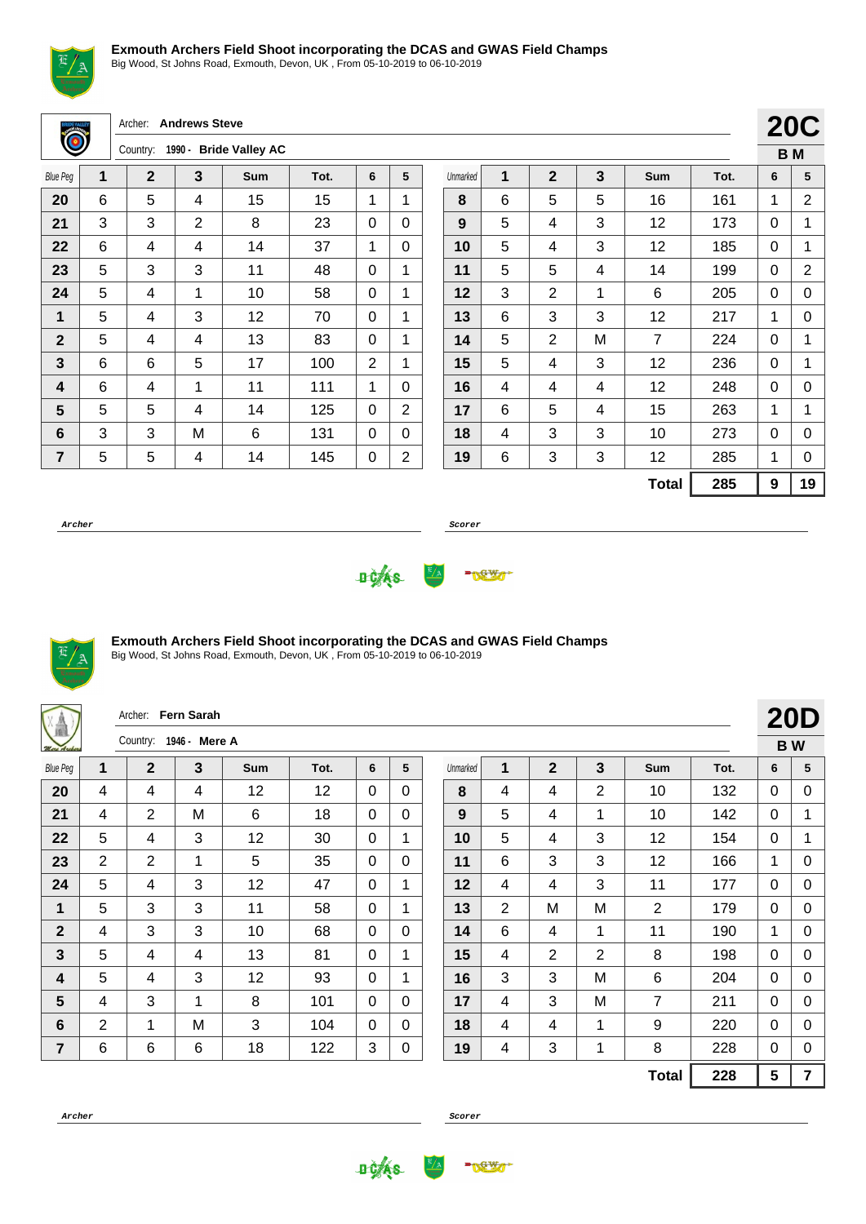

Big Wood, St Johns Road, Exmouth, Devon, UK , From 05-10-2019 to 06-10-2019

Archer: **Andrews Steve**

|                 |   | Country: | <b>Bride Valley AC</b><br>1990 - |     |      |   |   |  |  |  |  |  |  |
|-----------------|---|----------|----------------------------------|-----|------|---|---|--|--|--|--|--|--|
| <b>Blue Peg</b> | 1 | 2        | 3                                | Sum | Tot. | 6 | 5 |  |  |  |  |  |  |
| 20              | 6 | 5        | 4                                | 15  | 15   | 1 | 1 |  |  |  |  |  |  |
| 21              | 3 | 3        | 2                                | 8   | 23   | 0 | 0 |  |  |  |  |  |  |
| 22              | 6 | 4        | 4                                | 14  | 37   | 1 | 0 |  |  |  |  |  |  |
| 23              | 5 | 3        | 3                                | 11  | 48   | 0 | 1 |  |  |  |  |  |  |
| 24              | 5 | 4        | 1                                | 10  | 58   | 0 | 1 |  |  |  |  |  |  |
| 1               | 5 | 4        | 3                                | 12  | 70   | 0 | 1 |  |  |  |  |  |  |
| $\mathbf{2}$    | 5 | 4        | 4                                | 13  | 83   | 0 | 1 |  |  |  |  |  |  |
| 3               | 6 | 6        | 5                                | 17  | 100  | 2 | 1 |  |  |  |  |  |  |
| 4               | 6 | 4        | 1                                | 11  | 111  | 1 | 0 |  |  |  |  |  |  |
| 5               | 5 | 5        | 4                                | 14  | 125  | 0 | 2 |  |  |  |  |  |  |
| 6               | 3 | 3        | М                                | 6   | 131  | 0 | 0 |  |  |  |  |  |  |
| 7               | 5 | 5        | 4                                | 14  | 145  | 0 | 2 |  |  |  |  |  |  |

|          |   |                |   |                |      |   | – v →          |
|----------|---|----------------|---|----------------|------|---|----------------|
|          |   |                |   |                |      |   | B <sub>M</sub> |
| Unmarked | 1 | $\overline{2}$ | 3 | Sum            | Tot. | 6 | 5              |
| 8        | 6 | 5              | 5 | 16             | 161  | 1 | 2              |
| 9        | 5 | 4              | 3 | 12             | 173  | 0 | 1              |
| 10       | 5 | 4              | 3 | 12             | 185  | 0 | 1              |
| 11       | 5 | 5              | 4 | 14             | 199  | 0 | 2              |
| 12       | 3 | $\overline{2}$ | 1 | 6              | 205  | 0 | 0              |
| 13       | 6 | 3              | 3 | 12             | 217  | 1 | 0              |
| 14       | 5 | 2              | M | $\overline{7}$ | 224  | 0 | 1              |
| 15       | 5 | 4              | 3 | 12             | 236  | 0 | 1              |
| 16       | 4 | 4              | 4 | 12             | 248  | 0 | 0              |
| 17       | 6 | 5              | 4 | 15             | 263  | 1 | 1              |
| 18       | 4 | 3              | 3 | 10             | 273  | 0 | 0              |
| 19       | 6 | 3              | 3 | 12             | 285  | 1 | 0              |
|          |   |                |   | <b>Total</b>   | 285  | 9 | 19             |

**20C**

**Archer Scorer**





#### **Exmouth Archers Field Shoot incorporating the DCAS and GWAS Field Champs**

Big Wood, St Johns Road, Exmouth, Devon, UK , From 05-10-2019 to 06-10-2019

| V<br>Vâ         |                | Archer: Fern Sarah |               |            |      |              |              |          |                |                |                |                |      |              | <b>20D</b>     |
|-----------------|----------------|--------------------|---------------|------------|------|--------------|--------------|----------|----------------|----------------|----------------|----------------|------|--------------|----------------|
| More Archers    |                | Country:           | 1946 - Mere A |            |      |              |              |          |                |                |                |                |      |              | <b>BW</b>      |
| <b>Blue Peg</b> | $\mathbf 1$    | $\mathbf{2}$       | 3             | <b>Sum</b> | Tot. | 6            | 5            | Unmarked | 1              | $\mathbf{2}$   | $\mathbf{3}$   | Sum            | Tot. | 6            | 5              |
| 20              | 4              | 4                  | 4             | 12         | 12   | $\Omega$     | $\Omega$     | 8        | 4              | 4              | $\overline{2}$ | 10             | 132  | $\Omega$     | 0              |
| 21              | 4              | $\overline{2}$     | M             | 6          | 18   | $\Omega$     | $\mathbf{0}$ | 9        | 5              | 4              | 1              | 10             | 142  | 0            | 1              |
| 22              | 5              | 4                  | 3             | 12         | 30   | $\Omega$     | 1            | 10       | 5              | 4              | 3              | 12             | 154  | 0            | 1              |
| 23              | $\overline{2}$ | $\overline{2}$     | 1             | 5          | 35   | $\Omega$     | 0            | 11       | 6              | 3              | 3              | 12             | 166  | 1            | 0              |
| 24              | 5              | 4                  | 3             | 12         | 47   | $\Omega$     | 1            | 12       | 4              | 4              | 3              | 11             | 177  | $\mathbf{0}$ | 0              |
| 1               | 5              | 3                  | 3             | 11         | 58   | $\Omega$     | 1            | 13       | $\overline{2}$ | M              | M              | 2              | 179  | $\mathbf{0}$ | 0              |
| $\overline{2}$  | 4              | 3                  | 3             | 10         | 68   | $\Omega$     | $\mathbf 0$  | 14       | 6              | 4              | 1              | 11             | 190  | $\mathbf{1}$ | 0              |
| $\mathbf{3}$    | 5              | 4                  | 4             | 13         | 81   | $\Omega$     | 1            | 15       | 4              | $\overline{2}$ | $\overline{2}$ | 8              | 198  | 0            | 0              |
| 4               | 5              | 4                  | 3             | 12         | 93   | $\Omega$     | 1            | 16       | 3              | 3              | M              | 6              | 204  | $\Omega$     | 0              |
| 5               | 4              | 3                  | 1             | 8          | 101  | $\mathbf{0}$ | $\mathbf{0}$ | 17       | 4              | 3              | M              | $\overline{7}$ | 211  | $\mathbf{0}$ | 0              |
| 6               | 2              | 1                  | M             | 3          | 104  | $\Omega$     | $\Omega$     | 18       | 4              | 4              | 1              | 9              | 220  | 0            | 0              |
| $\overline{7}$  | 6              | 6                  | 6             | 18         | 122  | 3            | 0            | 19       | 4              | 3              | $\mathbf{1}$   | 8              | 228  | 0            | 0              |
|                 |                |                    |               |            |      |              |              |          |                |                |                | <b>Total</b>   | 228  | 5            | $\overline{7}$ |



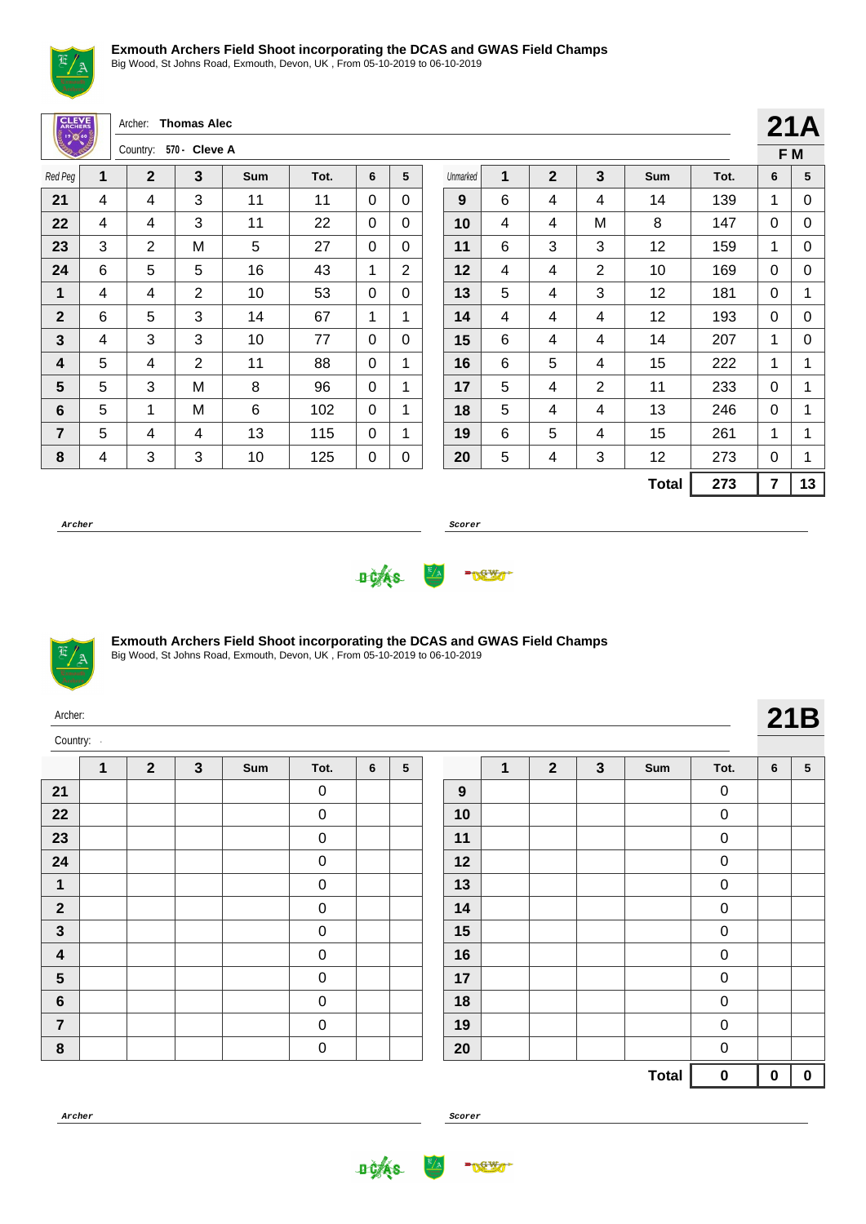

Big Wood, St Johns Road, Exmouth, Devon, UK , From 05-10-2019 to 06-10-2019

| <b>CLEVE</b><br>္မွဳ ၊ ၇) တူ (၁)<br>(၁) (၁) (၁) |                          | Archer:                | <b>Thomas Alec</b> |     |      |                |                |          |   |                |                |              |      |                | 21A          |
|-------------------------------------------------|--------------------------|------------------------|--------------------|-----|------|----------------|----------------|----------|---|----------------|----------------|--------------|------|----------------|--------------|
|                                                 |                          | Country: 570 - Cleve A |                    |     |      |                |                |          |   |                |                |              |      |                | F M          |
| Red Peg                                         | 1                        | $\mathbf{2}$           | 3                  | Sum | Tot. | 6              | 5              | Unmarked | 1 | $\overline{2}$ | 3              | Sum          | Tot. | 6              | 5            |
| 21                                              | 4                        | 4                      | 3                  | 11  | 11   | $\Omega$       | 0              | 9        | 6 | 4              | 4              | 14           | 139  | 1              | 0            |
| 22                                              | $\overline{\mathcal{A}}$ | 4                      | 3                  | 11  | 22   | $\overline{0}$ | 0              | 10       | 4 | 4              | M              | 8            | 147  | $\mathbf 0$    | $\mathbf 0$  |
| 23                                              | 3                        | 2                      | M                  | 5   | 27   | $\Omega$       | 0              | 11       | 6 | 3              | 3              | 12           | 159  | 1              | 0            |
| 24                                              | 6                        | 5                      | 5                  | 16  | 43   | 1              | $\overline{2}$ | 12       | 4 | 4              | $\overline{2}$ | 10           | 169  | $\Omega$       | $\mathbf 0$  |
| 1                                               | 4                        | 4                      | $\overline{2}$     | 10  | 53   | $\Omega$       | 0              | 13       | 5 | 4              | 3              | 12           | 181  | $\mathbf{0}$   | 1            |
| $\mathbf{2}$                                    | 6                        | 5                      | 3                  | 14  | 67   | 1              | 1              | 14       | 4 | 4              | 4              | 12           | 193  | $\mathbf{0}$   | $\mathbf 0$  |
| $\mathbf{3}$                                    | 4                        | 3                      | 3                  | 10  | 77   | $\Omega$       | $\Omega$       | 15       | 6 | 4              | 4              | 14           | 207  | 1              | 0            |
| 4                                               | 5                        | 4                      | $\overline{2}$     | 11  | 88   | $\Omega$       | 1              | 16       | 6 | 5              | 4              | 15           | 222  | 1              | 1            |
| $5\phantom{.0}$                                 | 5                        | 3                      | M                  | 8   | 96   | $\Omega$       | 1              | 17       | 5 | 4              | $\overline{2}$ | 11           | 233  | 0              | 1            |
| 6                                               | 5                        | 1                      | M                  | 6   | 102  | $\Omega$       | 1              | 18       | 5 | 4              | 4              | 13           | 246  | 0              | $\mathbf{1}$ |
| $\overline{7}$                                  | 5                        | 4                      | 4                  | 13  | 115  | $\Omega$       | 1              | 19       | 6 | 5              | 4              | 15           | 261  | 1              | 1            |
| 8                                               | 4                        | 3                      | 3                  | 10  | 125  | 0              | 0              | 20       | 5 | 4              | 3              | 12           | 273  | 0              | 1            |
|                                                 |                          |                        |                    |     |      |                |                |          |   |                |                | <b>Total</b> | 273  | $\overline{7}$ | 13           |

**Archer Scorer**





Big Wood, St Johns Road, Exmouth, Devon, UK , From 05-10-2019 to 06-10-2019

| Archer:  |  |
|----------|--|
| Country: |  |

Ŀ

|                         | 1 | $\mathbf{2}$ | $\mathbf{3}$ | Sum | Tot.        | 6 | ${\bf 5}$ |
|-------------------------|---|--------------|--------------|-----|-------------|---|-----------|
| 21                      |   |              |              |     | 0           |   |           |
| 22                      |   |              |              |     | 0           |   |           |
| 23                      |   |              |              |     | 0           |   |           |
| 24                      |   |              |              |     | $\mathbf 0$ |   |           |
| 1                       |   |              |              |     | $\mathbf 0$ |   |           |
| $\mathbf{2}$            |   |              |              |     | 0           |   |           |
| $\mathbf{3}$            |   |              |              |     | 0           |   |           |
| $\overline{\mathbf{4}}$ |   |              |              |     | 0           |   |           |
| $5\phantom{1}$          |   |              |              |     | 0           |   |           |
| $\bf 6$                 |   |              |              |     | 0           |   |           |
| $\overline{7}$          |   |              |              |     | 0           |   |           |
| 8                       |   |              |              |     | 0           |   |           |

|                  | 1 | $\mathbf{2}$ | $\mathbf{3}$ | Sum          | Tot. | 6        | ${\bf 5}$ |
|------------------|---|--------------|--------------|--------------|------|----------|-----------|
| $\boldsymbol{9}$ |   |              |              |              | 0    |          |           |
| 10               |   |              |              |              | 0    |          |           |
| 11               |   |              |              |              | 0    |          |           |
| 12               |   |              |              |              | 0    |          |           |
| 13               |   |              |              |              | 0    |          |           |
| 14               |   |              |              |              | 0    |          |           |
| 15               |   |              |              |              | 0    |          |           |
| 16               |   |              |              |              | 0    |          |           |
| 17               |   |              |              |              | 0    |          |           |
| 18               |   |              |              |              | 0    |          |           |
| 19               |   |              |              |              | 0    |          |           |
| 20               |   |              |              |              | 0    |          |           |
|                  |   |              |              | <b>Total</b> | 0    | $\bf{0}$ | 0         |



**DOAS** 

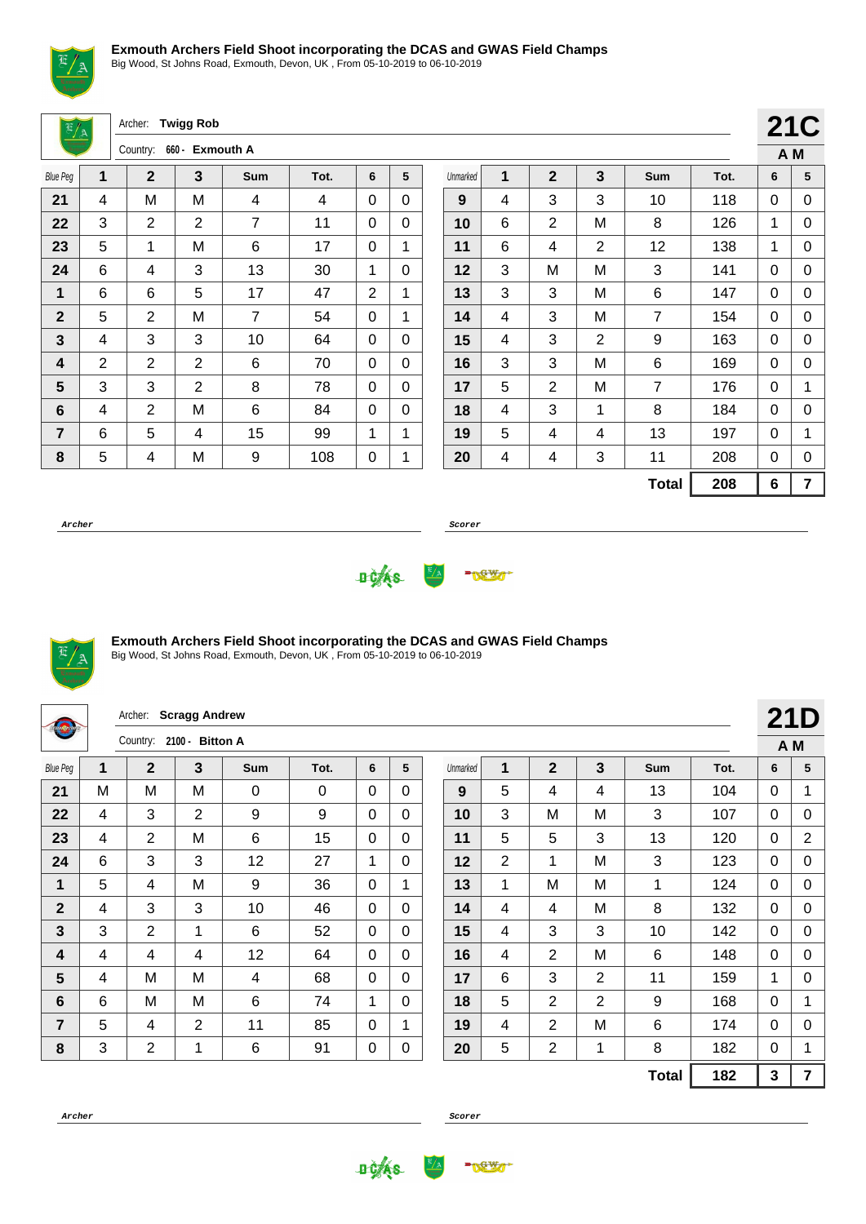

Big Wood, St Johns Road, Exmouth, Devon, UK , From 05-10-2019 to 06-10-2019

Archer: **Twigg Rob**

|                 |   | Country: | 660 - Exmouth A |     |      |   |   |
|-----------------|---|----------|-----------------|-----|------|---|---|
| <b>Blue Peg</b> | 1 | 2        | 3               | Sum | Tot. | 6 | 5 |
| 21              | 4 | M        | M               | 4   | 4    | 0 | 0 |
| 22              | 3 | 2        | 2               | 7   | 11   | 0 | 0 |
| 23              | 5 | 1        | M               | 6   | 17   | 0 | 1 |
| 24              | 6 | 4        | 3               | 13  | 30   | 1 | 0 |
| 1               | 6 | 6        | 5               | 17  | 47   | 2 | 1 |
| $\mathbf{2}$    | 5 | 2        | M               | 7   | 54   | 0 | 1 |
| 3               | 4 | 3        | 3               | 10  | 64   | 0 | 0 |
| 4               | 2 | 2        | 2               | 6   | 70   | 0 | 0 |
| 5               | 3 | 3        | $\overline{2}$  | 8   | 78   | 0 | 0 |
| 6               | 4 | 2        | M               | 6   | 84   | 0 | 0 |
| 7               | 6 | 5        | 4               | 15  | 99   | 1 | 1 |
| 8               | 5 | 4        | M               | 9   | 108  | 0 | 1 |

|          |   |                |   |                |      |     | <b>21C</b> |
|----------|---|----------------|---|----------------|------|-----|------------|
|          |   |                |   |                |      | A M |            |
| Unmarked | 1 | $\overline{2}$ | 3 | Sum            | Tot. | 6   | 5          |
| 9        | 4 | 3              | 3 | 10             | 118  | 0   | 0          |
| 10       | 6 | $\overline{2}$ | Μ | 8              | 126  | 1   | 0          |
| 11       | 6 | 4              | 2 | 12             | 138  | 1   | 0          |
| 12       | 3 | M              | Μ | 3              | 141  | 0   | 0          |
| 13       | 3 | 3              | М | 6              | 147  | 0   | 0          |
| 14       | 4 | 3              | Μ | $\overline{7}$ | 154  | 0   | 0          |
| 15       | 4 | 3              | 2 | 9              | 163  | 0   | 0          |
| 16       | 3 | 3              | М | 6              | 169  | 0   | 0          |
| 17       | 5 | $\overline{2}$ | М | $\overline{7}$ | 176  | 0   | 1          |
| 18       | 4 | 3              | 1 | 8              | 184  | 0   | 0          |
| 19       | 5 | 4              | 4 | 13             | 197  | 0   | 1          |
| 20       | 4 | 4              | 3 | 11             | 208  | 0   | 0          |
|          |   |                |   | <b>Total</b>   | 208  | 6   | 7          |

**Archer Scorer**





#### **Exmouth Archers Field Shoot incorporating the DCAS and GWAS Field Champs**

| <b>Studenter</b> |   | Archer:                  | <b>Scragg Andrew</b> |             |          |             |              |          |                |                |                |              |      |              | <b>21D</b>     |
|------------------|---|--------------------------|----------------------|-------------|----------|-------------|--------------|----------|----------------|----------------|----------------|--------------|------|--------------|----------------|
|                  |   | Country: 2100 - Bitton A |                      |             |          |             |              |          |                |                |                |              |      |              | A M            |
| <b>Blue Peg</b>  | 1 | $\mathbf 2$              | 3                    | <b>Sum</b>  | Tot.     | 6           | 5            | Unmarked | 1              | $\mathbf{2}$   | 3              | <b>Sum</b>   | Tot. | 6            | 5              |
| 21               | M | M                        | м                    | $\mathbf 0$ | $\Omega$ | $\Omega$    | $\Omega$     | 9        | 5              | 4              | 4              | 13           | 104  | $\Omega$     | 1              |
| 22               | 4 | 3                        | 2                    | 9           | 9        | $\Omega$    | $\Omega$     | 10       | 3              | M              | M              | 3            | 107  | $\mathbf{0}$ | 0              |
| 23               | 4 | $\overline{2}$           | M                    | 6           | 15       | $\mathbf 0$ | $\Omega$     | 11       | 5              | 5              | 3              | 13           | 120  | 0            | $\overline{2}$ |
| 24               | 6 | 3                        | 3                    | 12          | 27       | 1           | 0            | 12       | $\overline{2}$ | 1              | M              | 3            | 123  | 0            | 0              |
| 1                | 5 | 4                        | M                    | 9           | 36       | $\Omega$    | 1            | 13       | 1              | M              | M              | 1            | 124  | $\Omega$     | 0              |
| $\overline{2}$   | 4 | 3                        | 3                    | 10          | 46       | $\Omega$    | $\mathbf{0}$ | 14       | 4              | $\overline{4}$ | M              | 8            | 132  | $\mathbf{0}$ | 0              |
| 3                | 3 | $\overline{2}$           | 1                    | 6           | 52       | $\mathbf 0$ | $\Omega$     | 15       | 4              | 3              | 3              | 10           | 142  | 0            | 0              |
| 4                | 4 | 4                        | 4                    | 12          | 64       | $\Omega$    | $\Omega$     | 16       | 4              | $\overline{2}$ | M              | 6            | 148  | 0            | 0              |
| $5\phantom{1}$   | 4 | M                        | M                    | 4           | 68       | $\mathbf 0$ | $\Omega$     | 17       | 6              | 3              | 2              | 11           | 159  | $\mathbf 1$  | 0              |
| 6                | 6 | M                        | M                    | 6           | 74       | 1           | $\mathbf{0}$ | 18       | 5              | 2              | $\overline{2}$ | 9            | 168  | $\mathbf{0}$ | 1              |
| $\overline{7}$   | 5 | 4                        | $\overline{2}$       | 11          | 85       | $\Omega$    | 1            | 19       | 4              | $\overline{2}$ | M              | 6            | 174  | $\Omega$     | 0              |
| 8                | 3 | $\overline{2}$           | 1                    | 6           | 91       | 0           | 0            | 20       | 5              | $\overline{2}$ | 1              | 8            | 182  | 0            | 1              |
|                  |   |                          |                      |             |          |             |              |          |                |                |                | <b>Total</b> | 182  | 3            | $\overline{7}$ |



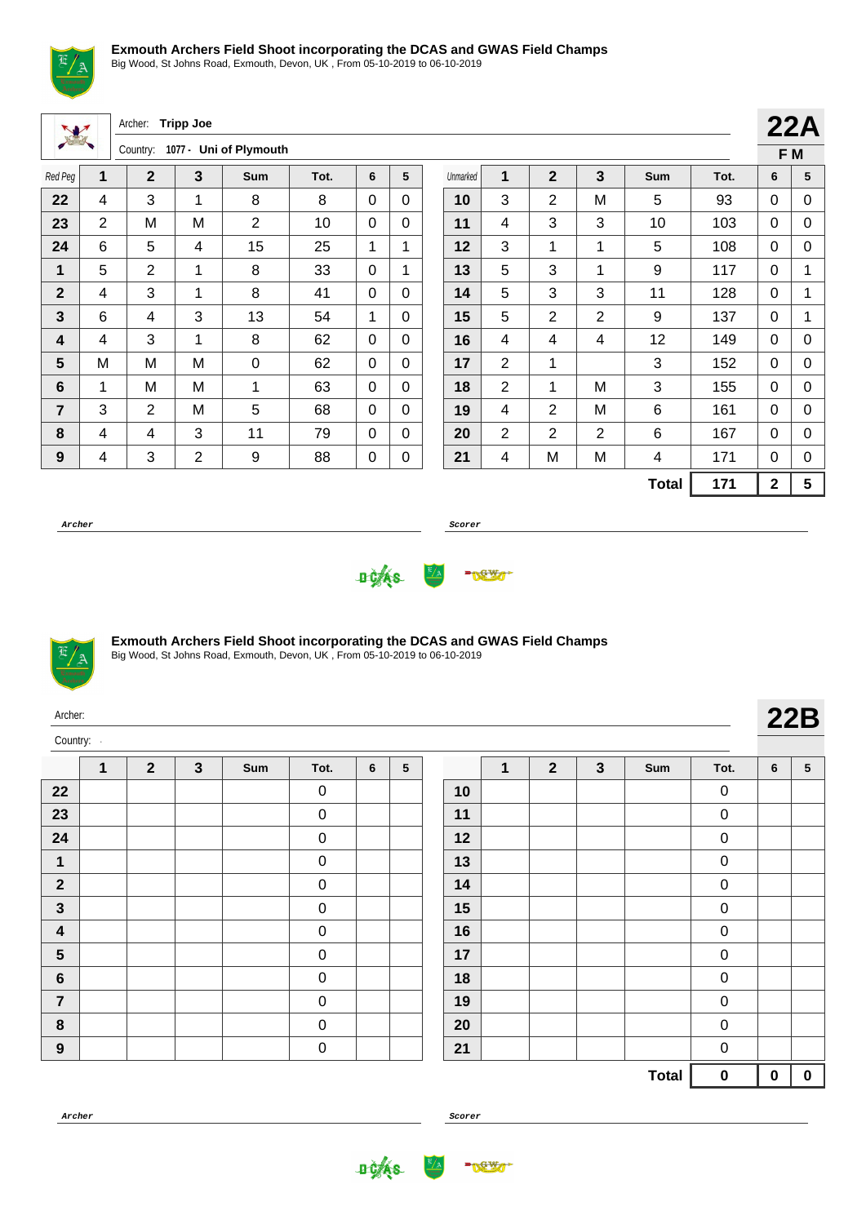

Big Wood, St Johns Road, Exmouth, Devon, UK , From 05-10-2019 to 06-10-2019

| W                |                | Archer:        | <b>Tripp Joe</b> |                 |      |          |              |          |                |                |                |              |      |                         | 22A |
|------------------|----------------|----------------|------------------|-----------------|------|----------|--------------|----------|----------------|----------------|----------------|--------------|------|-------------------------|-----|
|                  |                | Country:       | $1077 -$         | Uni of Plymouth |      |          |              |          |                |                |                |              |      |                         | F M |
| Red Peg          | $\mathbf{1}$   | $\overline{2}$ | 3                | <b>Sum</b>      | Tot. | 6        | 5            | Unmarked | 1              | $\overline{2}$ | 3              | <b>Sum</b>   | Tot. | 6                       | 5   |
| 22               | 4              | 3              | 1                | 8               | 8    | $\Omega$ | $\Omega$     | 10       | 3              | $\overline{2}$ | M              | 5            | 93   | 0                       | 0   |
| 23               | $\overline{2}$ | M              | M                | $\overline{2}$  | 10   | $\Omega$ | $\Omega$     | 11       | 4              | 3              | 3              | 10           | 103  | 0                       | 0   |
| 24               | 6              | 5              | 4                | 15              | 25   | 1        |              | 12       | 3              | 1              | 1              | 5            | 108  | 0                       | 0   |
| $\mathbf 1$      | 5              | 2              | 1                | 8               | 33   | $\Omega$ |              | 13       | 5              | 3              | 1              | 9            | 117  | $\Omega$                | 1   |
| $\overline{2}$   | 4              | 3              | 1                | 8               | 41   | $\Omega$ | $\mathbf{0}$ | 14       | 5              | 3              | 3              | 11           | 128  | 0                       | 1   |
| 3                | 6              | 4              | 3                | 13              | 54   | 1        | $\Omega$     | 15       | 5              | $\overline{2}$ | $\overline{2}$ | 9            | 137  | 0                       | 1   |
| 4                | 4              | 3              | 1                | 8               | 62   | $\Omega$ | $\Omega$     | 16       | 4              | 4              | 4              | 12           | 149  | 0                       | 0   |
| 5                | M              | M              | M                | $\mathbf 0$     | 62   | $\Omega$ | $\Omega$     | 17       | $\overline{2}$ | 1              |                | 3            | 152  | 0                       | 0   |
| 6                | 1              | M              | M                | 1               | 63   | $\Omega$ | $\Omega$     | 18       | $\overline{2}$ | 1              | M              | 3            | 155  | 0                       | 0   |
| 7                | 3              | $\overline{2}$ | M                | 5               | 68   | $\Omega$ | $\Omega$     | 19       | 4              | 2              | M              | 6            | 161  | 0                       | 0   |
| 8                | 4              | 4              | 3                | 11              | 79   | $\Omega$ | $\Omega$     | 20       | $\overline{2}$ | $\overline{2}$ | $\overline{2}$ | 6            | 167  | 0                       | 0   |
| $\boldsymbol{9}$ | 4              | 3              | $\overline{2}$   | 9               | 88   | 0        | 0            | 21       | 4              | M              | M              | 4            | 171  | 0                       | 0   |
|                  |                |                |                  |                 |      |          |              |          |                |                |                | <b>Total</b> | 171  | $\overline{\mathbf{2}}$ | 5   |

**Archer Scorer**





#### **Exmouth Archers Field Shoot incorporating the DCAS and GWAS Field Champs**

Big Wood, St Johns Road, Exmouth, Devon, UK , From 05-10-2019 to 06-10-2019

| Archer:      |  |
|--------------|--|
| Country:<br> |  |

|                         | 1 | $\mathbf{2}$ | $\mathbf{3}$ | Sum | Tot.        | 6 | ${\bf 5}$ |
|-------------------------|---|--------------|--------------|-----|-------------|---|-----------|
| 22                      |   |              |              |     | $\mathbf 0$ |   |           |
| 23                      |   |              |              |     | 0           |   |           |
| 24                      |   |              |              |     | 0           |   |           |
| 1                       |   |              |              |     | 0           |   |           |
| $\overline{\mathbf{2}}$ |   |              |              |     | 0           |   |           |
| $\mathbf{3}$            |   |              |              |     | 0           |   |           |
| $\overline{\mathbf{4}}$ |   |              |              |     | $\mathbf 0$ |   |           |
| $\overline{\mathbf{5}}$ |   |              |              |     | 0           |   |           |
| 6                       |   |              |              |     | $\mathbf 0$ |   |           |
| $\overline{\mathbf{7}}$ |   |              |              |     | 0           |   |           |
| 8                       |   |              |              |     | 0           |   |           |
| $\boldsymbol{9}$        |   |              |              |     | 0           |   |           |

|    | $\mathbf 1$ | $\mathbf{2}$ | $\mathbf{3}$ | Sum          | Tot. | 6 | $\overline{\mathbf{5}}$ |
|----|-------------|--------------|--------------|--------------|------|---|-------------------------|
| 10 |             |              |              |              | 0    |   |                         |
| 11 |             |              |              |              | 0    |   |                         |
| 12 |             |              |              |              | 0    |   |                         |
| 13 |             |              |              |              | 0    |   |                         |
| 14 |             |              |              |              | 0    |   |                         |
| 15 |             |              |              |              | 0    |   |                         |
| 16 |             |              |              |              | 0    |   |                         |
| 17 |             |              |              |              | 0    |   |                         |
| 18 |             |              |              |              | 0    |   |                         |
| 19 |             |              |              |              | 0    |   |                         |
| 20 |             |              |              |              | 0    |   |                         |
| 21 |             |              |              |              | 0    |   |                         |
|    |             |              |              | <b>Total</b> | 0    | 0 | $\pmb{0}$               |



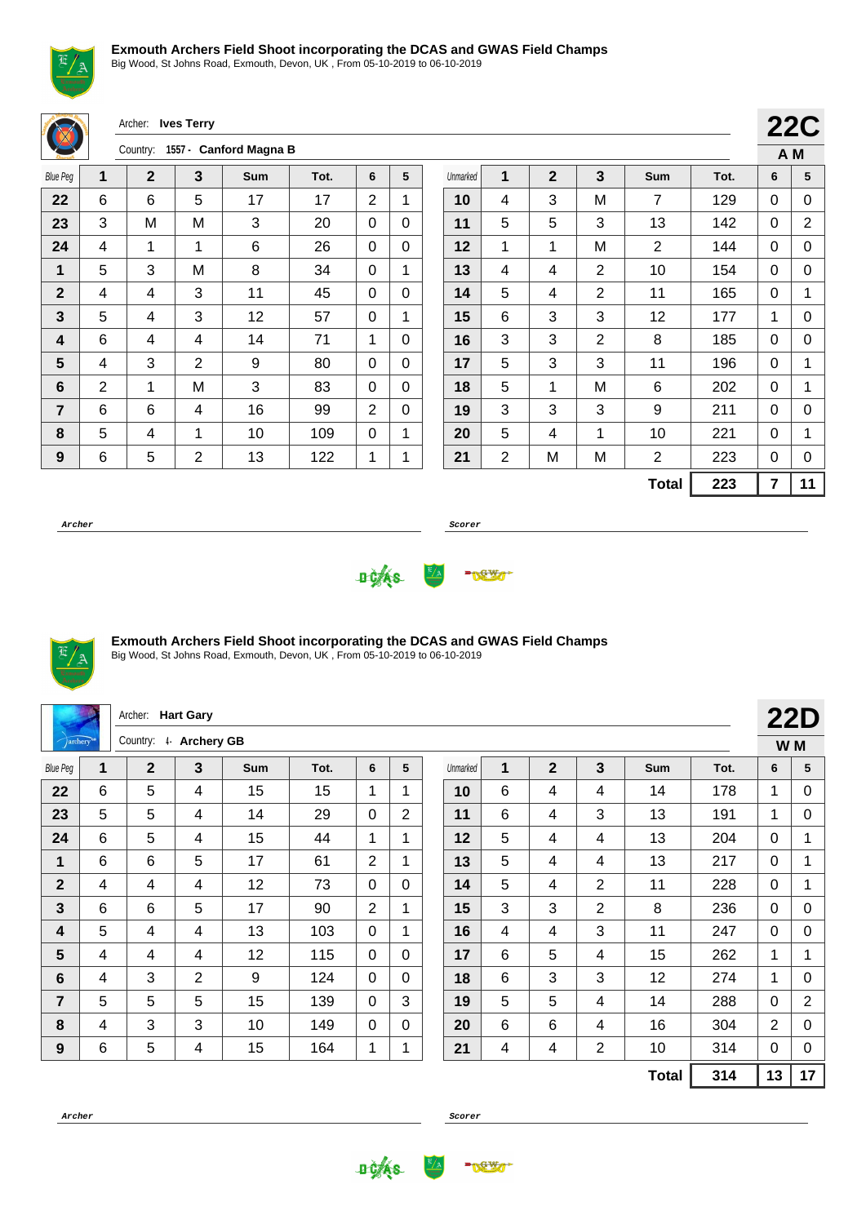Big Wood, St Johns Road, Exmouth, Devon, UK , From 05-10-2019 to 06-10-2019

Archer: **Ives Terry** Country: **1557 - Canford Magna B 22C A M** Blue Peg **1 2 3 Sum Tot. 6 5** | 6 | 6 | 5 | 17 | 17 | 2 | 1 3 M M  $\mid$  3  $\mid$  20 0 0 | 4 | 1 | 1 | 6 | 26 | 0 | 0 | 5 | 3 | M | 8 | 34 | 0 | 1 | 4 | 4 | 3 | 11 | 45 | 0 | 0  $\begin{array}{|c|c|c|c|c|c|} \hline \textbf{3} & \textbf{5} & \textbf{6} & \textbf{7} & \textbf{8} \ \hline \textbf{7} & \textbf{8} & \textbf{9} & \textbf{12} & \textbf{12} & \textbf{57} & \textbf{10} & \textbf{12} \ \hline \end{array}$  | 6 | 4 | 4 | 14 | 71 | 1 | 0 4 3 2 9 80 0 0 | 2 | 1 | M | 3 | 83 | 0 | 0 | 6 | 6 | 4 | 16 | 99 |2 | 0 | 5 | 4 | 1 | 10 | 109 | 0 | 1 | 6 | 5 | 2 | 13 | 122 | 1 | 1 Unmarked **1 2 3 Sum Tot. 6 5** | 4 | 3 | M | 7 | 129 | 0 | 0 | 5 | 5 | 3 | 13 | 142 | 0 | 2 | 1 | 1 | M | 2 | 144 | 0 | 0 4 4 4 2 10 154 0 0 | 5 | 4 | 2 | 11 | 165 | 0 | 1 | 6 | 3 | 3 | 12 | 177 | 1 | 0 3 3 2 8 185 0 0 | 5 | 3 | 3 | 11 | 196 | 0 | 1 | 5 | 1 | M | 6 | 202 | 0 | 1 3 3 3 3 9 211 0 0 | 5 | 4 | 1 | 10 | 221 | 0 | 1 | 2 | M | M | 2 | 223 | 0 | 0  $Total \ 223 \ 711$ 

**Archer Scorer**





## **Exmouth Archers Field Shoot incorporating the DCAS and GWAS Field Champs**

|                 |   | Archer: Hart Gary     |                |            |      |                |                |          |   |                |                |              |      |                | <b>22D</b>     |
|-----------------|---|-----------------------|----------------|------------|------|----------------|----------------|----------|---|----------------|----------------|--------------|------|----------------|----------------|
| <i>archery</i>  |   | Country: 4 Archery GB |                |            |      |                |                |          |   |                |                |              |      | W M            |                |
| <b>Blue Peg</b> | 1 | $\overline{2}$        | $\mathbf{3}$   | <b>Sum</b> | Tot. | 6              | 5              | Unmarked | 1 | $\overline{2}$ | 3              | <b>Sum</b>   | Tot. | 6              | 5              |
| 22              | 6 | 5                     | 4              | 15         | 15   | 1              | 1              | 10       | 6 | 4              | 4              | 14           | 178  | 1              | 0              |
| 23              | 5 | 5                     | 4              | 14         | 29   | $\Omega$       | $\overline{2}$ | 11       | 6 | 4              | 3              | 13           | 191  | $\mathbf 1$    | 0              |
| 24              | 6 | 5                     | 4              | 15         | 44   | 1              | 1              | 12       | 5 | 4              | 4              | 13           | 204  | $\mathbf{0}$   | 1              |
| 1               | 6 | 6                     | 5              | 17         | 61   | $\overline{2}$ | $\mathbf{1}$   | 13       | 5 | 4              | 4              | 13           | 217  | 0              | 1              |
| $\mathbf 2$     | 4 | 4                     | 4              | 12         | 73   | $\Omega$       | $\mathbf{0}$   | 14       | 5 | 4              | $\overline{2}$ | 11           | 228  | $\mathbf{0}$   | 1              |
| 3               | 6 | 6                     | 5              | 17         | 90   | $\overline{2}$ | 1              | 15       | 3 | 3              | $\overline{2}$ | 8            | 236  | $\mathbf{0}$   | $\mathbf 0$    |
| 4               | 5 | 4                     | 4              | 13         | 103  | $\Omega$       | 1              | 16       | 4 | 4              | 3              | 11           | 247  | $\mathbf{0}$   | $\mathbf 0$    |
| 5               | 4 | 4                     | 4              | 12         | 115  | $\Omega$       | $\mathbf 0$    | 17       | 6 | 5              | 4              | 15           | 262  | 1              | 1              |
| 6               | 4 | 3                     | $\overline{2}$ | 9          | 124  | $\Omega$       | 0              | 18       | 6 | 3              | 3              | 12           | 274  | $\mathbf{1}$   | 0              |
| $\overline{7}$  | 5 | 5                     | 5              | 15         | 139  | $\Omega$       | 3              | 19       | 5 | 5              | 4              | 14           | 288  | $\mathbf{0}$   | $\overline{2}$ |
| 8               | 4 | 3                     | 3              | 10         | 149  | 0              | $\Omega$       | 20       | 6 | 6              | 4              | 16           | 304  | $\overline{2}$ | 0              |
| 9               | 6 | 5                     | 4              | 15         | 164  | 1              | 1              | 21       | 4 | 4              | $\overline{2}$ | 10           | 314  | 0              | $\pmb{0}$      |
|                 |   |                       |                |            |      |                |                |          |   |                |                | <b>Total</b> | 314  | 13             | 17             |



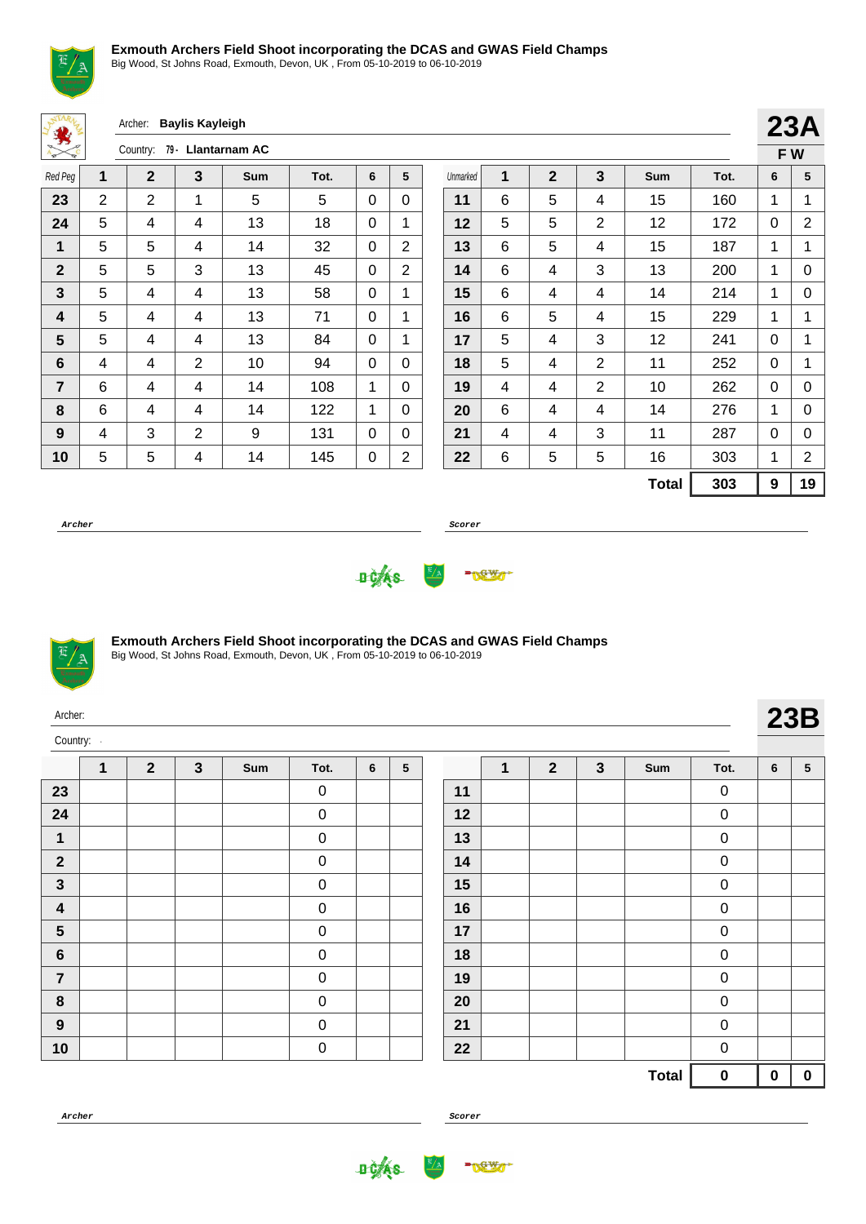

Big Wood, St Johns Road, Exmouth, Devon, UK , From 05-10-2019 to 06-10-2019

Archer: **Baylis Kayleigh**

| $\frac{1}{2}$  | 79 - Llantarnam AC<br>Country:<br>$\epsilon$ |                |                |     |      |   |                |  |  |  |  |
|----------------|----------------------------------------------|----------------|----------------|-----|------|---|----------------|--|--|--|--|
| Red Peg        | 1                                            | $\mathbf{2}$   | 3              | Sum | Tot. | 6 | 5              |  |  |  |  |
| 23             | 2                                            | $\overline{2}$ | 1              | 5   | 5    | 0 | 0              |  |  |  |  |
| 24             | 5                                            | 4              | 4              | 13  | 18   | 0 | 1              |  |  |  |  |
| 1              | 5                                            | 5              | 4              | 14  | 32   | 0 | 2              |  |  |  |  |
| $\mathbf{2}$   | 5                                            | 5              | 3              | 13  | 45   | 0 | 2              |  |  |  |  |
| 3              | 5                                            | 4              | 4              | 13  | 58   | 0 | 1              |  |  |  |  |
| 4              | 5                                            | 4              | 4              | 13  | 71   | 0 | 1              |  |  |  |  |
| 5              | 5                                            | 4              | 4              | 13  | 84   | 0 | 1              |  |  |  |  |
| 6              | 4                                            | 4              | $\overline{2}$ | 10  | 94   | 0 | 0              |  |  |  |  |
| $\overline{7}$ | 6                                            | 4              | 4              | 14  | 108  | 1 | 0              |  |  |  |  |
| 8              | 6                                            | 4              | 4              | 14  | 122  | 1 | 0              |  |  |  |  |
| 9              | 4                                            | 3              | $\overline{2}$ | 9   | 131  | 0 | 0              |  |  |  |  |
| 10             | 5                                            | 5              | 4              | 14  | 145  | 0 | $\overline{2}$ |  |  |  |  |

|          |   |              |                |              |      |   | 23A |  |  |
|----------|---|--------------|----------------|--------------|------|---|-----|--|--|
|          |   |              |                |              |      |   | FW  |  |  |
| Unmarked | 1 | $\mathbf{2}$ | 3              | Sum          | Tot. | 6 | 5   |  |  |
| 11       | 6 | 5            | 4              | 15           | 160  | 1 | 1   |  |  |
| 12       | 5 | 5            | $\overline{2}$ | 12           | 172  | 0 | 2   |  |  |
| 13       | 6 | 5            | 4              | 15           | 187  | 1 | 1   |  |  |
| 14       | 6 | 4            | 3              | 13           | 200  | 1 | 0   |  |  |
| 15       | 6 | 4            | 4              | 14           | 214  | 1 | 0   |  |  |
| 16       | 6 | 5            | 4              | 15           | 229  | 1 | 1   |  |  |
| 17       | 5 | 4            | 3              | 12           | 241  | 0 | 1   |  |  |
| 18       | 5 | 4            | 2              | 11           | 252  | 0 | 1   |  |  |
| 19       | 4 | 4            | $\overline{2}$ | 10           | 262  | 0 | 0   |  |  |
| 20       | 6 | 4            | 4              | 14           | 276  | 1 | 0   |  |  |
| 21       | 4 | 4            | 3              | 11           | 287  | 0 | 0   |  |  |
| 22       | 6 | 5            | 5              | 16           | 303  | 1 | 2   |  |  |
|          |   |              |                | <b>Total</b> | 303  | 9 | 19  |  |  |

**Archer Scorer**





Archer:

#### **Exmouth Archers Field Shoot incorporating the DCAS and GWAS Field Champs**

Big Wood, St Johns Road, Exmouth, Devon, UK , From 05-10-2019 to 06-10-2019

| Archer:  |  |              |         |        |  |            |     |                         |              | $\sim$ $\sim$ $\sim$ |
|----------|--|--------------|---------|--------|--|------------|-----|-------------------------|--------------|----------------------|
| Country: |  |              |         |        |  |            |     |                         |              |                      |
|          |  | $\mathbf{C}$ | $T - 1$ | $\sim$ |  | $\sqrt{2}$ | . . | $C_{\cdot \cdot \cdot}$ | $T_{\alpha}$ |                      |

|                         | 1 | $\mathbf{2}$ | $\mathbf{3}$ | Sum | Tot.                | 6 | ${\bf 5}$ |
|-------------------------|---|--------------|--------------|-----|---------------------|---|-----------|
| 23                      |   |              |              |     | 0                   |   |           |
| 24                      |   |              |              |     | 0                   |   |           |
| 1                       |   |              |              |     | 0                   |   |           |
| $\boldsymbol{2}$        |   |              |              |     | 0                   |   |           |
| $\mathbf{3}$            |   |              |              |     | 0                   |   |           |
| $\overline{\mathbf{4}}$ |   |              |              |     | 0                   |   |           |
| ${\bf 5}$               |   |              |              |     | 0                   |   |           |
| $\bf 6$                 |   |              |              |     | 0                   |   |           |
| $\overline{7}$          |   |              |              |     | 0                   |   |           |
| 8                       |   |              |              |     | 0                   |   |           |
| $\boldsymbol{9}$        |   |              |              |     | $\mathsf{O}\xspace$ |   |           |
| 10                      |   |              |              |     | 0                   |   |           |

|    | 1 | $\mathbf{2}$ | 3 | Sum          | Tot.        | 6        | $\overline{\mathbf{5}}$ |
|----|---|--------------|---|--------------|-------------|----------|-------------------------|
| 11 |   |              |   |              | 0           |          |                         |
| 12 |   |              |   |              | 0           |          |                         |
| 13 |   |              |   |              | 0           |          |                         |
| 14 |   |              |   |              | 0           |          |                         |
| 15 |   |              |   |              | 0           |          |                         |
| 16 |   |              |   |              | 0           |          |                         |
| 17 |   |              |   |              | 0           |          |                         |
| 18 |   |              |   |              | 0           |          |                         |
| 19 |   |              |   |              | 0           |          |                         |
| 20 |   |              |   |              | 0           |          |                         |
| 21 |   |              |   |              | $\mathbf 0$ |          |                         |
| 22 |   |              |   |              | 0           |          |                         |
|    |   |              |   | <b>Total</b> | 0           | $\bf{0}$ | $\pmb{0}$               |



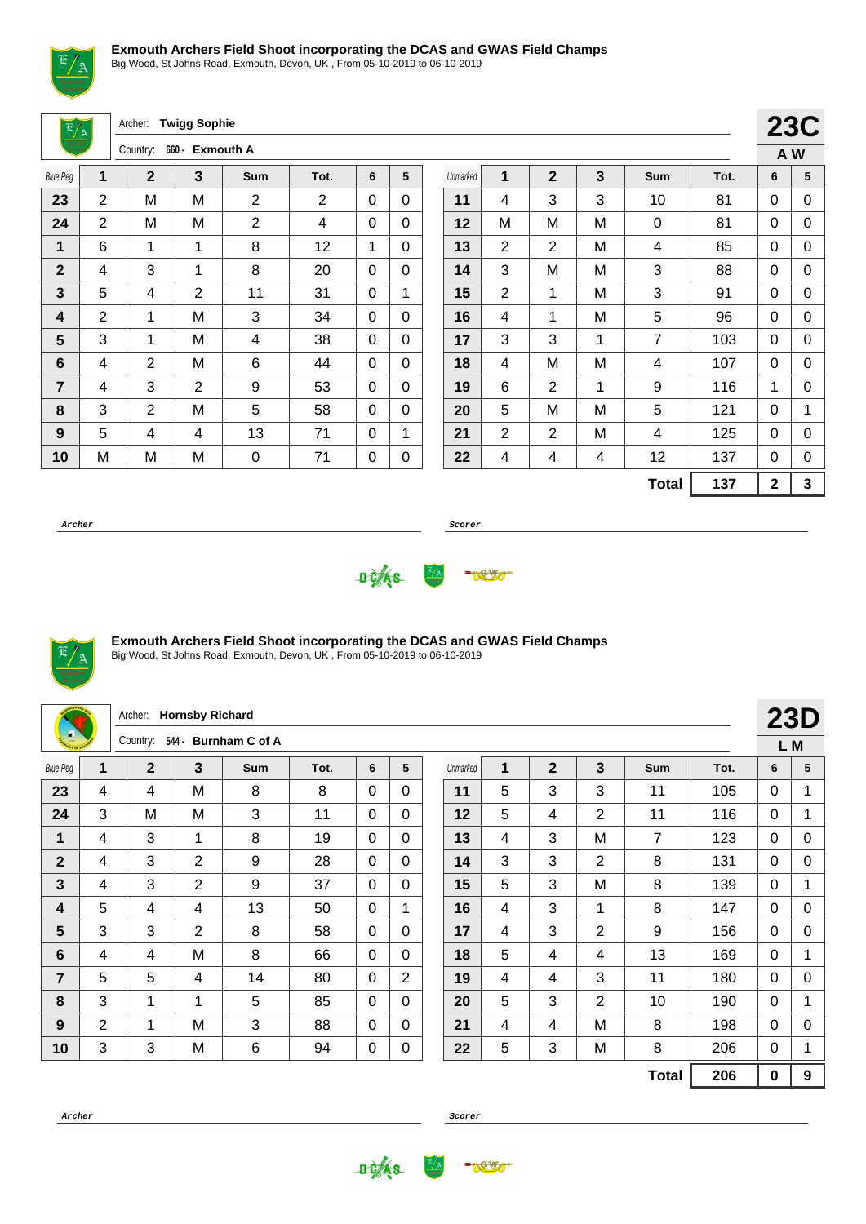

Big Wood, St Johns Road, Exmouth, Devon, UK , From 05-10-2019 to 06-10-2019

Archer: **Twigg Sophie**

|                 |                | Country:    | 660 - Exmouth A |                |      |   |   |
|-----------------|----------------|-------------|-----------------|----------------|------|---|---|
| <b>Blue Peg</b> | 1              | $\mathbf 2$ | 3               | Sum            | Tot. | 6 | 5 |
| 23              | 2              | M           | M               | $\overline{2}$ | 2    | 0 | 0 |
| 24              | $\overline{2}$ | M           | M               | $\overline{2}$ | 4    | 0 | 0 |
| 1               | 6              | 1           | 1               | 8              | 12   | 1 | 0 |
| $\mathbf{2}$    | 4              | 3           | 1               | 8              | 20   | 0 | 0 |
| 3               | 5              | 4           | $\overline{2}$  | 11             | 31   | 0 | 1 |
| 4               | 2              | 1           | M               | 3              | 34   | 0 | 0 |
| 5               | 3              | 1           | M               | 4              | 38   | 0 | 0 |
| 6               | 4              | 2           | M               | 6              | 44   | 0 | 0 |
| $\overline{7}$  | 4              | 3           | 2               | 9              | 53   | 0 | 0 |
| 8               | 3              | 2           | M               | 5              | 58   | 0 | 0 |
| 9               | 5              | 4           | 4               | 13             | 71   | 0 | 1 |
| 10              | M              | M           | M               | 0              | 71   | 0 | 0 |

|          |                |                |   |                |      |             | <b>23C</b> |
|----------|----------------|----------------|---|----------------|------|-------------|------------|
|          |                |                |   |                |      | A W         |            |
| Unmarked | 1              | $\overline{2}$ | 3 | Sum            | Tot. | 6           | 5          |
| 11       | 4              | 3              | 3 | 10             | 81   | 0           | 0          |
| 12       | M              | M              | M | 0              | 81   | 0           | 0          |
| 13       | $\overline{2}$ | 2              | M | 4              | 85   | 0           | 0          |
| 14       | 3              | M              | M | 3              | 88   | 0           | 0          |
| 15       | $\overline{2}$ | 1              | М | 3              | 91   | 0           | 0          |
| 16       | 4              | 1              | M | 5              | 96   | 0           | 0          |
| 17       | 3              | 3              | 1 | $\overline{7}$ | 103  | 0           | 0          |
| 18       | 4              | M              | M | 4              | 107  | 0           | 0          |
| 19       | 6              | 2              | 1 | 9              | 116  | 1           | 0          |
| 20       | 5              | M              | M | 5              | 121  | 0           | 1          |
| 21       | $\overline{2}$ | 2              | M | 4              | 125  | 0           | 0          |
| 22       | 4              | 4              | 4 | 12             | 137  | 0           | 0          |
|          |                |                |   | <b>Total</b>   | 137  | $\mathbf 2$ | 3          |

**Archer Scorer**





## **Exmouth Archers Field Shoot incorporating the DCAS and GWAS Field Champs**

Big Wood, St Johns Road, Exmouth, Devon, UK , From 05-10-2019 to 06-10-2019

|                 |   | <b>Hornsby Richard</b><br>Archer: |                |                       |      |              |                 |  |          |   |                |                |              |      | <b>23D</b> |             |
|-----------------|---|-----------------------------------|----------------|-----------------------|------|--------------|-----------------|--|----------|---|----------------|----------------|--------------|------|------------|-------------|
|                 |   | Country:                          | 544 -          | <b>Burnham C of A</b> |      |              |                 |  |          |   |                |                |              |      |            | L M         |
| <b>Blue Peg</b> | 1 | $\overline{2}$                    | 3              | Sum                   | Tot. | 6            | $5\phantom{.0}$ |  | Unmarked | 1 | $\overline{2}$ | $\mathbf{3}$   | Sum          | Tot. | 6          | 5           |
| 23              | 4 | 4                                 | м              | 8                     | 8    | 0            | $\Omega$        |  | 11       | 5 | 3              | 3              | 11           | 105  | $\Omega$   | $\mathbf 1$ |
| 24              | 3 | M                                 | M              | 3                     | 11   | $\mathbf 0$  | $\Omega$        |  | 12       | 5 | $\overline{4}$ | $\overline{2}$ | 11           | 116  | $\Omega$   | 1           |
| 1               | 4 | 3                                 | $\mathbf 1$    | 8                     | 19   | 0            | $\Omega$        |  | 13       | 4 | 3              | M              | 7            | 123  | $\Omega$   | 0           |
| $\overline{2}$  | 4 | 3                                 | $\overline{2}$ | 9                     | 28   | $\mathbf 0$  | $\Omega$        |  | 14       | 3 | 3              | $\overline{2}$ | 8            | 131  | 0          | 0           |
| 3               | 4 | 3                                 | $\overline{2}$ | 9                     | 37   | $\Omega$     | $\Omega$        |  | 15       | 5 | 3              | M              | 8            | 139  | $\Omega$   | $\mathbf 1$ |
| 4               | 5 | 4                                 | 4              | 13                    | 50   | $\mathbf 0$  | 1               |  | 16       | 4 | 3              | 1              | 8            | 147  | $\Omega$   | $\mathbf 0$ |
| 5               | 3 | 3                                 | $\overline{2}$ | 8                     | 58   | 0            | $\Omega$        |  | 17       | 4 | 3              | 2              | 9            | 156  | $\Omega$   | 0           |
| 6               | 4 | 4                                 | M              | 8                     | 66   | $\mathbf 0$  | $\mathbf 0$     |  | 18       | 5 | $\overline{4}$ | 4              | 13           | 169  | 0          | 1           |
| 7               | 5 | 5                                 | 4              | 14                    | 80   | $\Omega$     | $\overline{2}$  |  | 19       | 4 | 4              | 3              | 11           | 180  | 0          | 0           |
| 8               | 3 | 1                                 | $\overline{1}$ | 5                     | 85   | $\mathbf{0}$ | $\Omega$        |  | 20       | 5 | 3              | $\overline{2}$ | 10           | 190  | $\Omega$   | 1           |
| 9               | 2 | 1                                 | м              | 3                     | 88   | 0            | $\Omega$        |  | 21       | 4 | 4              | м              | 8            | 198  | $\Omega$   | $\Omega$    |
| 10              | 3 | 3                                 | M              | $\,6$                 | 94   | 0            | 0               |  | 22       | 5 | 3              | M              | 8            | 206  | 0          | $\mathbf 1$ |
|                 |   |                                   |                |                       |      |              |                 |  |          |   |                |                | <b>Total</b> | 206  | $\bf{0}$   | 9           |



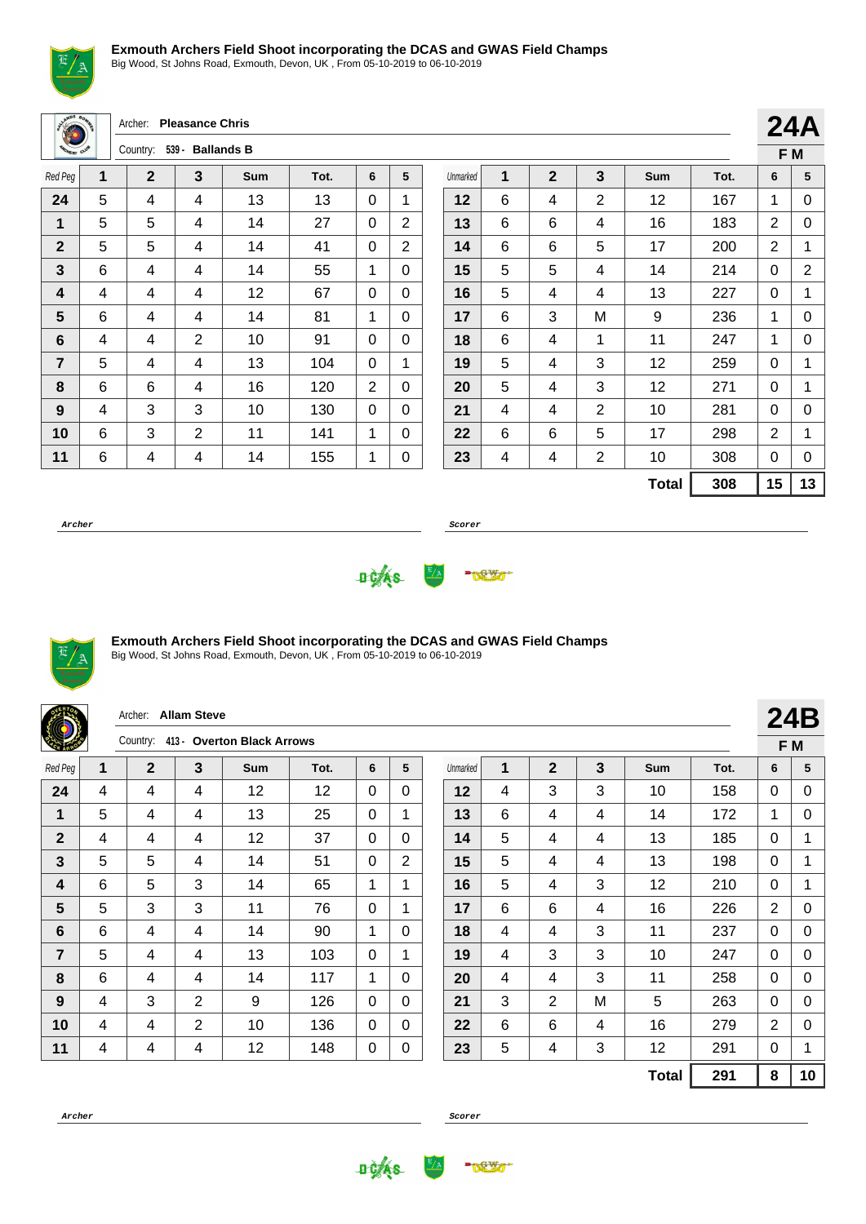

Big Wood, St Johns Road, Exmouth, Devon, UK , From 05-10-2019 to 06-10-2019

Archer: **Pleasance Chris**

| <b>SHOWLEY CLUB</b> |   | Country:    | 539 - Ballands B |     |      |   |   |
|---------------------|---|-------------|------------------|-----|------|---|---|
| Red Peg             | 1 | $\mathbf 2$ | 3                | Sum | Tot. | 6 | 5 |
| 24                  | 5 | 4           | 4                | 13  | 13   | 0 | 1 |
| 1                   | 5 | 5           | 4                | 14  | 27   | 0 | 2 |
| $\mathbf{2}$        | 5 | 5           | 4                | 14  | 41   | 0 | 2 |
| 3                   | 6 | 4           | 4                | 14  | 55   | 1 | 0 |
| 4                   | 4 | 4           | 4                | 12  | 67   | 0 | 0 |
| 5                   | 6 | 4           | 4                | 14  | 81   | 1 | 0 |
| 6                   | 4 | 4           | 2                | 10  | 91   | 0 | 0 |
| $\overline{7}$      | 5 | 4           | 4                | 13  | 104  | 0 | 1 |
| 8                   | 6 | 6           | 4                | 16  | 120  | 2 | 0 |
| 9                   | 4 | 3           | 3                | 10  | 130  | 0 | 0 |
| 10                  | 6 | 3           | $\overline{2}$   | 11  | 141  | 1 | 0 |
| 11                  | 6 | 4           | 4                | 14  | 155  | 1 | 0 |

|          |   |                |                |     |      |   | F M |
|----------|---|----------------|----------------|-----|------|---|-----|
| Unmarked | 1 | $\overline{2}$ | 3              | Sum | Tot. | 6 | 5   |
| 12       | 6 | 4              | $\overline{2}$ | 12  | 167  | 1 | 0   |
| 13       | 6 | 6              | 4              | 16  | 183  | 2 | 0   |
| 14       | 6 | 6              | 5              | 17  | 200  | 2 | 1   |
| 15       | 5 | 5              | 4              | 14  | 214  | 0 | 2   |
| 16       | 5 | 4              | 4              | 13  | 227  | 0 | 1   |
| 17       | 6 | 3              | M              | 9   | 236  | 1 | 0   |
| 18       | 6 | 4              | 1              | 11  | 247  | 1 | 0   |
| 19       | 5 | 4              | 3              | 12  | 259  | 0 | 1   |
| 20       | 5 | 4              | 3              | 12  | 271  | 0 | 1   |
| 21       | 4 | 4              | $\overline{2}$ | 10  | 281  | 0 | 0   |
| 22       | 6 | 6              | 5              | 17  | 298  | 2 | 1   |
| 23       | 4 | 4              | $\overline{2}$ | 10  | 308  | 0 | 0   |
|          |   | <b>Total</b>   | 308            | 15  | 13   |   |     |

**24A**

**Archer Scorer**





## **Exmouth Archers Field Shoot incorporating the DCAS and GWAS Field Champs**

|                |                 | Archer:                                | <b>Allam Steve</b> |     |      |             |                |          |   |              |   |              |      |                | 24B         |
|----------------|-----------------|----------------------------------------|--------------------|-----|------|-------------|----------------|----------|---|--------------|---|--------------|------|----------------|-------------|
|                |                 | 413 - Overton Black Arrows<br>Country: |                    |     |      |             |                |          |   |              |   | F M          |      |                |             |
| Red Peg        | 1               | $\mathbf{2}$                           | 3                  | Sum | Tot. | 6           | 5              | Unmarked | 1 | $\mathbf{2}$ | 3 | Sum          | Tot. | 6              | 5           |
| 24             | 4               | 4                                      | 4                  | 12  | 12   | 0           | $\Omega$       | 12       | 4 | 3            | 3 | 10           | 158  | 0              | 0           |
| $\mathbf 1$    | 5               | 4                                      | 4                  | 13  | 25   | $\Omega$    | 1              | 13       | 6 | 4            | 4 | 14           | 172  | 1              | $\Omega$    |
| $\mathbf{2}$   | 4               | 4                                      | 4                  | 12  | 37   | 0           | $\Omega$       | 14       | 5 | 4            | 4 | 13           | 185  | 0              | $\mathbf 1$ |
| $\mathbf{3}$   | 5               | 5                                      | 4                  | 14  | 51   | $\Omega$    | $\overline{2}$ | 15       | 5 | 4            | 4 | 13           | 198  | 0              | 1           |
| 4              | 6               | 5                                      | 3                  | 14  | 65   | 1           | 1              | 16       | 5 | 4            | 3 | 12           | 210  | $\Omega$       | 1           |
| $5\phantom{1}$ | 5               | 3                                      | 3                  | 11  | 76   | $\mathbf 0$ | 1              | 17       | 6 | 6            | 4 | 16           | 226  | $\overline{2}$ | $\mathbf 0$ |
| 6              | 6               | 4                                      | 4                  | 14  | 90   | 1           | $\Omega$       | 18       | 4 | 4            | 3 | 11           | 237  | 0              | 0           |
| $\overline{7}$ | $5\phantom{.0}$ | 4                                      | 4                  | 13  | 103  | $\Omega$    | 1              | 19       | 4 | 3            | 3 | 10           | 247  | $\Omega$       | 0           |
| 8              | 6               | 4                                      | 4                  | 14  | 117  | 1           | $\Omega$       | 20       | 4 | 4            | 3 | 11           | 258  | $\Omega$       | $\Omega$    |
| 9              | 4               | 3                                      | 2                  | 9   | 126  | $\Omega$    | $\Omega$       | 21       | 3 | 2            | M | 5            | 263  | $\Omega$       | 0           |
| 10             | 4               | 4                                      | $\overline{2}$     | 10  | 136  | 0           | $\Omega$       | 22       | 6 | 6            | 4 | 16           | 279  | $\overline{2}$ | 0           |
| 11             | 4               | 4                                      | 4                  | 12  | 148  | 0           | 0              | 23       | 5 | 4            | 3 | 12           | 291  | $\Omega$       | 1           |
|                |                 |                                        |                    |     |      |             |                |          |   |              |   | <b>Total</b> | 291  | 8              | 10          |